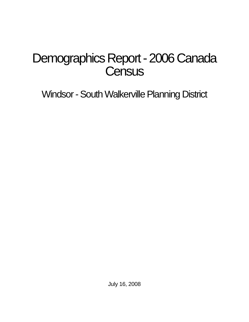# Demographics Report - 2006 Canada **Census**

Windsor - South Walkerville Planning District

July 16, 2008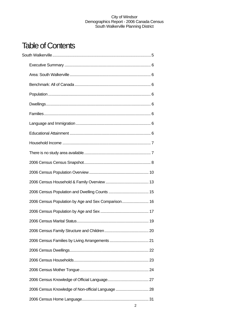## Table of Contents

| 2006 Census Population by Age and Sex Comparison 16 |  |
|-----------------------------------------------------|--|
|                                                     |  |
|                                                     |  |
|                                                     |  |
|                                                     |  |
|                                                     |  |
|                                                     |  |
|                                                     |  |
|                                                     |  |
| 2006 Census Knowledge of Non-official Language  28  |  |
|                                                     |  |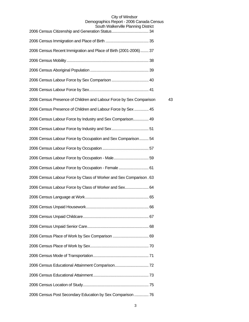#### City of Windsor Demographics Report - 2006 Canada Census

| South Walkerville Planning District                                 |    |
|---------------------------------------------------------------------|----|
|                                                                     |    |
| 2006 Census Recent Immigration and Place of Birth (2001-2006) 37    |    |
|                                                                     |    |
|                                                                     |    |
|                                                                     |    |
|                                                                     |    |
| 2006 Census Presence of Children and Labour Force by Sex Comparison | 43 |
| 2006 Census Presence of Children and Labour Force by Sex  45        |    |
| 2006 Census Labour Force by Industry and Sex Comparison 49          |    |
|                                                                     |    |
| 2006 Census Labour Force by Occupation and Sex Comparison 54        |    |
|                                                                     |    |
| 2006 Census Labour Force by Occupation - Male 59                    |    |
| 2006 Census Labour Force by Occupation - Female  61                 |    |
| 2006 Census Labour Force by Class of Worker and Sex Comparison. 63  |    |
| 2006 Census Labour Force by Class of Worker and Sex 64              |    |
|                                                                     |    |
|                                                                     |    |
|                                                                     |    |
|                                                                     |    |
|                                                                     |    |
|                                                                     |    |
|                                                                     |    |
|                                                                     |    |
|                                                                     |    |
|                                                                     |    |
| 2006 Census Post Secondary Education by Sex Comparison  76          |    |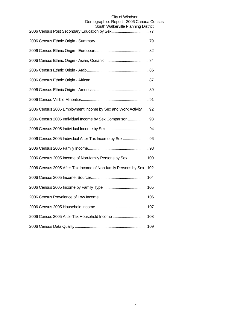| <b>JUULI VVAINGIVIIIG FIAHIHIIY DISUIGL</b>                        |
|--------------------------------------------------------------------|
|                                                                    |
|                                                                    |
|                                                                    |
|                                                                    |
|                                                                    |
|                                                                    |
|                                                                    |
| 2006 Census 2005 Employment Income by Sex and Work Activity  92    |
| 2006 Census 2005 Individual Income by Sex Comparison  93           |
|                                                                    |
| 2006 Census 2005 Individual After-Tax Income by Sex 96             |
|                                                                    |
| 2006 Census 2005 Income of Non-family Persons by Sex  100          |
| 2006 Census 2005 After-Tax Income of Non-family Persons by Sex 102 |
|                                                                    |
|                                                                    |
|                                                                    |
|                                                                    |
| 2006 Census 2005 After-Tax Household Income  108                   |
|                                                                    |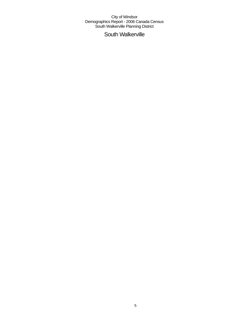South Walkerville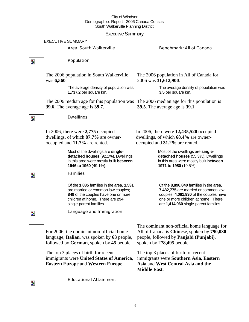### Executive Summary

#### EXECUTIVE SUMMARY

### Area: South Walkerville Benchmark: All of Canada

 $\overline{\mathbf{z}}$ 

Z.

### Population

Dwellings

In 2006, there were **2,775** occupied dwellings, of which **87.7%** are owner-

occupied and **11.7%** are rented.

Families

The 2006 population in South Walkerville was **6,560**.

> The average density of population was **1,737.2** per square km.

The 2006 median age for this population was The 2006 median age for this population is **39.6**. The average age is **39.7**.

The 2006 population in All of Canada for 2006 was **31,612,900**.

> The average density of population was **3.5** per square km.

**39.5**. The average age is **39.1**.

In 2006, there were **12,435,520** occupied dwellings, of which **68.4%** are owneroccupied and **31.2%** are rented.

> Most of the dwellings are **singledetached houses** (55.3%). Dwellings in this area were mostly built **between 1971 to 1980** (19.5%).

Of the **8,896,840** families in the area, **7,482,775** are married or common law couples; **4,061,930** of the couples have one or more children at home. There are **1,414,060** single-parent families.

Þ.

Language and Immigration

Of the **1,835** families in the area, **1,531**  are married or common law couples; **849** of the couples have one or more children at home. There are **294** 

Most of the dwellings are **singledetached houses** (92.1%). Dwellings in this area were mostly built **between** 

**1946 to 1960** (49.1%).

single-parent families.

For 2006, the dominant non-official home language, **Italian**, was spoken by **63** people, followed by **German**, spoken by **45** people.

The top 3 places of birth for recent immigrants were **United States of America**, **Eastern Europe** and **Western Europe**.

Educational Attainment

The dominant non-official home language for All of Canada is **Chinese**, spoken by **790,030** people, followed by **Panjabi (Punjabi)**, spoken by **278,495** people.

The top 3 places of birth for recent immigrants were **Southern Asia**, **Eastern Asia** and **West Central Asia and the Middle East**.

 $\overline{\phantom{a}}$ 

Þ.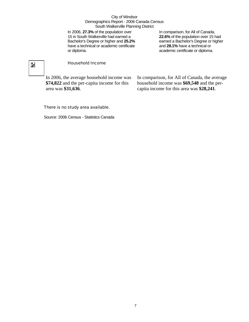In 2006, **27.3%** of the population over 15 in South Walkerville had earned a Bachelor's Degree or higher and **25.2%** have a technical or academic certificate or diploma.

In comparison, for All of Canada, **22.6%** of the population over 15 had earned a Bachelor's Degree or higher and **28.1%** have a technical or academic certificate or diploma.

## $\overline{\phantom{a}}$

### Household Income

In 2006, the average household income was **\$74,822** and the per-capita income for this area was **\$31,636**.

In comparison, for All of Canada, the average household income was **\$69,548** and the percapita income for this area was **\$28,241**.

### There is no study area available.

Source: 2006 Census - Statistics Canada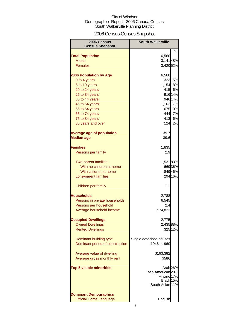### 2006 Census Census Snapshot

| 2006 Census                                            | <b>South Walkerville</b>      |
|--------------------------------------------------------|-------------------------------|
| <b>Census Snapshot</b>                                 |                               |
|                                                        | %                             |
| <b>Total Population</b><br><b>Males</b>                | 6,560<br>3,14148%             |
| <b>Females</b>                                         | 3,420 52%                     |
|                                                        |                               |
| <b>2006 Population by Age</b>                          | 6,560                         |
| 0 to 4 years                                           | 323<br>5%                     |
| 5 to 19 years                                          | 1,154 18%                     |
| 20 to 24 years                                         | 415 6%                        |
| 25 to 34 years                                         | 916 14%                       |
| 35 to 44 years                                         | 946 14%                       |
| 45 to 54 years                                         | 1,102 17%                     |
| 55 to 64 years                                         | 675 10%                       |
| 65 to 74 years                                         | 444 7%                        |
| 75 to 84 years                                         | 413<br>6%                     |
| 85 years and over                                      | 124<br>2%                     |
| <b>Average age of population</b>                       | 39.7                          |
| <b>Median age</b>                                      | 39.6                          |
|                                                        |                               |
| <b>Families</b>                                        | 1,835                         |
| Persons per family                                     | 2.9                           |
|                                                        |                               |
| <b>Two-parent families</b>                             | 1,53183%                      |
| With no children at home                               | 66936%                        |
| With children at home                                  | 84946%                        |
| Lone-parent families                                   | 294 16%                       |
| Children per family                                    | 1.1                           |
| <b>Households</b>                                      |                               |
|                                                        | 2,788                         |
| Persons in private households<br>Persons per household | 6,545<br>2.4                  |
| Average household income                               | \$74,822                      |
|                                                        |                               |
| <b>Occupied Dwellings</b>                              | 2,775                         |
| <b>Owned Dwellings</b>                                 | 2,435 88%                     |
| <b>Rented Dwellings</b>                                | 32512%                        |
|                                                        |                               |
| Dominant building type                                 | Single detached houses        |
| Dominant period of construction                        | 1946 - 1960                   |
| Average value of dwelling                              | \$163,382                     |
| Average gross monthly rent                             | \$586                         |
|                                                        |                               |
| <b>Top 5 visible minorities</b>                        | Arab <sub>26%</sub>           |
|                                                        | Latin American <sub>20%</sub> |
|                                                        | Filipino <sup>17%</sup>       |
|                                                        | Black 15%                     |
|                                                        | South Asian 11%               |
| <b>Dominant Demographics</b>                           |                               |
| <b>Official Home Language</b>                          | English                       |
|                                                        |                               |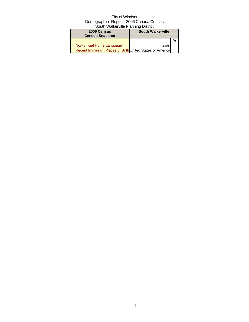| 2006 Census                                               | <b>South Walkerville</b> |   |  |
|-----------------------------------------------------------|--------------------------|---|--|
| <b>Census Snapshot</b>                                    |                          |   |  |
|                                                           |                          | % |  |
| Non-official Home Language                                | Italian                  |   |  |
| Recent Immigrant Places of Birth United States of America |                          |   |  |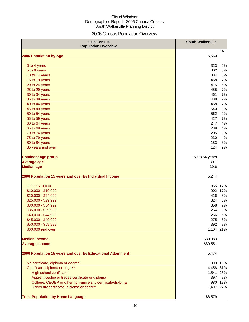### 2006 Census Population Overview

| 2006 Census<br><b>Population Overview</b>                   | <b>South Walkerville</b> |     |
|-------------------------------------------------------------|--------------------------|-----|
| 2006 Population by Age                                      | 6,560                    | %   |
|                                                             |                          |     |
| 0 to 4 years                                                | 323                      | 5%  |
| 5 to 9 years                                                | 302                      | 5%  |
| 10 to 14 years                                              | 384                      | 6%  |
| 15 to 19 years                                              | 468                      | 7%  |
| 20 to 24 years                                              | 415                      | 6%  |
| 25 to 29 years                                              | 455                      | 7%  |
| 30 to 34 years                                              | 461                      | 7%  |
| 35 to 39 years                                              | 488                      | 7%  |
| 40 to 44 years                                              | 458                      | 7%  |
| 45 to 49 years                                              | 540                      | 8%  |
| 50 to 54 years                                              | 562                      | 9%  |
| 55 to 59 years                                              | 427                      | 7%  |
| 60 to 64 years                                              | 247                      | 4%  |
| 65 to 69 years                                              | 239                      | 4%  |
| 70 to 74 years                                              | 205                      | 3%  |
| 75 to 79 years                                              | 230                      | 4%  |
| 80 to 84 years                                              | 183                      | 3%  |
| 85 years and over                                           | 124                      | 2%  |
| <b>Dominant age group</b>                                   | 50 to 54 years           |     |
| <b>Average age</b>                                          | 39.7                     |     |
| <b>Median age</b>                                           | 39.6                     |     |
| 2006 Population 15 years and over by Individual Income      | 5,244                    |     |
| <b>Under \$10,000</b>                                       | 865                      | 17% |
| \$10,000 - \$19,999                                         | 902                      | 17% |
| \$20,000 - \$24,999                                         | 416                      | 8%  |
| \$25,000 - \$29,999                                         | 324                      | 6%  |
| \$30,000 - \$34,999                                         | 358                      | 7%  |
| \$35,000 - \$39,999                                         | 254                      | 5%  |
| \$40,000 - \$44,999                                         | 266                      | 5%  |
| \$45,000 - \$49,999                                         | 275                      | 5%  |
| \$50,000 - \$59,999                                         | 392                      | 7%  |
| \$60,000 and over                                           | 1,104                    | 21% |
| <b>Median income</b>                                        | \$30,983                 |     |
| <b>Average income</b>                                       | \$39,551                 |     |
| 2006 Population 15 years and over by Educational Attainment | 5,474                    |     |
| No certificate, diploma or degree                           | 993                      | 18% |
| Certificate, diploma or degree                              | 4,458                    | 81% |
| <b>High school certificate</b>                              | 1,541                    | 28% |
| Apprenticeship or trades certificate or diploma             | 397                      | 7%  |
| College, CEGEP or other non-university certificate/diploma  | 980                      | 18% |
| University certificate, diploma or degree                   | 1,497                    | 27% |
| <b>Total Population by Home Language</b>                    | \$6,579                  |     |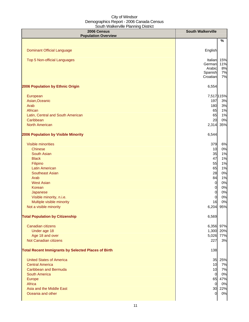| 2006 Census<br><b>Population Overview</b>                                                                                                                                                                                                                                                                                                                      | <b>South Walkerville</b>                                                                                                                   |                                                                                                             |
|----------------------------------------------------------------------------------------------------------------------------------------------------------------------------------------------------------------------------------------------------------------------------------------------------------------------------------------------------------------|--------------------------------------------------------------------------------------------------------------------------------------------|-------------------------------------------------------------------------------------------------------------|
|                                                                                                                                                                                                                                                                                                                                                                |                                                                                                                                            | %                                                                                                           |
| <b>Dominant Official Language</b>                                                                                                                                                                                                                                                                                                                              | English                                                                                                                                    |                                                                                                             |
| <b>Top 5 Non-official Languages</b>                                                                                                                                                                                                                                                                                                                            | Italian<br>German<br>Arabic<br>Spanish<br>Croatian                                                                                         | 15%<br>11%<br>8%<br>7%<br>7%                                                                                |
| 2006 Population by Ethnic Origin                                                                                                                                                                                                                                                                                                                               | 6,554                                                                                                                                      |                                                                                                             |
| European<br>Asian, Oceanic<br>Arab<br>African<br>Latin, Central and South American<br>Caribbean                                                                                                                                                                                                                                                                | 197<br>180<br>65<br>65<br>20                                                                                                               | 7,517 115%<br>3%<br>3%<br>1%<br>1%<br>0%                                                                    |
| <b>North American</b>                                                                                                                                                                                                                                                                                                                                          | 2,314                                                                                                                                      | 35%                                                                                                         |
| 2006 Population by Visible Minority                                                                                                                                                                                                                                                                                                                            | 6,544                                                                                                                                      |                                                                                                             |
| Visible minorities<br><b>Chinese</b><br><b>South Asian</b><br><b>Black</b><br>Filipino<br><b>Latin American</b><br><b>Southeast Asian</b><br>Arab<br><b>West Asian</b><br>Korean<br>Japanese<br>Visible minority, n.i.e.<br>Multiple visible minority<br>Not a visible minority<br><b>Total Population by Citizenship</b><br>Canadian citizens<br>Under age 18 | 379<br>10<br>35<br>47<br>55<br>65<br>28<br>84<br>$\mathbf 0$<br>$\mathbf 0$<br>$\mathbf 0$<br>$\mathbf 0$<br>16<br>6,204<br>6,569<br>1,300 | 6%<br>0%<br>1%<br>1%<br>1%<br>1%<br>0%<br>1%<br>0%<br>$0\%$<br>$0\%$<br>0%<br>0%<br>95%<br>6,356 97%<br>20% |
| Age 18 and over<br>Not Canadian citizens                                                                                                                                                                                                                                                                                                                       | 5,026<br>227                                                                                                                               | 77%<br>3%                                                                                                   |
| <b>Total Recent Immigrants by Selected Places of Birth</b>                                                                                                                                                                                                                                                                                                     | 138                                                                                                                                        |                                                                                                             |
| <b>United States of America</b><br><b>Central America</b><br><b>Caribbean and Bermuda</b><br><b>South America</b><br>Europe<br>Africa<br>Asia and the Middle East<br>Oceania and other                                                                                                                                                                         | 10<br>10<br>$\overline{0}$<br>65<br>$\overline{0}$<br>30<br>$\overline{0}$                                                                 | 35 25%<br>7%<br>7%<br>0%<br>47%<br>0%<br>22%<br>0%                                                          |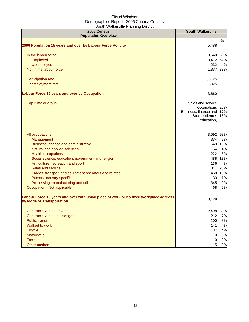| 2006 Census<br><b>Population Overview</b>                                                                          | <b>South Walkerville</b>                                                                   |                   |
|--------------------------------------------------------------------------------------------------------------------|--------------------------------------------------------------------------------------------|-------------------|
|                                                                                                                    |                                                                                            | %                 |
| 2006 Population 15 years and over by Labour Force Activity                                                         | 5,488                                                                                      |                   |
| In the labour force                                                                                                | 3,640                                                                                      | 66%               |
| Employed                                                                                                           | 3,412                                                                                      | 62%               |
| Unemployed                                                                                                         | 232                                                                                        | 4%                |
| Not in the labour force                                                                                            | 1,837                                                                                      | 33%               |
| Participation rate                                                                                                 | 66.3%                                                                                      |                   |
| Unemployment rate                                                                                                  | 6.4%                                                                                       |                   |
| Labour Force 15 years and over by Occupation                                                                       | 3,660                                                                                      |                   |
| Top 3 major group                                                                                                  | Sales and service<br>occupations<br>Business, finance and<br>Social science,<br>education, | 26%<br>17%<br>15% |
| All occupations                                                                                                    | 3,592 98%                                                                                  |                   |
| Management                                                                                                         | 334                                                                                        | 9%                |
| Business, finance and administrative                                                                               | 549                                                                                        | 15%               |
| Natural and applied sciences                                                                                       | 154                                                                                        | 4%                |
| <b>Health occupations</b>                                                                                          | 222                                                                                        | 6%                |
| Social science, education, government and religion                                                                 | 488                                                                                        | 13%               |
| Art, culture, recreation and sport                                                                                 | 136                                                                                        | 4%                |
| Sales and service                                                                                                  | 841                                                                                        | 23%               |
| Trades, transport and equipment operators and related                                                              | 458                                                                                        | 13%               |
| Primary industry-specific                                                                                          | 33                                                                                         | 1%                |
| Processing, manufacturing and utilities                                                                            | 345                                                                                        | 9%                |
| Occupation - Not applicable                                                                                        | 68                                                                                         | 2%                |
| Labour Force 15 years and over with usual place of work or no fixed workplace address<br>by Mode of Transportation | 3,129                                                                                      |                   |
| Car, truck, van as driver                                                                                          | 2,498 80%                                                                                  |                   |
| Car, truck, van as passenger                                                                                       | 212                                                                                        | 7%                |
| <b>Public transit</b>                                                                                              | 100                                                                                        | 3%                |
| Walked to work                                                                                                     | 141                                                                                        | 4%                |
| <b>Bicycle</b>                                                                                                     | 137                                                                                        | 4%                |
| Motorcycle                                                                                                         | $\overline{0}$                                                                             | 0%                |
| <b>Taxicab</b>                                                                                                     | 10                                                                                         | 0%                |
| Other method                                                                                                       | 15                                                                                         | 0%                |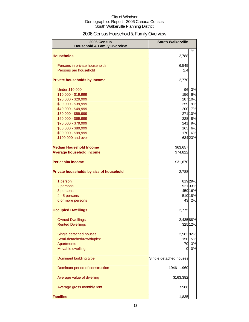### 2006 Census Household & Family Overview

| 2006 Census<br><b>Household &amp; Family Overview</b> | <b>South Walkerville</b> |         |
|-------------------------------------------------------|--------------------------|---------|
| <b>Households</b>                                     | 2,788                    | %       |
|                                                       |                          |         |
| Persons in private households                         | 6,545                    |         |
| Persons per household                                 | 2.4                      |         |
| <b>Private households by Income</b>                   | 2,770                    |         |
| <b>Under \$10,000</b>                                 | 96                       | 3%      |
| \$10,000 - \$19,999                                   | 156                      | 6%      |
| \$20,000 - \$29,999                                   |                          | 287 10% |
| \$30,000 - \$39,999                                   | 259                      | 9%      |
| \$40,000 - \$49,999                                   | 200                      | 7%      |
| \$50,000 - \$59,999                                   |                          | 271 10% |
| \$60,000 - \$69,999                                   | 228                      | 8%      |
| \$70,000 - \$79,999                                   | 241                      | 9%      |
| \$80,000 - \$89,999                                   | 163                      | 6%      |
| \$90,000 - \$99,999                                   | 170                      | 6%      |
| \$100,000 and over                                    |                          | 634 23% |
| <b>Median Household Income</b>                        | \$63,657                 |         |
| <b>Average household income</b>                       | \$74,822                 |         |
| Per capita income                                     | \$31,670                 |         |
| Private households by size of household               | 2,788                    |         |
| 1 person                                              |                          | 81929%  |
| 2 persons                                             |                          | 92133%  |
| 3 persons                                             |                          | 459 16% |
| 4 - 5 persons                                         |                          | 510 18% |
| 6 or more persons                                     | 43                       | 2%      |
| <b>Occupied Dwellings</b>                             | 2,775                    |         |
| <b>Owned Dwellings</b>                                | 2,43588%                 |         |
| <b>Rented Dwellings</b>                               |                          | 325 12% |
| Single detached houses                                | 2,56392%                 |         |
| Semi-detached/row/duplex                              | 150                      | 5%      |
| Apartments                                            | 70                       | 3%      |
| Movable dwelling                                      | 0                        | 0%      |
| Dominant building type                                | Single detached houses   |         |
| Dominant period of construction                       | 1946 - 1960              |         |
| Average value of dwelling                             | \$163,382                |         |
| Average gross monthly rent                            | \$586                    |         |
| <b>Families</b>                                       | 1,835                    |         |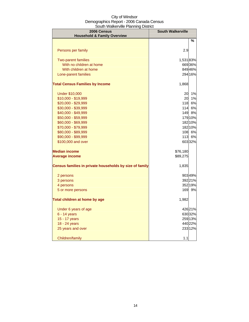| 2006 Census<br><b>Household &amp; Family Overview</b>   | <b>South Walkerville</b> |         |
|---------------------------------------------------------|--------------------------|---------|
|                                                         |                          | %       |
|                                                         |                          |         |
| Persons per family                                      | 2.9                      |         |
| <b>Two-parent families</b>                              | 1,53183%                 |         |
| With no children at home                                |                          | 66936%  |
| With children at home                                   |                          | 84946%  |
| Lone-parent families                                    |                          | 294 16% |
| <b>Total Census Families by Income</b>                  | 1,868                    |         |
| <b>Under \$10,000</b>                                   | 20                       | 1%      |
| \$10,000 - \$19,999                                     | 20                       | 1%      |
| \$20,000 - \$29,999                                     | 118                      | 6%      |
| \$30,000 - \$39,999                                     | 114                      | 6%      |
| \$40,000 - \$49,999                                     | 149                      | 8%      |
| \$50,000 - \$59,999                                     |                          | 179 10% |
| \$60,000 - \$69,999                                     |                          | 182 10% |
| \$70,000 - \$79,999                                     |                          | 182 10% |
| \$80,000 - \$89,999                                     |                          | 108 6%  |
| \$90,000 - \$99,999                                     |                          | 113 6%  |
| \$100,000 and over                                      |                          | 60332%  |
| <b>Median income</b>                                    | \$76,180                 |         |
| <b>Average income</b>                                   | \$89,275                 |         |
| Census families in private households by size of family | 1,835                    |         |
| 2 persons                                               |                          | 90349%  |
| 3 persons                                               |                          | 392 21% |
| 4 persons                                               |                          | 352 19% |
| 5 or more persons                                       |                          | 169 9%  |
| Total children at home by age                           | 1,982                    |         |
| Under 6 years of age                                    |                          | 42621%  |
| 6 - 14 years                                            |                          | 630 32% |
| 15 - 17 years                                           |                          | 259 13% |
| 18 - 24 years                                           |                          | 440 22% |
| 25 years and over                                       |                          | 23312%  |
| Children/family                                         | 1.1                      |         |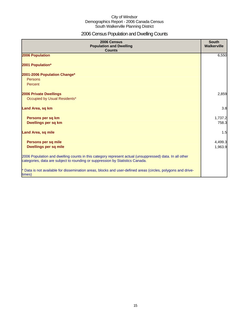### 2006 Census Population and Dwelling Counts

| 2006 Census<br><b>Population and Dwelling</b><br><b>Counts</b>                                                                                                                           | <b>South</b><br>Walkerville |
|------------------------------------------------------------------------------------------------------------------------------------------------------------------------------------------|-----------------------------|
| 2006 Population                                                                                                                                                                          | 6,550                       |
| 2001 Population*                                                                                                                                                                         |                             |
| 2001-2006 Population Change*                                                                                                                                                             |                             |
| Persons                                                                                                                                                                                  |                             |
| Percent                                                                                                                                                                                  |                             |
| <b>2006 Private Dwellings</b>                                                                                                                                                            | 2,859                       |
| Occupied by Usual Residents*                                                                                                                                                             |                             |
| Land Area, sq km                                                                                                                                                                         | 3.8                         |
| Persons per sq km                                                                                                                                                                        | 1,737.2                     |
| Dwellings per sq km                                                                                                                                                                      | 758.3                       |
| <b>Land Area, sq mile</b>                                                                                                                                                                | 1.5                         |
|                                                                                                                                                                                          |                             |
| Persons per sq mile                                                                                                                                                                      | 4,499.3                     |
| <b>Dwellings per sq mile</b>                                                                                                                                                             | 1,963.9                     |
| 2006 Population and dwelling counts in this category represent actual (unsuppressed) data. In all other<br>categories, data are subject to rounding or suppression by Statistics Canada. |                             |
| * Data is not available for dissemination areas, blocks and user-defined areas (circles, polygons and drive-<br>times)                                                                   |                             |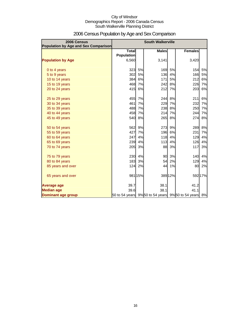| 2006 Census<br><b>Population by Age and Sex Comparison</b> |                                                    |         | <b>South Walkerville</b> |         |                |         |
|------------------------------------------------------------|----------------------------------------------------|---------|--------------------------|---------|----------------|---------|
|                                                            | <b>Total</b>                                       |         | <b>Males</b>             |         | <b>Females</b> |         |
|                                                            | <b>Population</b>                                  |         |                          |         |                |         |
| <b>Population by Age</b>                                   | 6,560                                              |         | 3,141                    |         | 3,420          |         |
| 0 to 4 years                                               | 323                                                | 5%      | 169                      | 5%      | 154            | 5%      |
| 5 to 9 years                                               | 302                                                | 5%      | 136                      | 4%      | 166            | 5%      |
| 10 to 14 years                                             | 384                                                | 6%      | 171                      | 5%      | 212            | 6%      |
| 15 to 19 years                                             | 468                                                | 7%      | 242                      | 8%      | 226            | 7%      |
| 20 to 24 years                                             | 415                                                | 6%      | 212                      | 7%      | 203            | 6%      |
| 25 to 29 years                                             | 455                                                | 7%      | 244                      | 8%      | 211            | 6%      |
| 30 to 34 years                                             | 461                                                | 7%      | 229                      | 7%      | 232            | 7%      |
| 35 to 39 years                                             | 488                                                | 7%      | 238                      | 8%      | 250            | 7%      |
| 40 to 44 years                                             | 458                                                | 7%      | 214                      | 7%      | 244            | 7%      |
| 45 to 49 years                                             | 540                                                | 8%      | 265                      | 8%      | 274            | 8%      |
| 50 to 54 years                                             | 562                                                | 9%      | 273                      | 9%      | 289            | 8%      |
| 55 to 59 years                                             | 427                                                | 7%      | 196                      | 6%      | 231            | 7%      |
| 60 to 64 years                                             | 247                                                | 4%      | 118                      | 4%      | 129            | 4%      |
| 65 to 69 years                                             | 239                                                | 4%      | 113                      | 4%      | 126            | 4%      |
| 70 to 74 years                                             | 205                                                | 3%      | 88                       | 3%      | 117            | 3%      |
| 75 to 79 years                                             | 230                                                | 4%      | 90                       | 3%      | <b>140</b>     | 4%      |
| 80 to 84 years                                             | 183                                                | 3%      | 54                       | 2%      | 129            | 4%      |
| 85 years and over                                          | 124                                                | 2%      | 44                       | 1%      | 80             | 2%      |
| 65 years and over                                          |                                                    | 981 15% |                          | 389 12% |                | 592 17% |
| Average age                                                | 39.7                                               |         | 38.1                     |         | 41.2           |         |
| <b>Median age</b>                                          | 39.6                                               |         | 38.1                     |         | 41.1           |         |
| Dominant age group                                         | 50 to 54 years 9% 50 to 54 years 9% 50 to 54 years |         |                          |         |                | 8%      |

### 2006 Census Population by Age and Sex Comparison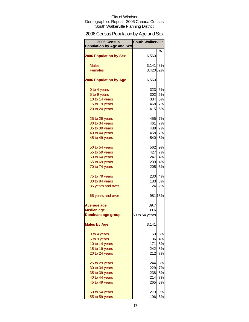### 2006 Census Population by Age and Sex

| 2006 Census<br><b>Population by Age and Sex</b> | <b>South Walkerville</b> |           |
|-------------------------------------------------|--------------------------|-----------|
|                                                 |                          | %         |
| <b>2006 Population by Sex</b>                   | 6,560                    |           |
| <b>Males</b>                                    | 3,14148%                 |           |
| <b>Females</b>                                  | 3,420 52%                |           |
|                                                 |                          |           |
| <b>2006 Population by Age</b>                   | 6,560                    |           |
| 0 to 4 years                                    | 323                      | 5%        |
| 5 to 9 years                                    | 302                      | 5%        |
| 10 to 14 years                                  | 384                      | 6%        |
| 15 to 19 years                                  | 468                      | 7%        |
| 20 to 24 years                                  | 415                      | <b>6%</b> |
|                                                 |                          |           |
| 25 to 29 years                                  | 455                      | 7%        |
| 30 to 34 years                                  | 461                      | 7%        |
| 35 to 39 years                                  | 488                      | 7%        |
| 40 to 44 years                                  | 458                      | 7%        |
| 45 to 49 years                                  | 540                      | 8%        |
| 50 to 54 years                                  | 562                      | 9%        |
| 55 to 59 years                                  | 427                      | 7%        |
| 60 to 64 years                                  | 247                      | 4%        |
| 65 to 69 years                                  | 239                      | 4%        |
| 70 to 74 years                                  | 205                      | 3%        |
| 75 to 79 years                                  |                          | 230 4%    |
| 80 to 84 years                                  | 183                      | 3%        |
| 85 years and over                               | 124                      | 2%        |
| 65 years and over                               |                          | 981 15%   |
| <b>Average age</b>                              | 39.7                     |           |
| <b>Median age</b>                               | 39.6                     |           |
| <b>Dominant age group</b>                       | 50 to 54 years           |           |
| <b>Males by Age</b>                             | 3,141                    |           |
|                                                 | 169                      | 5%        |
| 0 to 4 years                                    | 136                      | 4%        |
| 5 to 9 years<br>10 to 14 years                  | 171                      | 5%        |
|                                                 | 242                      | 8%        |
| 15 to 19 years                                  |                          |           |
| 20 to 24 years                                  | 212                      | 7%        |
| 25 to 29 years                                  | 244                      | 8%        |
| 30 to 34 years                                  | 229                      | 7%        |
| 35 to 39 years                                  | 238                      | 8%        |
| 40 to 44 years                                  | 214                      | 7%        |
| 45 to 49 years                                  | 265                      | 8%        |
| 50 to 54 years                                  | 273                      | 9%        |
| 55 to 59 years                                  | 196                      | 6%        |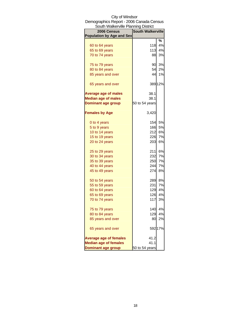| South Walkerville Planning District |                          |         |
|-------------------------------------|--------------------------|---------|
| 2006 Census                         | <b>South Walkerville</b> |         |
| <b>Population by Age and Sex</b>    |                          |         |
|                                     |                          | %       |
| 60 to 64 years                      | 118                      | 4%      |
| 65 to 69 years                      | 113                      | 4%      |
| 70 to 74 years                      | 88                       | 3%      |
| 75 to 79 years                      | 90                       | 3%      |
| 80 to 84 years                      | 54                       | 2%      |
| 85 years and over                   | 44                       | 1%      |
| 65 years and over                   |                          | 389 12% |
| <b>Average age of males</b>         | 38.1                     |         |
| <b>Median age of males</b>          | 38.1                     |         |
| <b>Dominant age group</b>           | 50 to 54 years           |         |
| <b>Females by Age</b>               | 3,420                    |         |
| 0 to 4 years                        | 154                      | 5%      |
| 5 to 9 years                        | 166                      | 5%      |
| 10 to 14 years                      | 212                      | 6%      |
| 15 to 19 years                      | 226                      | 7%      |
| 20 to 24 years                      | 203                      | 6%      |
| 25 to 29 years                      | 211                      | 6%      |
| 30 to 34 years                      | 232                      | 7%      |
| 35 to 39 years                      | 250                      | 7%      |
| 40 to 44 years                      | 244                      | 7%      |
| 45 to 49 years                      | 274                      | 8%      |
| 50 to 54 years                      | 289                      | 8%      |
| 55 to 59 years                      | 231                      | 7%      |
| 60 to 64 years                      | 129                      | 4%      |
| 65 to 69 years                      | 126                      | 4%      |
| 70 to 74 years                      | 117                      | 3%      |
|                                     | 140                      | 4%      |
| 75 to 79 years<br>80 to 84 years    | 129                      | 4%      |
| 85 years and over                   | 80                       | 2%      |
| 65 years and over                   |                          | 592 17% |
| <b>Average age of females</b>       | 41.2                     |         |
| <b>Median age of females</b>        | 41.1                     |         |
| <b>Dominant age group</b>           | 50 to 54 years           |         |

### City of Windsor Demographics Report - 2006 Canada Census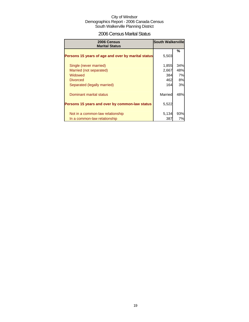### 2006 Census Marital Status

| 2006 Census<br><b>Marital Status</b>               | <b>South Walkerville</b> |     |
|----------------------------------------------------|--------------------------|-----|
|                                                    |                          | %   |
| Persons 15 years of age and over by marital status | 5,503                    |     |
| Single (never married)                             | 1,855                    | 34% |
| Married (not separated)                            | 2,667                    | 48% |
| Widowed                                            | 384                      | 7%  |
| <b>Divorced</b>                                    | 462                      | 8%  |
| Separated (legally married)                        | 164                      | 3%  |
| Dominant marital status                            | Married                  | 48% |
| Persons 15 years and over by common-law status     | 5,522                    |     |
| Not in a common-law relationship                   | 5,134                    | 93% |
| In a common-law relationship                       | 387                      | 7%  |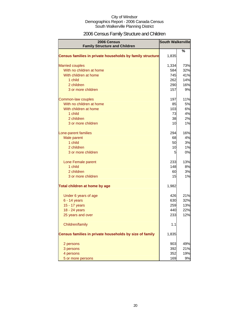### 2006 Census Family Structure and Children

| 2006 Census                                               | <b>South Walkerville</b> |     |
|-----------------------------------------------------------|--------------------------|-----|
| <b>Family Structure and Children</b>                      |                          |     |
| Census families in private households by family structure | 1,835                    | %   |
| <b>Married couples</b>                                    | 1,334                    | 73% |
| With no children at home                                  | 584                      | 32% |
| With children at home                                     | 745                      | 41% |
| 1 child                                                   | 262                      | 14% |
| 2 children                                                | 290                      | 16% |
| 3 or more children                                        | 157                      | 9%  |
| Common-law couples                                        | 197                      | 11% |
| With no children at home                                  | 85                       | 5%  |
| With children at home                                     | 103                      | 6%  |
| 1 child                                                   | 73                       | 4%  |
| 2 children                                                | 38                       | 2%  |
| 3 or more children                                        | 10                       | 1%  |
| Lone-parent families                                      | 294                      | 16% |
| Male parent                                               | 68                       | 4%  |
| 1 child                                                   | 50                       | 3%  |
| 2 children                                                | 10                       | 1%  |
| 3 or more children                                        | 5                        | 0%  |
| Lone Female parent                                        | 233                      | 13% |
| 1 child                                                   | 148                      | 8%  |
| 2 children                                                | 60                       | 3%  |
| 3 or more children                                        | 15                       | 1%  |
| Total children at home by age                             | 1,982                    |     |
| Under 6 years of age                                      | 426                      | 21% |
| 6 - 14 years                                              | 630                      | 32% |
| 15 - 17 years                                             | 259                      | 13% |
| 18 - 24 years                                             | 440                      | 22% |
| 25 years and over                                         | 233                      | 12% |
| Children/family                                           | 1.1                      |     |
| Census families in private households by size of family   | 1,835                    |     |
| 2 persons                                                 | 903                      | 49% |
| 3 persons                                                 | 392                      | 21% |
| 4 persons                                                 | 352                      | 19% |
| 5 or more persons                                         | 169                      | 9%  |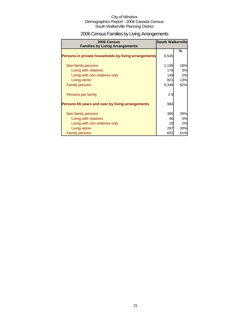### 2006 Census Families by Living Arrangements

| 2006 Census<br><b>Families by Living Arrangements</b> | <b>South Walkerville</b> |     |
|-------------------------------------------------------|--------------------------|-----|
| Persons in private households by living arrangements  | 6,545                    | %   |
| Non-family persons                                    | 1,198                    | 18% |
| Living with relatives                                 | 176                      | 3%  |
| Living with non-relatives only                        | 149                      | 2%  |
| Living alone                                          | 821                      | 13% |
| <b>Family persons</b>                                 | 5,348                    | 82% |
| Persons per family                                    | 2.9                      |     |
| Persons 65 years and over by living arrangements      | 984                      |     |
| Non-family persons                                    | 385                      | 39% |
| Living with relatives                                 | 46                       | 5%  |
| Living with non-relatives only                        | 20                       | 2%  |
| Living alone                                          | 297                      | 30% |
| <b>Family persons</b>                                 | 602                      | 61% |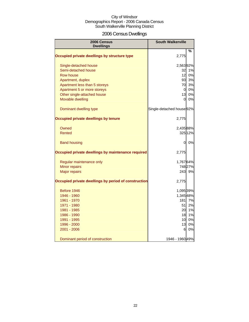### 2006 Census Dwellings

| 2006 Census<br><b>Dwellings</b>                      | <b>South Walkerville</b>             |         |
|------------------------------------------------------|--------------------------------------|---------|
|                                                      |                                      | %       |
| Occupied private dwellings by structure type         | 2,775                                |         |
| Single-detached house                                | 2,56392%                             |         |
| Semi-detached house                                  | 32                                   | 1%      |
| Row house                                            | 12                                   | 0%      |
| Apartment, duplex                                    | 93                                   | 3%      |
| Apartment less than 5 storeys                        | 70                                   | 3%      |
| Apartment 5 or more storeys                          | <sub>0</sub>                         | 0%      |
| Other single-attached house                          | 13                                   | 0%      |
| Movable dwelling                                     | 0                                    | 0%      |
| Dominant dwelling type                               | Single-detached house <sup>92%</sup> |         |
| Occupied private dwellings by tenure                 | 2,775                                |         |
| Owned                                                | 2,435 88%                            |         |
| Rented                                               |                                      | 325 12% |
| <b>Band housing</b>                                  | 0                                    | 0%      |
| Occupied private dwellings by maintenance required   | 2,775                                |         |
| Regular maintenance only                             | 1,76764%                             |         |
| Minor repairs                                        |                                      | 748 27% |
| <b>Major repairs</b>                                 | 243                                  | 9%      |
| Occupied private dwellings by period of construction | 2,775                                |         |
| Before 1946                                          | 1,095 39%                            |         |
| 1946 - 1960                                          | 1,345 48%                            |         |
| 1961 - 1970                                          | 181                                  | 7%      |
| 1971 - 1980                                          | 51                                   | 2%      |
| 1981 - 1985                                          | 20                                   | 1%      |
| 1986 - 1990                                          | 18                                   | 1%      |
| 1991 - 1995                                          | 10                                   | 0%      |
| 1996 - 2000                                          | 13                                   | 0%      |
| 2001 - 2006                                          | 6                                    | 0%      |
| Dominant period of construction                      | 1946 - 1960 49%                      |         |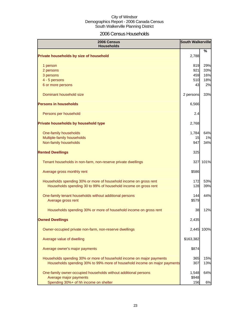### 2006 Census Households

| 2006 Census<br><b>Households</b>                                          |           | <b>South Walkerville</b> |
|---------------------------------------------------------------------------|-----------|--------------------------|
| Private households by size of household                                   | 2,788     | %                        |
| 1 person                                                                  | 819       | 29%                      |
| 2 persons                                                                 | 921       | 33%                      |
| 3 persons                                                                 | 459       | 16%                      |
| 4 - 5 persons                                                             | 510       | 18%                      |
| 6 or more persons                                                         | 43        | 2%                       |
| Dominant household size                                                   | 2 persons | 33%                      |
| <b>Persons in households</b>                                              | 6,566     |                          |
| Persons per household                                                     | 2.4       |                          |
| Private households by household type                                      | 2,768     |                          |
| One-family households                                                     | 1,784     | 64%                      |
| Multiple-family households                                                | 15        | 1%                       |
| Non-family households                                                     | 947       | 34%                      |
| <b>Rented Dwellings</b>                                                   | 325       |                          |
| Tenant households in non-farm, non-reserve private dwellings              | 327       | 101%                     |
| Average gross monthly rent                                                | \$586     |                          |
| Households spending 30% or more of household income on gross rent         | 172       | 53%                      |
| Households spending 30 to 99% of household income on gross rent           | 128       | 39%                      |
| One-family tenant households without additional persons                   | 144       | 44%                      |
| Average gross rent                                                        | \$579     |                          |
| Households spending 30% or more of household income on gross rent         | 38        | 12%                      |
| <b>Owned Dwellings</b>                                                    | 2,435     |                          |
| Owner-occupied private non-farm, non-reserve dwellings                    | 2,445     | 100%                     |
| Average value of dwelling                                                 | \$163,382 |                          |
| Average owner's major payments                                            | \$874     |                          |
| Households spending 30% or more of household income on major payments     | 365       | 15%                      |
| Households spending 30% to 99% more of household income on major payments | 307       | 13%                      |
| One-family owner-occupied households without additional persons           | 1,548     | 64%                      |
| Average major payments                                                    | \$948     |                          |
| Spending 30%+ of hh income on shelter                                     | 156       | 6%                       |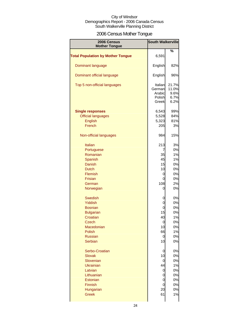### 2006 Census Mother Tongue

| 2006 Census<br><b>Mother Tongue</b>      | <b>South Walkerville</b>                       |                                        |
|------------------------------------------|------------------------------------------------|----------------------------------------|
|                                          |                                                | %                                      |
| <b>Total Population by Mother Tongue</b> | 6,591                                          |                                        |
| Dominant language                        | English                                        | 82%                                    |
| Dominant official language               | English                                        | 96%                                    |
| Top 5 non-official languages             | Italian<br>German<br>Arabic<br>Polish<br>Greek | 21.7%<br>11.0%<br>9.6%<br>6.7%<br>6.2% |
| <b>Single responses</b>                  | 6,543                                          | 99%                                    |
| <b>Official languages</b>                | 5,528                                          | 84%                                    |
|                                          |                                                | 81%                                    |
| English                                  | 5,323                                          |                                        |
| French                                   | 205                                            | 3%                                     |
| Non-official languages                   | 984                                            | 15%                                    |
| <b>Italian</b>                           | 213                                            | 3%                                     |
| Portuguese                               | 7                                              | 0%                                     |
| Romanian                                 | 35                                             | 1%                                     |
| Spanish                                  | 45                                             | 1%                                     |
| Danish                                   | 15                                             | 0%                                     |
| <b>Dutch</b>                             |                                                |                                        |
|                                          | 10                                             | 0%                                     |
| <b>Flemish</b>                           | 0                                              | 0%                                     |
| <b>Frisian</b>                           | 0                                              | 0%                                     |
| German                                   | 108                                            | 2%                                     |
| Norwegian                                | 0                                              | 0%                                     |
| <b>Swedish</b>                           | 0                                              | 0%                                     |
| <b>Yiddish</b>                           | 0                                              | 0%                                     |
| <b>Bosnian</b>                           | 0                                              | 0%                                     |
| <b>Bulgarian</b>                         | 15                                             | 0%                                     |
| Croatian                                 | 40                                             | 1%                                     |
| Czech                                    | U                                              | 0%                                     |
| Macedonian                               | 10                                             | 0%                                     |
| Polish                                   | 66                                             | 1%                                     |
| <b>Russian</b>                           | 0                                              | 0%                                     |
| Serbian                                  | 10                                             | 0%                                     |
| Serbo-Croatian                           | 0                                              | 0%                                     |
| <b>Slovak</b>                            | 10                                             | 0%                                     |
| Slovenian                                | 0                                              | 0%                                     |
| <b>Ukrainian</b>                         | 44                                             | 1%                                     |
| Latvian                                  | 0                                              | 0%                                     |
| Lithuanian                               | 0                                              | 0%                                     |
| Estonian                                 | 0                                              | 0%                                     |
| Finnish                                  | 0                                              | 0%                                     |
|                                          |                                                |                                        |
| Hungarian                                | 20                                             | 0%                                     |
| <b>Greek</b>                             | 61                                             | 1%                                     |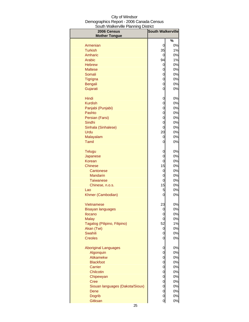| au i vvancivnic i lainnig<br><b>DISUIV</b><br>2006 Census<br><b>Mother Tongue</b> | <b>South Walkerville</b> |               |
|-----------------------------------------------------------------------------------|--------------------------|---------------|
|                                                                                   |                          | $\frac{1}{2}$ |
| Armenian                                                                          | 0                        | 0%            |
| <b>Turkish</b>                                                                    | 35                       | 1%            |
| Amharic                                                                           | 0                        | 0%            |
| Arabic                                                                            | 94                       | 1%            |
| <b>Hebrew</b>                                                                     | 0                        | 0%            |
| <b>Maltese</b>                                                                    | 0                        | 0%            |
| Somali                                                                            | 0                        | 0%            |
| Tigrigna                                                                          | $\mathbf 0$              | 0%            |
| Bengali                                                                           | $\overline{0}$           | 0%            |
| Gujarati                                                                          | $\overline{0}$           | 0%            |
| Hindi                                                                             | 0                        | 0%            |
| <b>Kurdish</b>                                                                    | 0                        | 0%            |
| Panjabi (Punjabi)                                                                 | $\overline{0}$           | 0%            |
| Pashto                                                                            | $\overline{0}$           | 0%            |
| Persian (Farsi)                                                                   | $\mathbf 0$              | 0%            |
| Sindhi                                                                            | $\mathbf 0$              | 0%            |
| Sinhala (Sinhalese)                                                               | $\overline{0}$           | 0%            |
| Urdu                                                                              | 20                       | 0%            |
| Malayalam                                                                         | 0                        | 0%            |
| Tamil                                                                             | $\mathbf 0$              | 0%            |
| <b>Telugu</b>                                                                     | $\mathbf 0$              | 0%            |
| Japanese                                                                          | $\mathbf 0$              | 0%            |
| Korean                                                                            | 0                        | 0%            |
| <b>Chinese</b>                                                                    | 15                       | 0%            |
| Cantonese                                                                         | 0                        | 0%            |
| <b>Mandarin</b>                                                                   | 0                        | 0%            |
| <b>Taiwanese</b>                                                                  | 0                        | 0%            |
| Chinese, n.o.s.                                                                   | 15                       | 0%            |
| Lao                                                                               | 5                        | 0%            |
| Khmer (Cambodian)                                                                 | $\mathbf 0$              | 0%            |
| Vietnamese                                                                        | 23                       | 0%            |
| <b>Bisayan languages</b>                                                          | $\Omega$                 | 0%            |
| <b>Ilocano</b>                                                                    | 0                        | 0%            |
| <b>Malay</b>                                                                      | $\mathbf 0$              | 0%            |
| Tagalog (Pilipino, Filipino)                                                      | 52                       | 1%            |
| Akan (Twi)                                                                        | 0                        | 0%            |
| Swahili                                                                           | $\mathbf 0$              | 0%            |
| <b>Creoles</b>                                                                    | $\mathbf 0$              | 0%            |
| <b>Aboriginal Languages</b>                                                       | 0                        | 0%            |
| Algonquin                                                                         | $\mathbf 0$              | 0%            |
| Atikamekw                                                                         | $\mathbf 0$              | 0%            |
| <b>Blackfoot</b>                                                                  | $\mathbf 0$              | 0%            |
| Carrier                                                                           | $\mathbf 0$              | 0%            |
| Chilcotin                                                                         | $\mathbf 0$              | 0%            |
| Chipewyan                                                                         | $\mathbf 0$              | 0%            |
| <b>Cree</b>                                                                       | $\mathbf 0$              | 0%            |
| Siouan languages (Dakota/Sioux)                                                   | $\mathbf 0$              | 0%            |
| Dene                                                                              | $\mathbf 0$              | 0%            |
| <b>Dogrib</b>                                                                     | $\overline{0}$           | 0%            |
| Gitksan                                                                           | $\overline{0}$           | 0%            |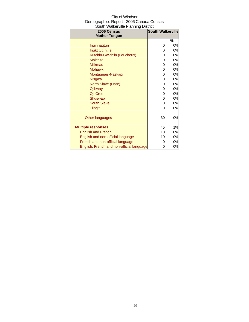| South Walkerville Planning District       |                          |    |
|-------------------------------------------|--------------------------|----|
| 2006 Census                               | <b>South Walkerville</b> |    |
| <b>Mother Tongue</b>                      |                          |    |
|                                           |                          | %  |
| Inuinnagtun                               | 0                        | 0% |
| Inuktitut, n.i.e.                         | 0                        | 0% |
| Kutchin-Gwich'in (Loucheux)               | 0                        | 0% |
| <b>Malecite</b>                           | 0                        | 0% |
| Mi'kmaq                                   | 0                        | 0% |
| <b>Mohawk</b>                             | 0                        | 0% |
| Montagnais-Naskapi                        | 0                        | 0% |
| Nisga'a                                   | 0                        | 0% |
| North Slave (Hare)                        | 0                        | 0% |
| Ojibway                                   | 0                        | 0% |
| Oji-Cree                                  | 0                        | 0% |
| Shuswap                                   | 0                        | 0% |
| <b>South Slave</b>                        | 0                        | 0% |
| <b>Tlingit</b>                            | 0                        | 0% |
|                                           |                          |    |
| Other languages                           | 30                       | 0% |
|                                           |                          |    |
| <b>Multiple responses</b>                 | 45                       | 1% |
| <b>English and French</b>                 | 10                       | 0% |
| English and non-official language         | 10                       | 0% |
| French and non-official language          | 0                        | 0% |
| English, French and non-official language | 0                        | 0% |

### City of Windsor Demographics Report - 2006 Canada Census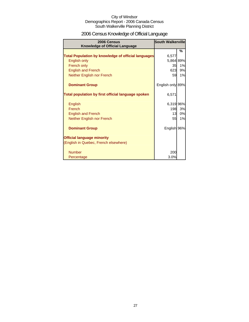### 2006 Census Knowledge of Official Language

| 2006 Census<br><b>Knowledge of Official Language</b>       | South Walkerville |               |
|------------------------------------------------------------|-------------------|---------------|
|                                                            |                   | $\frac{9}{6}$ |
| <b>Total Population by knowledge of official languages</b> | 6,577             |               |
| English only                                               | 5,864 89%         |               |
| French only                                                | 35                | 1%            |
| <b>English and French</b>                                  | 623               | 9%            |
| Neither English nor French                                 | 59                | 1%            |
| <b>Dominant Group</b>                                      | English only 89%  |               |
| Total population by first official language spoken         | 6,571             |               |
| English                                                    | 6,319 96%         |               |
| French                                                     | 198               | 3%            |
| <b>English and French</b>                                  | 13                | 0%            |
| Neither English nor French                                 | 55                | 1%            |
| <b>Dominant Group</b>                                      | English 96%       |               |
| <b>Official language minority</b>                          |                   |               |
| (English in Quebec, French elsewhere)                      |                   |               |
| <b>Number</b>                                              | 200               |               |
| Percentage                                                 | 3.0%              |               |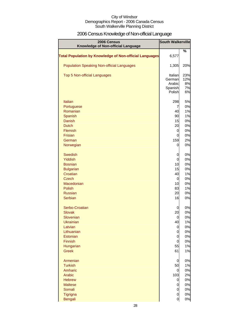### 2006 Census Knowledge of Non-official Language

| 2006 Census<br>Knowledge of Non-official Language              | <b>South Walkerville</b> |          |
|----------------------------------------------------------------|--------------------------|----------|
|                                                                |                          | %        |
| <b>Total Population by Knowledge of Non-official Languages</b> | 6,577                    |          |
| <b>Population Speaking Non-official Languages</b>              | 1,305                    | 20%      |
| Top 5 Non-official Languages                                   | Italian                  | 23%      |
|                                                                | German                   | 12%      |
|                                                                | Arabic                   | 8%       |
|                                                                | Spanish                  | 7%       |
|                                                                | Polish                   | 6%       |
| <b>Italian</b>                                                 | 298                      | 5%       |
| Portuguese                                                     | 7                        | 0%       |
| Romanian                                                       | 40                       | 1%       |
| Spanish                                                        | 90                       | 1%       |
| <b>Danish</b>                                                  | 15                       | 0%       |
| <b>Dutch</b>                                                   | 20                       | 0%       |
| <b>Flemish</b>                                                 | 0                        | 0%       |
| <b>Frisian</b>                                                 | 0                        | 0%       |
| German                                                         | 159                      | 2%       |
| Norwegian                                                      | 0                        | 0%       |
| <b>Swedish</b>                                                 | 0                        | 0%       |
| <b>Yiddish</b>                                                 | 0                        | 0%       |
| <b>Bosnian</b>                                                 | 10                       | 0%       |
| <b>Bulgarian</b>                                               | 15                       | 0%       |
| Croatian                                                       | 40                       | 1%       |
| <b>Czech</b>                                                   | 0                        | 0%       |
| Macedonian                                                     | 10                       | 0%       |
| <b>Polish</b>                                                  | 83                       | 1%       |
| <b>Russian</b>                                                 | 20                       | 0%       |
| Serbian                                                        | 16                       | 0%       |
| Serbo-Croatian                                                 | 0                        | 0%       |
| <b>Slovak</b>                                                  | 20                       | 0%       |
| Slovenian                                                      | 0                        | 0%       |
| <b>Ukrainian</b>                                               | 40                       | 1%       |
| Latvian                                                        | 0                        | 0%       |
| Lithuanian                                                     | 0                        | 0%       |
| Estonian                                                       | 0                        | 0%       |
| Finnish                                                        | 0                        | 0%       |
| Hungarian                                                      | 55                       | 1%       |
| <b>Greek</b>                                                   | 61                       | 1%       |
| Armenian                                                       | 0                        | 0%       |
| <b>Turkish</b>                                                 | 50                       | 1%       |
| Amharic                                                        | 0                        | 0%       |
| Arabic                                                         | 103                      | 2%       |
| <b>Hebrew</b>                                                  | 0                        | 0%       |
| <b>Maltese</b>                                                 | 0                        | 0%       |
| Somali                                                         | $\mathbf 0$              | 0%<br>0% |
| Tigrigna                                                       | $\overline{O}$           |          |
| <b>Bengali</b>                                                 | $\overline{0}$           | 0%       |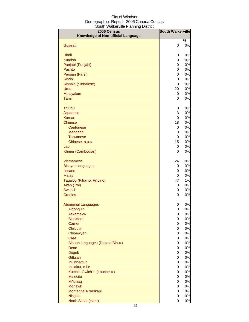| 2006 Census                        | <b>South Walkerville</b> |          |
|------------------------------------|--------------------------|----------|
| Knowledge of Non-official Language |                          |          |
|                                    |                          | %        |
| Gujarati                           | 0                        | 0%       |
| Hindi                              | 0                        | 0%       |
| <b>Kurdish</b>                     | 0                        | 0%       |
| Panjabi (Punjabi)                  | 0                        | 0%       |
| Pashto                             | 0                        | 0%       |
| Persian (Farsi)                    | 0                        | 0%       |
| Sindhi                             | 0                        | 0%       |
| Sinhala (Sinhalese)                | 0                        | 0%       |
| Urdu                               | 20                       | 0%       |
| Malayalam                          | 0                        | 0%       |
| Tamil                              | 0                        | 0%       |
| Telugu                             | 0                        | 0%       |
| Japanese                           | 3                        | 0%       |
| Korean                             | $\overline{0}$           | 0%       |
| Chinese                            | 18                       | 0%       |
| Cantonese                          | 0                        | 0%       |
| <b>Mandarin</b>                    | 3                        | 0%       |
| <b>Taiwanese</b>                   | $\overline{0}$           | 0%       |
| Chinese, n.o.s.                    | 15                       | 0%       |
| Lao                                | 0                        | 0%       |
| Khmer (Cambodian)                  | 0                        | 0%       |
| Vietnamese                         | 24                       | 0%       |
| <b>Bisayan languages</b>           | 0                        | 0%       |
| Ilocano                            | 0                        | 0%       |
| <b>Malay</b>                       | 0                        | 0%       |
| Tagalog (Pilipino, Filipino)       | 47                       | 1%       |
| Akan (Twi)                         | 0                        | 0%       |
| <b>Swahili</b>                     | 0                        | 0%       |
| <b>Creoles</b>                     | 0                        | 0%       |
| <b>Aboriginal Languages</b>        | 0                        | $0\%$    |
| Algonquin                          | $\overline{0}$           | 0%       |
| <b>Atikamekw</b>                   | $\mathbf 0$              | 0%       |
| <b>Blackfoot</b>                   | 0                        | 0%       |
| Carrier                            | $\mathbf 0$              | 0%       |
| Chilcotin                          | 0                        | 0%       |
| Chipewyan                          | 0                        | 0%       |
| <b>Cree</b>                        | $\mathbf 0$              | 0%       |
| Siouan languages (Dakota/Sioux)    | $\mathbf 0$              | 0%       |
| Dene<br><b>Dogrib</b>              | $\mathbf 0$<br>0         | 0%<br>0% |
| Gitksan                            | 0                        | 0%       |
| Inuinnaqtun                        | 0                        | 0%       |
| Inuktitut, n.i.e.                  | 0                        | 0%       |
| Kutchin-Gwich'in (Loucheux)        | 0                        | 0%       |
| <b>Malecite</b>                    | 0                        | 0%       |
| Mi'kmaq                            | 0                        | 0%       |
| <b>Mohawk</b>                      | 0                        | 0%       |
| Montagnais-Naskapi                 | 0                        | 0%       |
| Nisga'a                            | 0                        | 0%       |
| North Slave (Hare)                 | $\overline{0}$           | 0%       |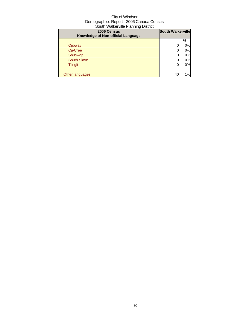| 2006 Census<br>Knowledge of Non-official Language | <b>South Walkerville</b> |    |
|---------------------------------------------------|--------------------------|----|
|                                                   |                          | %  |
| Ojibway                                           |                          | 0% |
| Oji-Cree                                          |                          | 0% |
| Shuswap                                           |                          | 0% |
| <b>South Slave</b>                                |                          | 0% |
| <b>Tlingit</b>                                    |                          | 0% |
|                                                   |                          |    |
| Other languages                                   | 40                       | 1% |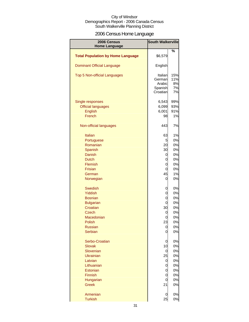### 2006 Census Home Language

| 2006 Census<br><b>Home Language</b>      | <b>South Walkerville</b>                           |                              |
|------------------------------------------|----------------------------------------------------|------------------------------|
|                                          |                                                    | %                            |
| <b>Total Population by Home Language</b> | \$6,579                                            |                              |
| <b>Dominant Official Language</b>        | English                                            |                              |
| <b>Top 5 Non-official Languages</b>      | Italian<br>German<br>Arabic<br>Spanish<br>Croatian | 15%<br>11%<br>8%<br>7%<br>7% |
| Single responses                         | 6,543                                              | 99%                          |
| <b>Official languages</b>                | 6,099                                              | 93%                          |
| English                                  | 6,001                                              | 91%                          |
| French                                   | 98                                                 | 1%                           |
| Non-official languages                   | 443                                                | 7%                           |
| <b>Italian</b>                           | 63                                                 | 1%                           |
| Portuguese                               | 5                                                  | 0%                           |
| Romanian                                 | 20                                                 | 0%                           |
| Spanish                                  | 30                                                 | 0%                           |
| Danish                                   | 0                                                  | 0%                           |
| <b>Dutch</b>                             | 0                                                  | 0%                           |
| <b>Flemish</b>                           | 0                                                  | 0%                           |
| <b>Frisian</b>                           | 0                                                  | 0%                           |
| German                                   | 45                                                 | 1%                           |
| Norwegian                                | 0                                                  | 0%                           |
| <b>Swedish</b>                           | 0                                                  | 0%                           |
| <b>Yiddish</b>                           | 0                                                  | 0%                           |
| <b>Bosnian</b>                           | 0                                                  | 0%                           |
| <b>Bulgarian</b>                         | 0                                                  | 0%                           |
| Croatian                                 | 30                                                 | 0%                           |
| <b>Czech</b>                             | 0                                                  | 0%                           |
| Macedonian                               | 0                                                  | 0%                           |
| Polish                                   | 23                                                 | U%                           |
| <b>Russian</b>                           | 0                                                  | 0%                           |
| Serbian                                  | 0                                                  | 0%                           |
| Serbo-Croatian                           | $\mathbf 0$                                        | 0%                           |
| Slovak                                   | 10                                                 | 0%                           |
| Slovenian                                | 0                                                  | 0%                           |
| <b>Ukrainian</b>                         | 25                                                 | 0%                           |
| Latvian                                  | 0                                                  | 0%                           |
| Lithuanian                               | 0                                                  | 0%                           |
| Estonian                                 | 0                                                  | 0%                           |
| Finnish                                  | 0                                                  | 0%                           |
| Hungarian                                | 0                                                  | 0%                           |
| <b>Greek</b>                             | 21                                                 | 0%                           |
| Armenian                                 | 0                                                  | 0%                           |
| <b>Turkish</b>                           | 25                                                 | 0%                           |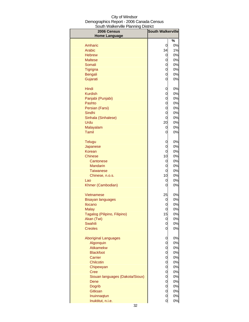| au i vvano i villo i lai lilling<br>יטו יש<br>2006 Census | <b>South Walkerville</b> |    |
|-----------------------------------------------------------|--------------------------|----|
| <b>Home Language</b>                                      |                          | %  |
| Amharic                                                   | 0                        | 0% |
| Arabic                                                    | 34                       | 1% |
| <b>Hebrew</b>                                             | 0                        | 0% |
| <b>Maltese</b>                                            | 0                        | 0% |
| Somali                                                    | 0                        | 0% |
| <b>Tigrigna</b>                                           | 0                        | 0% |
| <b>Bengali</b>                                            | 0                        | 0% |
| Gujarati                                                  | 0                        | 0% |
|                                                           |                          |    |
| Hindi                                                     | 0                        | 0% |
| <b>Kurdish</b>                                            | 0                        | 0% |
| Panjabi (Punjabi)                                         | 0                        | 0% |
| Pashto                                                    | 0                        | 0% |
| Persian (Farsi)                                           | 0                        | 0% |
| Sindhi                                                    | 0                        | 0% |
| Sinhala (Sinhalese)                                       | 0                        | 0% |
| Urdu                                                      | 20                       | 0% |
| Malayalam                                                 | 0                        | 0% |
| Tamil                                                     | 0                        | 0% |
| <b>Telugu</b>                                             | 0                        | 0% |
| Japanese                                                  | 0                        | 0% |
| Korean                                                    | 0                        | 0% |
| <b>Chinese</b>                                            | 10                       | 0% |
| Cantonese                                                 | 0                        | 0% |
| <b>Mandarin</b>                                           | 0                        | 0% |
| <b>Taiwanese</b>                                          | 0                        | 0% |
| Chinese, n.o.s.                                           | 10                       | 0% |
| Lao                                                       | 0                        | 0% |
| Khmer (Cambodian)                                         | 0                        | 0% |
| Vietnamese                                                | 25                       | 0% |
| <b>Bisayan languages</b>                                  | 0                        | 0% |
| Ilocano                                                   | 0                        | 0% |
| <b>Malay</b>                                              | 0                        | 0% |
| Tagalog (Pilipino, Filipino)                              | 15                       | 0% |
| Akan (Twi)                                                | 0                        | 0% |
| <b>Swahili</b>                                            | 0                        | 0% |
| <b>Creoles</b>                                            | 0                        | 0% |
| <b>Aboriginal Languages</b>                               | 0                        | 0% |
| Algonquin                                                 | 0                        | 0% |
| Atikamekw                                                 | 0                        | 0% |
| <b>Blackfoot</b>                                          | 0                        | 0% |
| Carrier                                                   | 0                        | 0% |
| Chilcotin                                                 | 0                        | 0% |
| Chipewyan                                                 | 0                        | 0% |
| <b>Cree</b>                                               | 0                        | 0% |
| Siouan languages (Dakota/Sioux)                           | 0                        | 0% |
| Dene                                                      | 0                        | 0% |
| <b>Dogrib</b>                                             | 0                        | 0% |
| Gitksan                                                   | 0                        | 0% |
| Inuinnaqtun                                               | 0                        | 0% |
| Inuktitut, n.i.e.                                         | 0                        | 0% |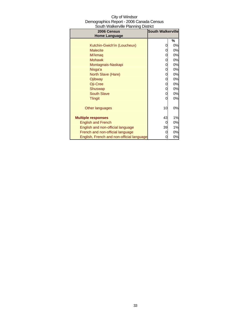| 2006 Census                               | <b>South Walkerville</b> |    |
|-------------------------------------------|--------------------------|----|
| <b>Home Language</b>                      |                          |    |
|                                           |                          | %  |
| Kutchin-Gwich'in (Loucheux)               | 0                        | 0% |
| <b>Malecite</b>                           | 0                        | 0% |
| Mi'kmaq                                   | 0                        | 0% |
| <b>Mohawk</b>                             | 0                        | 0% |
| Montagnais-Naskapi                        | 0                        | 0% |
| Nisga'a                                   | 0                        | 0% |
| North Slave (Hare)                        | 0                        | 0% |
| Ojibway                                   | 0                        | 0% |
| Oji-Cree                                  | 0                        | 0% |
| Shuswap                                   | 0                        | 0% |
| <b>South Slave</b>                        | 0                        | 0% |
| <b>Tlingit</b>                            |                          | 0% |
|                                           |                          |    |
| Other languages                           | 10                       | 0% |
|                                           |                          |    |
| <b>Multiple responses</b>                 | 43                       | 1% |
|                                           |                          | 0% |
| <b>English and French</b>                 | 0                        |    |
| English and non-official language         | 39                       | 1% |
| French and non-official language          |                          | 0% |
| English, French and non-official language |                          | 0% |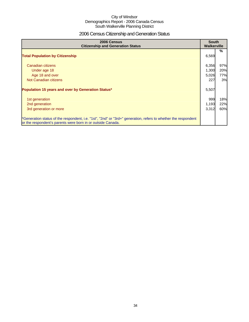### 2006 Census Citizenship and Generation Status

| 2006 Census<br><b>Citizenship and Generation Status</b>                                                                                                                       |       | <b>South</b><br><b>Walkerville</b> |  |
|-------------------------------------------------------------------------------------------------------------------------------------------------------------------------------|-------|------------------------------------|--|
| <b>Total Population by Citizenship</b>                                                                                                                                        | 6,569 | $\%$                               |  |
| Canadian citizens                                                                                                                                                             | 6,356 | 97%                                |  |
| Under age 18                                                                                                                                                                  | 1,300 | 20%                                |  |
| Age 18 and over                                                                                                                                                               | 5,026 | 77%                                |  |
| Not Canadian citizens                                                                                                                                                         | 227   | 3%                                 |  |
| Population 15 years and over by Generation Status*                                                                                                                            | 5,507 |                                    |  |
| 1st generation                                                                                                                                                                | 999   | 18%                                |  |
| 2nd generation                                                                                                                                                                | 1,193 | 22%                                |  |
| 3rd generation or more                                                                                                                                                        | 3,312 | 60%                                |  |
| *Generation status of the respondent, i.e. "1st", "2nd" or "3rd+" generation, refers to whether the respondent<br>or the respondent's parents were born in or outside Canada. |       |                                    |  |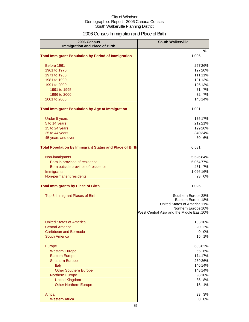### 2006 Census Immigration and Place of Birth

| 2006 Census<br><b>Immigration and Place of Birth</b>       | <b>South Walkerville</b>                                                    |         |
|------------------------------------------------------------|-----------------------------------------------------------------------------|---------|
|                                                            |                                                                             | %       |
| <b>Total Immigrant Population by Period of Immigration</b> | 1,006                                                                       |         |
| Before 1961                                                |                                                                             | 25726%  |
| 1961 to 1970                                               |                                                                             | 19720%  |
| 1971 to 1980                                               |                                                                             | 111 11% |
| 1981 to 1990                                               |                                                                             | 131 13% |
| 1991 to 2000                                               |                                                                             | 126 13% |
| 1991 to 1995                                               |                                                                             | 71 7%   |
| 1996 to 2000                                               | 72                                                                          | 7%      |
| 2001 to 2006                                               |                                                                             | 143 14% |
| <b>Total Immigrant Population by Age at Immigration</b>    | 1,001                                                                       |         |
| Under 5 years                                              |                                                                             | 17517%  |
| 5 to 14 years                                              |                                                                             | 21221%  |
| 15 to 24 years                                             |                                                                             | 19920%  |
| 25 to 44 years                                             |                                                                             | 340 34% |
| 45 years and over                                          |                                                                             | 60 6%   |
| Total Population by Immigrant Status and Place of Birth    | 6,581                                                                       |         |
| Non-immigrants                                             | 5,52684%                                                                    |         |
| Born in province of residence                              | 5,064 77%                                                                   |         |
| Born outside province of residence                         |                                                                             | 451 7%  |
| Immigrants                                                 | 1,026 16%                                                                   |         |
| Non-permanent residents                                    | 23                                                                          | 0%      |
| <b>Total Immigrants by Place of Birth</b>                  | 1,026                                                                       |         |
| Top 5 Immigrant Places of Birth                            | Southern Europe <sup>28%</sup>                                              |         |
|                                                            | Eastern Europe <sup>18%</sup>                                               |         |
|                                                            | United States of America 11%                                                |         |
|                                                            | Northern Europe <sup>10%</sup><br>West Central Asia and the Middle East 10% |         |
|                                                            |                                                                             |         |
| <b>United States of America</b>                            |                                                                             | 10310%  |
| <b>Central America</b>                                     | 20                                                                          | 2%      |
| <b>Caribbean and Bermuda</b>                               | $\overline{0}$                                                              | 0%      |
| <b>South America</b>                                       | 15                                                                          | 1%      |
| Europe                                                     |                                                                             | 633 62% |
| <b>Western Europe</b>                                      |                                                                             | 65 6%   |
| <b>Eastern Europe</b>                                      |                                                                             | 174 17% |
| <b>Southern Europe</b>                                     |                                                                             | 269 26% |
| Italy                                                      |                                                                             | 146 14% |
| <b>Other Southern Europe</b>                               |                                                                             | 148 14% |
| <b>Northern Europe</b>                                     |                                                                             | 98 10%  |
| <b>United Kingdom</b>                                      | 85                                                                          | 8%      |
| <b>Other Northern Europe</b>                               | 15                                                                          | 1%      |
| Africa                                                     | 33                                                                          | 3%      |
| <b>Western Africa</b>                                      | $\overline{0}$                                                              | 0%      |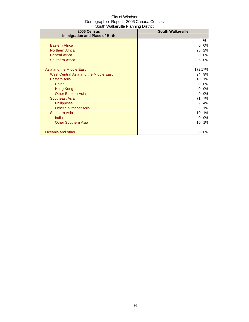| 2006 Census                           | <b>South Walkerville</b> |         |
|---------------------------------------|--------------------------|---------|
| <b>Immigration and Place of Birth</b> |                          |         |
|                                       |                          | %       |
| <b>Eastern Africa</b>                 | 0                        | 0%      |
| <b>Northern Africa</b>                | 25                       | 2%      |
| <b>Central Africa</b>                 | 0                        | 0%      |
| <b>Southern Africa</b>                | 5                        | 0%      |
|                                       |                          |         |
| Asia and the Middle East              |                          | 172 17% |
| West Central Asia and the Middle East | 94                       | 9%      |
| Eastern Asia                          | 10                       | 1%      |
| China                                 | 0                        | 0%      |
| Hong Kong                             | 0                        | 0%      |
| <b>Other Eastern Asia</b>             | $\overline{0}$           | 0%      |
| Southeast Asia                        | 71                       | 7%      |
| <b>Philippines</b>                    | 39                       | 4%      |
| <b>Other Southeast Asia</b>           | 9                        | $1\%$   |
| Southern Asia                         | 10                       | 1%      |
| India                                 | 0                        | 0%      |
| <b>Other Southern Asia</b>            | 10                       | 1%      |
|                                       |                          |         |
| Oceania and other                     | 0                        | 0%      |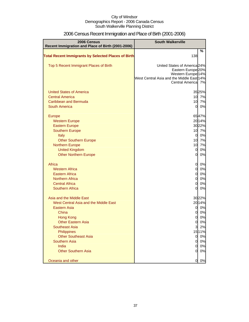| 2006 Census<br>Recent Immigration and Place of Birth (2001-2006)                                                                                                                                                                                                                                                                                               | <b>South Walkerville</b>                                                                                                                                          |                                                                                                     |
|----------------------------------------------------------------------------------------------------------------------------------------------------------------------------------------------------------------------------------------------------------------------------------------------------------------------------------------------------------------|-------------------------------------------------------------------------------------------------------------------------------------------------------------------|-----------------------------------------------------------------------------------------------------|
| <b>Total Recent Immigrants by Selected Places of Birth</b>                                                                                                                                                                                                                                                                                                     | 138                                                                                                                                                               | %                                                                                                   |
| Top 5 Recent Immigrant Places of Birth                                                                                                                                                                                                                                                                                                                         | United States of America 24%<br>Eastern Europe <sup>20%</sup><br>Western Europe <sup>14%</sup><br>West Central Asia and the Middle East 14%<br>Central America 7% |                                                                                                     |
| <b>United States of America</b><br><b>Central America</b><br>Caribbean and Bermuda<br><b>South America</b>                                                                                                                                                                                                                                                     | 10<br>$\overline{0}$                                                                                                                                              | 3525%<br>10 7%<br>7%<br>0%                                                                          |
| <b>Europe</b><br><b>Western Europe</b><br><b>Eastern Europe</b><br><b>Southern Europe</b><br>Italy<br><b>Other Southern Europe</b><br><b>Northern Europe</b><br><b>United Kingdom</b><br><b>Other Northern Europe</b><br>Africa<br><b>Western Africa</b><br><b>Eastern Africa</b><br><b>Northern Africa</b><br><b>Central Africa</b><br><b>Southern Africa</b> | <sub>0</sub><br>10<br>10<br>$\overline{0}$<br>$\overline{0}$<br>$\overline{0}$<br>$\overline{0}$<br>$\overline{0}$<br>$\overline{0}$<br>O<br>$\overline{0}$       | 6547%<br>20 14%<br>3022%<br>10 7%<br>0%<br>7%<br>7%<br>0%<br>0%<br>0%<br>0%<br>0%<br>0%<br>0%<br>0% |
| Asia and the Middle East<br>West Central Asia and the Middle East<br><b>Eastern Asia</b><br>China<br><b>Hong Kong</b><br><b>Other Eastern Asia</b><br><b>Southeast Asia</b><br>Philippines<br><b>Other Southeast Asia</b><br><b>Southern Asia</b><br>India<br><b>Other Southern Asia</b>                                                                       | 0<br>0<br>0<br><sub>0</sub><br>3<br>$\overline{0}$<br>$\overline{0}$<br>$\overline{0}$<br>$\Omega$                                                                | 3022%<br>2014%<br>0%<br>0%<br>0%<br>$0\%$<br>2%<br>1511%<br>0%<br>0%<br>0%<br>0%                    |
| Oceania and other                                                                                                                                                                                                                                                                                                                                              | 0                                                                                                                                                                 | 0%                                                                                                  |

# 2006 Census Recent Immigration and Place of Birth (2001-2006)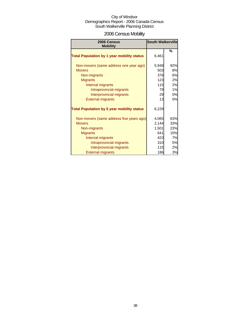# 2006 Census Mobility

| 2006 Census<br><b>Mobility</b>                    | <b>South Walkerville</b> |     |
|---------------------------------------------------|--------------------------|-----|
|                                                   |                          | %   |
| <b>Total Population by 1 year mobility status</b> | 6,461                    |     |
| Non-movers (same address one year ago)            | 5,948                    | 92% |
| <b>Movers</b>                                     | 503                      | 8%  |
| Non-migrants                                      | 378                      | 6%  |
| <b>Migrants</b>                                   | 123                      | 2%  |
| Internal migrants                                 | 115                      | 2%  |
| Intraprovincial migrants                          | 79                       | 1%  |
| Interprovincial migrants                          | 29                       | 0%  |
| <b>External migrants</b>                          | 13                       | 0%  |
| <b>Total Population by 5 year mobility status</b> | 6,229                    |     |
| Non-movers (same address five years ago)          | 4,065                    | 63% |
| <b>Movers</b>                                     | 2,144                    | 33% |
| Non-migrants                                      | 1,501                    | 23% |
| <b>Migrants</b>                                   | 641                      | 10% |
| Internal migrants                                 | 423                      | 7%  |
| Intraprovincial migrants                          | 310                      | 5%  |
| Interprovincial migrants                          | 115                      | 2%  |
| <b>External migrants</b>                          | 186                      | 3%  |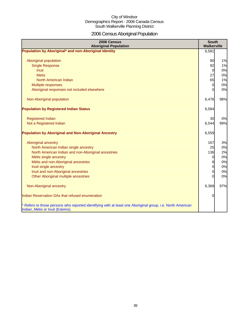# 2006 Census Aboriginal Population

| 2006 Census<br><b>Aboriginal Population</b>                                                                                                    | <b>South</b><br>Walkerville |     |
|------------------------------------------------------------------------------------------------------------------------------------------------|-----------------------------|-----|
| Population by Aboriginal* and non-Aboriginal Identity                                                                                          | 6,581                       |     |
|                                                                                                                                                |                             |     |
| Aboriginal population                                                                                                                          | 90                          | 1%  |
| <b>Single Response</b>                                                                                                                         | 92                          | 1%  |
| <b>Inuit</b>                                                                                                                                   | $\overline{0}$              | 0%  |
| <b>Metis</b>                                                                                                                                   | 27                          | 0%  |
| North American Indian                                                                                                                          | 65                          | 1%  |
| Multiple responses                                                                                                                             | 0                           | 0%  |
| Aboriginal responses not included elsewhere                                                                                                    | 0                           | 0%  |
| Non-Aboriginal population                                                                                                                      | 6,476                       | 98% |
|                                                                                                                                                |                             |     |
| <b>Population by Registered Indian Status</b>                                                                                                  | 6,584                       |     |
| <b>Registered Indian</b>                                                                                                                       | 30                          | 0%  |
| Not a Registered Indian                                                                                                                        | 6,544                       | 99% |
| <b>Population by Aboriginal and Non-Aboriginal Ancestry</b>                                                                                    | 6,559                       |     |
| Aboriginal ancestry                                                                                                                            | 167                         | 3%  |
| North American Indian single ancestry                                                                                                          | 25                          | 0%  |
| North American Indian and non-Aboriginal ancestries                                                                                            | 136                         | 2%  |
| Métis single ancestry                                                                                                                          | 0                           | 0%  |
| Métis and non-Aboriginal ancestries                                                                                                            | 8                           | 0%  |
| Inuit single ancestry                                                                                                                          | 0                           | 0%  |
| Inuit and non-Aboriginal ancestries                                                                                                            | 0                           | 0%  |
| Other Aboriginal multiple ancestries                                                                                                           |                             | 0%  |
| Non-Aboriginal ancestry                                                                                                                        | 6,368                       | 97% |
| Indian Reservation DAs that refused enumeration                                                                                                | 0                           |     |
| * Refers to those persons who reported identifying with at least one Aboriginal group, i.e. North American<br>Indian, Métis or Inuit (Eskimo). |                             |     |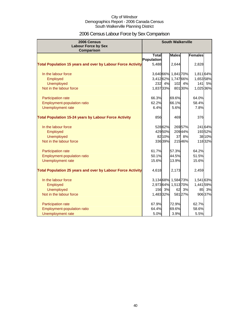# 2006 Census Labour Force by Sex Comparison

| 2006 Census<br><b>Labour Force by Sex</b><br><b>Comparison</b>     |              |         |                     | <b>South Walkerville</b> |                |        |  |  |
|--------------------------------------------------------------------|--------------|---------|---------------------|--------------------------|----------------|--------|--|--|
|                                                                    | <b>Total</b> |         | <b>Males</b>        |                          | <b>Females</b> |        |  |  |
|                                                                    | Population   |         |                     |                          |                |        |  |  |
| <b>Total Population 15 years and over by Labour Force Activity</b> | 5,488        |         | 2,644               |                          | 2,828          |        |  |  |
| In the labour force                                                | 3,640 66%    |         | 1,841 70%           |                          | 1,811 64%      |        |  |  |
| Employed                                                           | 3,412 62%    |         | 1,747 66%           |                          | 1,65358%       |        |  |  |
| <b>Unemployed</b>                                                  | 232          | 4%      | 102                 | 4%                       | $141$          | 5%     |  |  |
| Not in the labour force                                            | 1,83733%     |         |                     | 801 30%                  | 1,025 36%      |        |  |  |
| Participation rate                                                 | 66.3%        |         | 69.6%               |                          | 64.0%          |        |  |  |
| Employment-population ratio                                        | 62.2%        |         | 66.1%               |                          | 58.4%          |        |  |  |
| Unemployment rate                                                  | 6.4%         |         | 5.6%                |                          | 7.8%           |        |  |  |
| <b>Total Population 15-24 years by Labour Force Activity</b>       | 856          |         | 469                 |                          | 376            |        |  |  |
| In the labour force                                                |              | 528 62% |                     | 26957%                   |                | 24164% |  |  |
| Employed                                                           |              | 42950%  |                     | 20944%                   |                | 19352% |  |  |
| <b>Unemployed</b>                                                  |              | 82 10%  |                     | 37 8%                    |                | 3810%  |  |  |
| Not in the labour force                                            |              | 33639%  |                     | 21546%                   |                | 11832% |  |  |
| Participation rate                                                 | 61.7%        |         | 57.3%               |                          | 64.2%          |        |  |  |
| Employment-population ratio                                        | 50.1%        |         | 44.5%               |                          | 51.5%          |        |  |  |
| Unemployment rate                                                  | 15.6%        |         | 13.9%               |                          | 15.6%          |        |  |  |
| <b>Total Population 25 years and over by Labour Force Activity</b> | 4,618        |         | 2,173               |                          | 2,459          |        |  |  |
| In the labour force                                                |              |         | 3,134 68% 1,584 73% |                          | 1,54163%       |        |  |  |
| Employed                                                           |              |         | 2,97364% 1,51370%   |                          | 1,441 59%      |        |  |  |
| <b>Unemployed</b>                                                  | 156          | 3%      | 62                  | 3%                       | 85             | 3%     |  |  |
| Not in the labour force                                            | 1,48332%     |         |                     | 58127%                   |                | 90637% |  |  |
| Participation rate                                                 | 67.9%        |         | 72.9%               |                          | 62.7%          |        |  |  |
| <b>Employment-population ratio</b>                                 | 64.4%        |         | 69.6%               |                          | 58.6%          |        |  |  |
| Unemployment rate                                                  | 5.0%         |         | 3.9%                |                          | 5.5%           |        |  |  |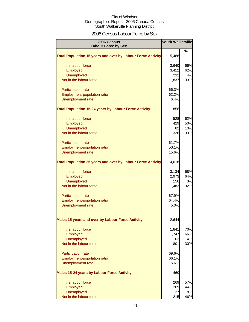# 2006 Census Labour Force by Sex

| 2006 Census<br><b>Labour Force by Sex</b>                          | <b>South Walkerville</b> |     |
|--------------------------------------------------------------------|--------------------------|-----|
|                                                                    |                          | %   |
| <b>Total Population 15 years and over by Labour Force Activity</b> | 5,488                    |     |
| In the labour force                                                | 3,640                    | 66% |
| Employed                                                           | 3,412                    | 62% |
| Unemployed                                                         | 232                      | 4%  |
| Not in the labour force                                            | 1,837                    | 33% |
| Participation rate                                                 | 66.3%                    |     |
| Employment-population ratio                                        | 62.2%                    |     |
| Unemployment rate                                                  | 6.4%                     |     |
| <b>Total Population 15-24 years by Labour Force Activity</b>       | 856                      |     |
| In the labour force                                                | 528                      | 62% |
| Employed                                                           | 429                      | 50% |
| <b>Unemployed</b>                                                  | 82                       | 10% |
| Not in the labour force                                            | 336                      | 39% |
| Participation rate                                                 | 61.7%                    |     |
| Employment-population ratio                                        | 50.1%                    |     |
| Unemployment rate                                                  | 15.6%                    |     |
| <b>Total Population 25 years and over by Labour Force Activity</b> | 4,618                    |     |
| In the labour force                                                | 3,134                    | 68% |
| Employed                                                           | 2,973                    | 64% |
| <b>Unemployed</b>                                                  | 156                      | 3%  |
| Not in the labour force                                            | 1,483                    | 32% |
| <b>Participation rate</b>                                          | 67.9%                    |     |
| Employment-population ratio                                        | 64.4%                    |     |
| Unemployment rate                                                  | 5.0%                     |     |
| <b>Males 15 years and over by Labour Force Activity</b>            | 2,644                    |     |
| In the labour force                                                | 1,841                    | 70% |
| Employed                                                           | 1,747                    | 66% |
| Unemployed                                                         | 102                      | 4%  |
| Not in the labour force                                            | 801                      | 30% |
| Participation rate                                                 | 69.6%                    |     |
| Employment-population ratio                                        | 66.1%                    |     |
| Unemployment rate                                                  | 5.6%                     |     |
| <b>Males 15-24 years by Labour Force Activity</b>                  | 469                      |     |
| In the labour force                                                | 269                      | 57% |
| Employed                                                           | 209                      | 44% |
| Unemployed                                                         | 37                       | 8%  |
| Not in the labour force                                            | 215                      | 46% |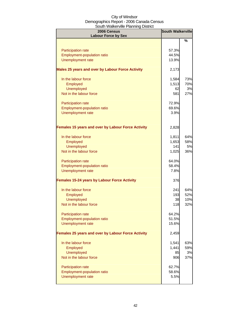| 2006 Census<br><b>Labour Force by Sex</b>                       | <b>South Walkerville</b> |           |
|-----------------------------------------------------------------|--------------------------|-----------|
|                                                                 |                          | %         |
|                                                                 | 57.3%                    |           |
| <b>Participation rate</b><br><b>Employment-population ratio</b> | 44.5%                    |           |
| Unemployment rate                                               | 13.9%                    |           |
|                                                                 |                          |           |
| Males 25 years and over by Labour Force Activity                | 2,173                    |           |
| In the labour force                                             | 1,584                    | 73%       |
| Employed                                                        | 1,513                    | 70%       |
| <b>Unemployed</b>                                               | 62                       | 3%        |
| Not in the labour force                                         | 581                      | 27%       |
| Participation rate                                              | 72.9%                    |           |
| <b>Employment-population ratio</b>                              | 69.6%                    |           |
| Unemployment rate                                               | 3.9%                     |           |
|                                                                 |                          |           |
| <b>Females 15 years and over by Labour Force Activity</b>       | 2,828                    |           |
| In the labour force                                             | 1,811                    | 64%       |
| Employed                                                        | 1,653                    | 58%       |
| <b>Unemployed</b>                                               | 141                      | <b>5%</b> |
| Not in the labour force                                         | 1,025                    | 36%       |
| <b>Participation rate</b>                                       | 64.0%                    |           |
| Employment-population ratio                                     | 58.4%                    |           |
| <b>Unemployment rate</b>                                        | 7.8%                     |           |
| <b>Females 15-24 years by Labour Force Activity</b>             | 376                      |           |
| In the labour force                                             | 241                      | 64%       |
| Employed                                                        | 193                      | 52%       |
| <b>Unemployed</b>                                               | 38                       | 10%       |
| Not in the labour force                                         | 118                      | 32%       |
|                                                                 |                          |           |
| <b>Participation rate</b><br>Employment-population ratio        | 64.2%<br>51.5%           |           |
| Unemployment rate                                               | 15.6%                    |           |
|                                                                 |                          |           |
| Females 25 years and over by Labour Force Activity              | 2,459                    |           |
| In the labour force                                             | 1,541                    | 63%       |
| Employed                                                        | 1,441                    | 59%       |
| <b>Unemployed</b>                                               | 85                       | 3%        |
| Not in the labour force                                         | 906                      | 37%       |
| Participation rate                                              | 62.7%                    |           |
| Employment-population ratio                                     | 58.6%                    |           |
| Unemployment rate                                               | 5.5%                     |           |
|                                                                 |                          |           |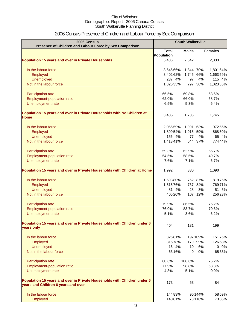# 2006 Census Presence of Children and Labour Force by Sex Comparison

| 2006 Census<br>Presence of Children and Labour Force by Sex Comparison                                          | <b>South Walkerville</b> |         |                |          |                |
|-----------------------------------------------------------------------------------------------------------------|--------------------------|---------|----------------|----------|----------------|
|                                                                                                                 | <b>Total</b>             |         | <b>Males</b>   |          | <b>Females</b> |
|                                                                                                                 | Population               |         |                |          |                |
| <b>Population 15 years and over in Private Households</b>                                                       | 5,486                    |         | 2,642          |          | 2,833          |
| In the labour force                                                                                             | 3,646 66%                |         | 1,844          | 70%      | 1,801 64%      |
| Employed                                                                                                        | 3,402 62%                |         | 1,745          | 66%      | 1,663 59%      |
| <b>Unemployed</b>                                                                                               |                          | 237 4%  | 97             | 4%       | 115 4%         |
| Not in the labour force                                                                                         | 1,826 33%                |         | 797            | 30%      | 1,023 36%      |
| Participation rate                                                                                              | 66.5%                    |         | 69.8%          |          | 63.6%          |
| Employment-population ratio                                                                                     | 62.0%                    |         | 66.0%          |          | 58.7%          |
| Unemployment rate                                                                                               | 6.5%                     |         | 5.3%           |          | 6.4%           |
| Population 15 years and over in Private Households with No Children at<br>Home                                  | 3,485                    |         | 1,735          |          | 1,745          |
| In the labour force                                                                                             | 2,066 59%                |         | 1,091          | 63%      | 972 56%        |
| Employed                                                                                                        | 1,899 54%                |         | 1,015          | 59%      | 868 50%        |
| <b>Unemployed</b>                                                                                               |                          | 156 4%  | 77             | 4%       | 65 4%          |
| Not in the labour force                                                                                         | 1,41341%                 |         | 644            | 37%      | 77444%         |
| Participation rate                                                                                              | 59.3%                    |         | 62.9%          |          | 55.7%          |
| Employment-population ratio                                                                                     | 54.5%                    |         | 58.5%          |          | 49.7%          |
| Unemployment rate                                                                                               | 7.6%                     |         | 7.1%           |          | 6.7%           |
| Population 15 years and over in Private Households with Children at Home                                        | 1,992                    |         | 880            |          | 1,090          |
| In the labour force                                                                                             | 1,59380%                 |         | 762            | 87%      | 81975%         |
| Employed                                                                                                        | 1,515 76%                |         | 737            | 84%      | 76971%         |
| <b>Unemployed</b>                                                                                               | 81                       | 4%      | 28             | 3%       | 5%<br>51       |
| Not in the labour force                                                                                         |                          | 405 20% | 107            | 12%      | 256 23%        |
| Participation rate                                                                                              | 79.9%                    |         | 86.5%          |          | 75.2%          |
| <b>Employment-population ratio</b>                                                                              | 76.0%                    |         | 83.7%          |          | 70.6%          |
| Unemployment rate                                                                                               | 5.1%                     |         | 3.6%           |          | 6.2%           |
| Population 15 years and over in Private Households with Children under 6<br>years only                          | 404                      |         | 181            |          | 199            |
| In the labour force                                                                                             |                          | 32681%  |                | 197 109% | 15176%         |
| Employed                                                                                                        |                          | 31578%  | 179            | 99%      | 12663%         |
| <b>Unemployed</b>                                                                                               |                          | 16 4%   | 10             | 6%       | 0 0%           |
| Not in the labour force                                                                                         |                          | 6316%   | $\overline{0}$ | 0%       | 6533%          |
| Participation rate                                                                                              | 80.6%                    |         | 108.6%         |          | 76.2%          |
| Employment-population ratio                                                                                     | 77.9%                    |         | 98.8%          |          | 63.3%          |
| Unemployment rate                                                                                               | 4.8%                     |         | 5.1%           |          | 0.0%           |
| Population 15 years and over in Private Households with Children under 6<br>years and Children 6 years and over | 173                      |         | 63             |          | 84             |
| In the labour force                                                                                             |                          | 14483%  |                | 90 144%  | 5869%          |
| Employed                                                                                                        |                          | 14081%  |                | 73 116%  | 7386%          |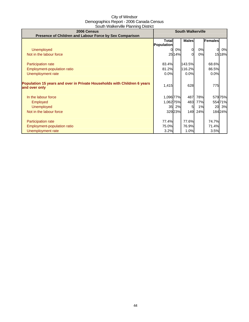| 2006 Census                                                              | <b>South Walkerville</b> |        |              |     |              |        |
|--------------------------------------------------------------------------|--------------------------|--------|--------------|-----|--------------|--------|
| Presence of Children and Labour Force by Sex Comparison                  |                          |        |              |     |              |        |
|                                                                          | <b>Total</b>             |        | <b>Males</b> |     | Females      |        |
|                                                                          | Population               |        |              |     |              |        |
| <b>Unemployed</b>                                                        |                          | 0%     | 0            | 0%  | $\mathbf{0}$ | 0%     |
| Not in the labour force                                                  |                          | 25 14% | 0            | 0%  |              | 1518%  |
|                                                                          |                          |        |              |     |              |        |
| <b>Participation rate</b>                                                | 83.4%                    |        | 143.5%       |     | 68.6%        |        |
| Employment-population ratio                                              | 81.2%                    |        | 116.2%       |     | 86.5%        |        |
| Unemployment rate                                                        | 0.0%                     |        | 0.0%         |     | 0.0%         |        |
|                                                                          |                          |        |              |     |              |        |
| Population 15 years and over in Private Households with Children 6 years | 1,415                    |        | 628          |     | 775          |        |
| and over only                                                            |                          |        |              |     |              |        |
|                                                                          |                          |        |              |     |              |        |
| In the labour force                                                      | 1,096 77%                |        | 487          | 78% |              | 57975% |
| <b>Employed</b>                                                          | 1,06275%                 |        | 483          | 77% |              | 55471% |
| <b>Unemployed</b>                                                        |                          | 35 2%  | 5            | 1%  |              | 20 3%  |
| Not in the labour force                                                  |                          | 32923% | 149          | 24% |              | 18424% |
|                                                                          |                          |        |              |     |              |        |
| <b>Participation rate</b>                                                | 77.4%                    |        | 77.6%        |     | 74.7%        |        |
| Employment-population ratio                                              | 75.0%                    |        | 76.9%        |     | 71.4%        |        |
| Unemployment rate                                                        | 3.2%                     |        | 1.0%         |     | 3.5%         |        |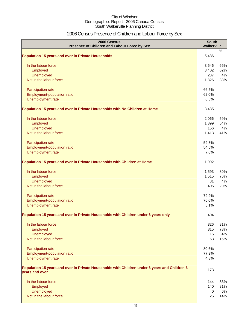# 2006 Census Presence of Children and Labour Force by Sex

| 2006 Census<br>Presence of Children and Labour Force by Sex                                                     | <b>South</b><br>Walkerville |           |
|-----------------------------------------------------------------------------------------------------------------|-----------------------------|-----------|
| <b>Population 15 years and over in Private Households</b>                                                       | 5,486                       | %         |
|                                                                                                                 |                             |           |
| In the labour force                                                                                             | 3,646                       | 66%       |
| Employed                                                                                                        | 3,402                       | 62%       |
| Unemployed<br>Not in the labour force                                                                           | 237<br>1,826                | 4%<br>33% |
|                                                                                                                 |                             |           |
| Participation rate                                                                                              | 66.5%                       |           |
| Employment-population ratio                                                                                     | 62.0%                       |           |
| Unemployment rate                                                                                               | 6.5%                        |           |
| Population 15 years and over in Private Households with No Children at Home                                     | 3,485                       |           |
| In the labour force                                                                                             | 2,066                       | 59%       |
| Employed                                                                                                        | 1,899                       | 54%       |
| Unemployed                                                                                                      | 156                         | 4%        |
| Not in the labour force                                                                                         | 1,413                       | 41%       |
| Participation rate                                                                                              | 59.3%                       |           |
| Employment-population ratio                                                                                     | 54.5%                       |           |
| Unemployment rate                                                                                               | 7.6%                        |           |
| Population 15 years and over in Private Households with Children at Home                                        | 1,992                       |           |
| In the labour force                                                                                             | 1,593                       | 80%       |
| Employed                                                                                                        | 1,515                       | 76%       |
| Unemployed                                                                                                      | 81                          | 4%        |
| Not in the labour force                                                                                         | 405                         | 20%       |
| Participation rate                                                                                              | 79.9%                       |           |
| Employment-population ratio                                                                                     | 76.0%                       |           |
| Unemployment rate                                                                                               | 5.1%                        |           |
| Population 15 years and over in Private Households with Children under 6 years only                             | 404                         |           |
| In the labour force                                                                                             | 326                         | 81%       |
| Employed                                                                                                        | 315                         | 78%       |
| Unemployed                                                                                                      | 16                          | 4%        |
| Not in the labour force                                                                                         | 63                          | 16%       |
| Participation rate                                                                                              | 80.6%                       |           |
| Employment-population ratio                                                                                     | 77.9%                       |           |
| Unemployment rate                                                                                               | 4.8%                        |           |
| Population 15 years and over in Private Households with Children under 6 years and Children 6<br>years and over | 173                         |           |
| In the labour force                                                                                             | 144                         | 83%       |
| Employed                                                                                                        | 140                         | 81%       |
| Unemployed                                                                                                      | 0                           | 0%        |
| Not in the labour force                                                                                         | 25                          | 14%       |
|                                                                                                                 |                             |           |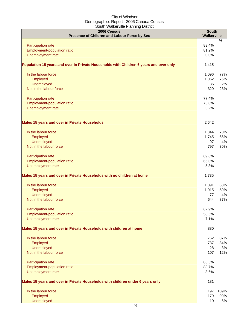| <u>soun Manor Milo Fiaming Bionice</u><br>2006 Census<br>Presence of Children and Labour Force by Sex | <b>South</b><br>Walkerville |      |
|-------------------------------------------------------------------------------------------------------|-----------------------------|------|
|                                                                                                       |                             | $\%$ |
| Participation rate                                                                                    | 83.4%                       |      |
| Employment-population ratio<br>Unemployment rate                                                      | 81.2%<br>0.0%               |      |
|                                                                                                       |                             |      |
| Population 15 years and over in Private Households with Children 6 years and over only                | 1,415                       |      |
| In the labour force                                                                                   | 1,096                       | 77%  |
| Employed                                                                                              | 1,062                       | 75%  |
| <b>Unemployed</b>                                                                                     | 35                          | 2%   |
| Not in the labour force                                                                               | 329                         | 23%  |
| Participation rate                                                                                    | 77.4%                       |      |
| Employment-population ratio                                                                           | 75.0%                       |      |
| Unemployment rate                                                                                     | 3.2%                        |      |
| <b>Males 15 years and over in Private Households</b>                                                  | 2,642                       |      |
| In the labour force                                                                                   | 1,844                       | 70%  |
| Employed                                                                                              | 1,745                       | 66%  |
| <b>Unemployed</b>                                                                                     | 97                          | 4%   |
| Not in the labour force                                                                               | 797                         | 30%  |
| Participation rate                                                                                    | 69.8%                       |      |
| Employment-population ratio                                                                           | 66.0%                       |      |
| Unemployment rate                                                                                     | 5.3%                        |      |
| Males 15 years and over in Private Households with no children at home                                | 1,735                       |      |
| In the labour force                                                                                   | 1,091                       | 63%  |
| Employed                                                                                              | 1,015                       | 59%  |
| <b>Unemployed</b>                                                                                     | 77                          | 4%   |
| Not in the labour force                                                                               | 644                         | 37%  |
| <b>Participation rate</b>                                                                             | 62.9%                       |      |
| Employment-population ratio                                                                           | 58.5%                       |      |
| Unemployment rate                                                                                     | 7.1%                        |      |
| Males 15 years and over in Private Households with children at home                                   | 880                         |      |
| In the labour force                                                                                   | 762                         | 87%  |
| Employed                                                                                              | 737                         | 84%  |
| <b>Unemployed</b>                                                                                     | 28                          | 3%   |
| Not in the labour force                                                                               | 107                         | 12%  |
| Participation rate                                                                                    | 86.5%                       |      |
| Employment-population ratio<br>Unemployment rate                                                      | 83.7%<br>3.6%               |      |
|                                                                                                       |                             |      |
| Males 15 years and over in Private Households with children under 6 years only                        | 181                         |      |
| In the labour force                                                                                   | 197                         | 109% |
| Employed                                                                                              | 179                         | 99%  |
| <b>Unemployed</b>                                                                                     | 10                          | 6%   |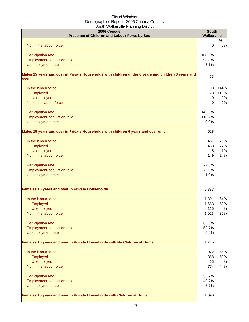| 2006 Census<br>Presence of Children and Labour Force by Sex                                                | <b>South</b><br><b>Walkerville</b> |         |
|------------------------------------------------------------------------------------------------------------|------------------------------------|---------|
| Not in the labour force                                                                                    | 0                                  | %<br>0% |
| Participation rate                                                                                         | 108.6%                             |         |
| Employment-population ratio                                                                                | 98.8%                              |         |
| Unemployment rate                                                                                          | 5.1%                               |         |
| Males 15 years and over in Private Households with children under 6 years and children 6 years and<br>over | 63                                 |         |
| In the labour force                                                                                        | 90                                 | 144%    |
| Employed                                                                                                   | 73                                 | 116%    |
| Unemployed                                                                                                 | $\overline{0}$                     | 0%      |
| Not in the labour force                                                                                    | $\Omega$                           | 0%      |
| Participation rate                                                                                         | 143.5%                             |         |
| Employment-population ratio                                                                                | 116.2%                             |         |
| Unemployment rate                                                                                          | 0.0%                               |         |
| Males 15 years and over in Private Households with children 6 years and over only                          | 628                                |         |
| In the labour force                                                                                        | 487                                | 78%     |
| Employed                                                                                                   | 483                                | 77%     |
| <b>Unemployed</b>                                                                                          | 5                                  | 1%      |
| Not in the labour force                                                                                    | 149                                | 24%     |
|                                                                                                            |                                    |         |
| Participation rate                                                                                         | 77.6%                              |         |
| Employment-population ratio                                                                                | 76.9%                              |         |
| Unemployment rate                                                                                          | 1.0%                               |         |
| Females 15 years and over in Private Households                                                            | 2,833                              |         |
| In the labour force                                                                                        | 1,801                              | 64%     |
| Employed                                                                                                   | 1,663                              | 59%     |
| Unemployed                                                                                                 | 115                                | 4%      |
| Not in the labour force                                                                                    | 1,023                              | 36%     |
| Participation rate                                                                                         | 63.6%                              |         |
| Employment-population ratio                                                                                | 58.7%                              |         |
| Unemployment rate                                                                                          | 6.4%                               |         |
| Females 15 years and over in Private Households with No Children at Home                                   | 1,745                              |         |
| In the labour force                                                                                        | 972                                | 56%     |
| Employed                                                                                                   | 868                                | 50%     |
| Unemployed                                                                                                 | 65                                 | 4%      |
| Not in the labour force                                                                                    | 774                                | 44%     |
|                                                                                                            |                                    |         |
| Participation rate                                                                                         | 55.7%<br>49.7%                     |         |
| Employment-population ratio<br>Unemployment rate                                                           | 6.7%                               |         |
|                                                                                                            |                                    |         |
| Females 15 years and over in Private Households with Children at Home                                      | 1,090                              |         |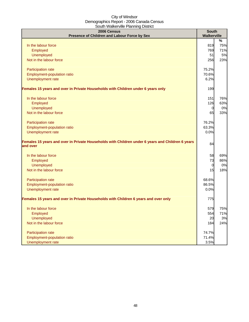|                                                                                                              | <b>South</b>   |                    |
|--------------------------------------------------------------------------------------------------------------|----------------|--------------------|
| 2006 Census<br>Presence of Children and Labour Force by Sex                                                  |                | <b>Walkerville</b> |
|                                                                                                              |                | %                  |
| In the labour force                                                                                          | 819            | 75%                |
| Employed                                                                                                     | 769            | 71%                |
| <b>Unemployed</b>                                                                                            | 51             | 5%                 |
| Not in the labour force                                                                                      | 256            | 23%                |
|                                                                                                              |                |                    |
| Participation rate                                                                                           | 75.2%          |                    |
| Employment-population ratio                                                                                  | 70.6%          |                    |
| Unemployment rate                                                                                            | 6.2%           |                    |
|                                                                                                              |                |                    |
| Females 15 years and over in Private Households with Children under 6 years only                             | 199            |                    |
| In the labour force                                                                                          | 151            | 76%                |
| Employed                                                                                                     | 126            | 63%                |
| <b>Unemployed</b>                                                                                            | $\overline{0}$ | 0%                 |
| Not in the labour force                                                                                      | 65             | 33%                |
|                                                                                                              |                |                    |
| Participation rate                                                                                           | 76.2%          |                    |
| Employment-population ratio                                                                                  | 63.3%          |                    |
| Unemployment rate                                                                                            | 0.0%           |                    |
| Females 15 years and over in Private Households with Children under 6 years and Children 6 years<br>and over | 84             |                    |
| In the labour force                                                                                          | 58             | 69%                |
| Employed                                                                                                     | 73             | 86%                |
| <b>Unemployed</b>                                                                                            | $\overline{0}$ | 0%                 |
| Not in the labour force                                                                                      | 15             | 18%                |
|                                                                                                              |                |                    |
| Participation rate                                                                                           | 68.6%          |                    |
| Employment-population ratio                                                                                  | 86.5%          |                    |
| Unemployment rate                                                                                            | 0.0%           |                    |
| Females 15 years and over in Private Households with Children 6 years and over only                          | 775            |                    |
|                                                                                                              |                |                    |
| In the labour force                                                                                          | 579            | 75%                |
| Employed                                                                                                     | 554            | 71%                |
| <b>Unemployed</b>                                                                                            | 20             | 3%                 |
| Not in the labour force                                                                                      | 184            | 24%                |
| Participation rate                                                                                           | 74.7%          |                    |
| Employment-population ratio                                                                                  | 71.4%          |                    |
| Unemployment rate                                                                                            | 3.5%           |                    |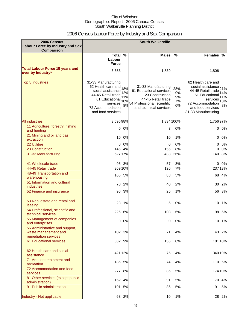# 2006 Census Labour Force by Industry and Sex Comparison

| 2006 Census<br>Labour Force by Industry and Sex<br><b>Comparison</b>           |                                                                                                                                                             |                                | <b>South Walkerville</b>                                                                                                                         |                             |                                                                                                                                                            |                                |
|--------------------------------------------------------------------------------|-------------------------------------------------------------------------------------------------------------------------------------------------------------|--------------------------------|--------------------------------------------------------------------------------------------------------------------------------------------------|-----------------------------|------------------------------------------------------------------------------------------------------------------------------------------------------------|--------------------------------|
|                                                                                | Total $\overline{\%}$<br>Labour<br><b>Force</b>                                                                                                             |                                | <b>Males</b>                                                                                                                                     | $\frac{0}{0}$               | <b>Females</b>                                                                                                                                             | %                              |
| <b>Total Labour Force 15 years and</b><br>over by Industry*                    | 3,653                                                                                                                                                       |                                | 1,839                                                                                                                                            |                             | 1,806                                                                                                                                                      |                                |
| <b>Top 5 Industries</b>                                                        | 31-33 Manufacturing<br>62 Health care and<br>social assistance<br>44-45 Retail trade<br>61 Educational<br>services<br>72 Accommodation<br>and food services | 18%<br>12%<br>11%<br>10%<br>8% | 31-33 Manufacturing<br>61 Educational services<br>23 Construction<br>44-45 Retail trade<br>54 Professional, scientific<br>and technical services | 28%<br>9%<br>9%<br>7%<br>6% | 62 Health care and<br>social assistance<br>44-45 Retail trade<br>61 Educationa<br>services<br>72 Accommodation<br>and food services<br>31-33 Manufacturing | 21%<br>14%<br>11%<br>10%<br>8% |
| <b>All industries</b>                                                          | 3,595 98%                                                                                                                                                   |                                | 1,834 100%                                                                                                                                       |                             | 1,75697%                                                                                                                                                   |                                |
| 11 Agriculture, forestry, fishing<br>and hunting                               | 0                                                                                                                                                           | 0%                             |                                                                                                                                                  | 0%                          | 0                                                                                                                                                          | 0%                             |
| 21 Mining and oil and gas<br>extraction                                        | 10                                                                                                                                                          | 0%                             | 10                                                                                                                                               | 1%                          | 0                                                                                                                                                          | 0%                             |
| <b>22 Utilities</b>                                                            | 0                                                                                                                                                           | 0%                             | 0                                                                                                                                                | 0%                          | 0                                                                                                                                                          | 0%                             |
| 23 Construction                                                                | 1461                                                                                                                                                        | 4%                             | 156                                                                                                                                              | 8%                          | 0                                                                                                                                                          | 0%                             |
| 31-33 Manufacturing                                                            |                                                                                                                                                             | 62717%                         | 483                                                                                                                                              | 26%                         | 140                                                                                                                                                        | 8%                             |
| 41 Wholesale trade<br>44-45 Retail trade                                       | 95                                                                                                                                                          | 3%<br>369 10%                  | 57<br>126                                                                                                                                        | 3%<br>7%                    | 0<br>23713%                                                                                                                                                | 0%                             |
| 48-49 Transportation and<br>warehousing                                        | 165                                                                                                                                                         | 5%                             | 83                                                                                                                                               | 5%                          | 68                                                                                                                                                         | 4%                             |
| 51 Information and cultural<br><b>industries</b>                               | 70                                                                                                                                                          | 2%                             | 40                                                                                                                                               | 2%                          | 30                                                                                                                                                         | 2%                             |
| 52 Finance and insurance                                                       | 96                                                                                                                                                          | 3%                             | 25                                                                                                                                               | 1%                          | 56                                                                                                                                                         | 3%                             |
| 53 Real estate and rental and<br>leasing                                       | 23                                                                                                                                                          | 1%                             | 5                                                                                                                                                | 0%                          | 10                                                                                                                                                         | 1%                             |
| 54 Professional, scientific and<br>technical services                          | 226                                                                                                                                                         | 6%                             | 108                                                                                                                                              | 6%                          | 98                                                                                                                                                         | 5%                             |
| 55 Management of companies<br>and enterprises                                  | 01                                                                                                                                                          | 0%                             | 0                                                                                                                                                | $0\%$                       |                                                                                                                                                            | 10 1%                          |
| 56 Administrative and support,<br>waste management and<br>remediation services | 102                                                                                                                                                         | 3%                             | 71                                                                                                                                               | 4%                          | 43                                                                                                                                                         | 2%                             |
| 61 Educational services                                                        |                                                                                                                                                             | 332 9%                         | 156                                                                                                                                              | 8%                          | 181 10%                                                                                                                                                    |                                |
| 62 Health care and social<br>assistance                                        |                                                                                                                                                             | 421 12%                        | 75                                                                                                                                               | 4%                          | 34019%                                                                                                                                                     |                                |
| 71 Arts, entertainment and<br>recreation                                       | 186                                                                                                                                                         | 5%                             | 74                                                                                                                                               | 4%                          | 110 6%                                                                                                                                                     |                                |
| 72 Accommodation and food<br>services                                          | 277                                                                                                                                                         | 8%                             | 86                                                                                                                                               | 5%                          | 17410%                                                                                                                                                     |                                |
| 81 Other services (except public<br>administration)                            |                                                                                                                                                             | 152 4%                         | 91                                                                                                                                               | 5%                          |                                                                                                                                                            | 70 4%                          |
| 91 Public administration                                                       | 191                                                                                                                                                         | 5%                             | 86                                                                                                                                               | 5%                          | 91                                                                                                                                                         | 5%                             |
| Industry - Not applicable                                                      |                                                                                                                                                             | 63 2%                          | 10                                                                                                                                               | 1%                          |                                                                                                                                                            | 28 2%                          |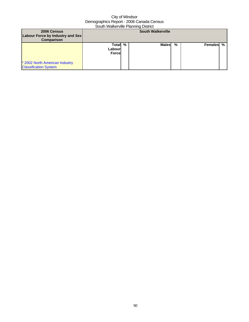| 2006 Census<br>Labour Force by Industry and Sex<br><b>Comparison</b> |                                    | <b>South Walkerville</b> |   |                  |  |
|----------------------------------------------------------------------|------------------------------------|--------------------------|---|------------------|--|
| * 2002 North American Industry<br><b>Classification System</b>       | Total %<br>Labourl<br><b>Force</b> | <b>Males</b>             | % | <b>Females</b> % |  |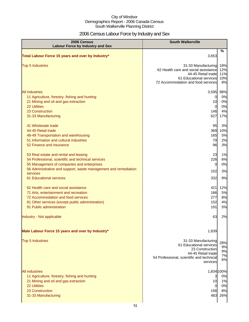# 2006 Census Labour Force by Industry and Sex

| 2006 Census<br><b>Labour Force by Industry and Sex</b>                                                                                                                                                                                              | <b>South Walkerville</b>                                                                                                                           |                                           |
|-----------------------------------------------------------------------------------------------------------------------------------------------------------------------------------------------------------------------------------------------------|----------------------------------------------------------------------------------------------------------------------------------------------------|-------------------------------------------|
| Total Labour Force 15 years and over by Industry*                                                                                                                                                                                                   | 3,653                                                                                                                                              | %                                         |
| <b>Top 5 Industries</b>                                                                                                                                                                                                                             | 31-33 Manufacturing<br>62 Health care and social assistance<br>44-45 Retail trade<br>61 Educational services<br>72 Accommodation and food services | 18%<br>12%<br>11%<br>10%<br>8%            |
| All industries<br>11 Agriculture, forestry, fishing and hunting<br>21 Mining and oil and gas extraction<br>22 Utilities<br>23 Construction<br>31-33 Manufacturing                                                                                   | 3,595<br>0<br>10<br>$\Omega$<br>146<br>627                                                                                                         | 98%<br>0%<br>0%<br>0%<br>4%<br>17%        |
| 41 Wholesale trade<br>44-45 Retail trade<br>48-49 Transportation and warehousing<br>51 Information and cultural industries<br>52 Finance and insurance                                                                                              | 95<br>369<br>165<br>70<br>96                                                                                                                       | 3%<br>10%<br>5%<br>2%<br>3%               |
| 53 Real estate and rental and leasing<br>54 Professional, scientific and technical services<br>55 Management of companies and enterprises<br>56 Administrative and support, waste management and remediation<br>services<br>61 Educational services | 23<br>226<br>0<br>102<br>332                                                                                                                       | 1%<br>6%<br>0%<br>3%<br>9%                |
| 62 Health care and social assistance<br>71 Arts, entertainment and recreation<br>72 Accommodation and food services<br>81 Other services (except public administration)<br>91 Public administration                                                 | 421<br>186<br>277<br>152<br>191                                                                                                                    | 12%<br>5%<br>8%<br>4%<br>5%               |
| Industry - Not applicable                                                                                                                                                                                                                           | 63                                                                                                                                                 | 2%                                        |
| Male Labour Force 15 years and over by Industry*                                                                                                                                                                                                    | 1,839                                                                                                                                              |                                           |
| <b>Top 5 Industries</b>                                                                                                                                                                                                                             | 31-33 Manufacturing<br>61 Educational services<br>23 Construction<br>44-45 Retail trade<br>54 Professional, scientific and technical<br>services   | 28%<br>9%<br>9%<br>7%<br>6%               |
| All industries<br>11 Agriculture, forestry, fishing and hunting<br>21 Mining and oil and gas extraction<br><b>22 Utilities</b><br>23 Construction<br>31-33 Manufacturing                                                                            | 3<br>10<br>$\Omega$<br>156<br>483                                                                                                                  | 1,834 100%<br>0%<br>1%<br>0%<br>8%<br>26% |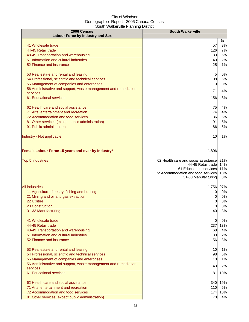| 2006 Census                                                                            | <b>South Walkerville</b>                                  |           |  |  |
|----------------------------------------------------------------------------------------|-----------------------------------------------------------|-----------|--|--|
| <b>Labour Force by Industry and Sex</b>                                                |                                                           | %         |  |  |
| 41 Wholesale trade                                                                     | 57                                                        | 3%        |  |  |
| 44-45 Retail trade                                                                     | 126                                                       | 7%        |  |  |
| 48-49 Transportation and warehousing                                                   | 83                                                        | 5%        |  |  |
| 51 Information and cultural industries                                                 | 40                                                        | 2%        |  |  |
| 52 Finance and insurance                                                               | 25                                                        | 1%        |  |  |
| 53 Real estate and rental and leasing                                                  | $\overline{5}$                                            | 0%        |  |  |
| 54 Professional, scientific and technical services                                     | 108                                                       | 6%        |  |  |
| 55 Management of companies and enterprises                                             | $\overline{0}$                                            | 0%        |  |  |
| 56 Administrative and support, waste management and remediation                        | 71                                                        | 4%        |  |  |
| services<br>61 Educational services                                                    | 156                                                       | 8%        |  |  |
|                                                                                        |                                                           |           |  |  |
| 62 Health care and social assistance                                                   | 75                                                        | 4%        |  |  |
| 71 Arts, entertainment and recreation                                                  | 74                                                        | 4%        |  |  |
| 72 Accommodation and food services                                                     | 86                                                        | 5%        |  |  |
| 81 Other services (except public administration)<br>91 Public administration           | 91<br>86                                                  | 5%<br>5%  |  |  |
|                                                                                        |                                                           |           |  |  |
| Industry - Not applicable                                                              | 10                                                        | 1%        |  |  |
| Female Labour Force 15 years and over by Industry*                                     | 1,806                                                     |           |  |  |
| <b>Top 5 Industries</b>                                                                | 62 Health care and social assistance                      | 21%       |  |  |
|                                                                                        | 44-45 Retail trade                                        | 14%       |  |  |
|                                                                                        | 61 Educational services                                   | 11%       |  |  |
|                                                                                        | 72 Accommodation and food services<br>31-33 Manufacturing | 10%<br>8% |  |  |
|                                                                                        |                                                           |           |  |  |
| <b>All industries</b>                                                                  | 1,756                                                     | 97%       |  |  |
| 11 Agriculture, forestry, fishing and hunting                                          | 0                                                         | 0%        |  |  |
| 21 Mining and oil and gas extraction<br><b>22 Utilities</b>                            | 0<br>0                                                    | 0%<br>0%  |  |  |
| 23 Construction                                                                        | 0                                                         | 0%        |  |  |
| 31-33 Manufacturing                                                                    | 140                                                       | 8%        |  |  |
|                                                                                        |                                                           |           |  |  |
| 41 Wholesale trade<br>44-45 Retail trade                                               | $\overline{0}$<br>237                                     | 0%<br>13% |  |  |
| 48-49 Transportation and warehousing                                                   | 68                                                        | 4%        |  |  |
| 51 Information and cultural industries                                                 | 30                                                        | 2%        |  |  |
| 52 Finance and insurance                                                               | 56                                                        | 3%        |  |  |
| 53 Real estate and rental and leasing                                                  | 10                                                        | 1%        |  |  |
| 54 Professional, scientific and technical services                                     | 98                                                        | 5%        |  |  |
| 55 Management of companies and enterprises                                             | 10                                                        | 1%        |  |  |
| 56 Administrative and support, waste management and remediation                        | 43                                                        | 2%        |  |  |
| services<br>61 Educational services                                                    | 181                                                       | 10%       |  |  |
|                                                                                        |                                                           |           |  |  |
| 62 Health care and social assistance                                                   | 340                                                       | 19%       |  |  |
| 71 Arts, entertainment and recreation                                                  | 110                                                       | 6%        |  |  |
| 72 Accommodation and food services<br>81 Other services (except public administration) | 174<br>70                                                 | 10%<br>4% |  |  |
|                                                                                        |                                                           |           |  |  |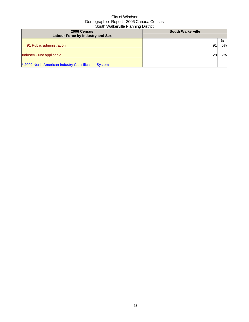| 2006 Census<br>Labour Force by Industry and Sex                                   | <b>South Walkerville</b> |                     |
|-----------------------------------------------------------------------------------|--------------------------|---------------------|
| 91 Public administration                                                          | 91                       | $\frac{6}{6}$<br>5% |
| Industry - Not applicable<br>* 2002 North American Industry Classification System | <b>28</b>                | 2%                  |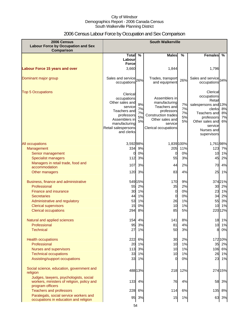# 2006 Census Labour Force by Occupation and Sex Comparison

| 2006 Census<br><b>Labour Force by Occupation and Sex</b><br><b>Comparison</b>                            | <b>South Walkerville</b>                                                                                                                                   |                            |                                                                                                                                                  |                            |                                                                                                                                                              |                      |
|----------------------------------------------------------------------------------------------------------|------------------------------------------------------------------------------------------------------------------------------------------------------------|----------------------------|--------------------------------------------------------------------------------------------------------------------------------------------------|----------------------------|--------------------------------------------------------------------------------------------------------------------------------------------------------------|----------------------|
|                                                                                                          | Total $\overline{\%}$                                                                                                                                      |                            | <b>Males</b>                                                                                                                                     | $\frac{0}{0}$              | <b>Females</b>                                                                                                                                               | %                    |
|                                                                                                          | Labour<br><b>Force</b>                                                                                                                                     |                            |                                                                                                                                                  |                            |                                                                                                                                                              |                      |
| <b>Labour Force 15 years and over</b>                                                                    | 3,660                                                                                                                                                      |                            | 1,844                                                                                                                                            |                            | 1,796                                                                                                                                                        |                      |
| Dominant major group                                                                                     | Sales and service 26%<br>occupations                                                                                                                       |                            | Trades, transport<br>and equipment                                                                                                               | 26%                        | Sales and service 34%<br>occupations                                                                                                                         |                      |
| <b>Top 5 Occupations</b>                                                                                 | Clerical<br>occupations<br>Other sales and<br>service<br>Teachers and<br>professors<br>Assemblers in<br>manufacturing<br>Retail salespersons<br>and clerks | 9%<br>7%<br>7%<br>5%<br>5% | Assemblers in<br>manufacturing<br>Teachers and<br>professors<br><b>Construction trades</b><br>Other sales and<br>service<br>Clerical occupations | 7%<br>7%<br>7%<br>5%<br>5% | Clerical<br>occupations<br>Retail<br>salespersons and 13%<br>clerks<br>Teachers and<br>professors<br>Other sales and<br>service<br>Nurses and<br>supervisors | 8%<br>8%<br>7%<br>6% |
| All occupations                                                                                          | 3,592 98%                                                                                                                                                  |                            |                                                                                                                                                  | 1,839 100%                 | 1,76198%                                                                                                                                                     |                      |
| Management                                                                                               | 334                                                                                                                                                        | 9%                         | 205                                                                                                                                              | 11%                        | 123 7%                                                                                                                                                       |                      |
| Senior management                                                                                        |                                                                                                                                                            | 0%                         | 0                                                                                                                                                | 0%                         | 10                                                                                                                                                           | 1%                   |
| <b>Specialist managers</b>                                                                               | 112                                                                                                                                                        | 3%                         | 55                                                                                                                                               | 3%                         | 45                                                                                                                                                           | 2%                   |
| Managers in retail trade, food and<br>accommodation                                                      | 107                                                                                                                                                        | 3%                         | 44                                                                                                                                               | 2%                         | 70                                                                                                                                                           | 4%                   |
| Other managers                                                                                           | 120                                                                                                                                                        | 3%                         | 83                                                                                                                                               | 4%                         | 25                                                                                                                                                           | 1%                   |
| Business, finance and administrative                                                                     |                                                                                                                                                            | 549 15%                    | 170                                                                                                                                              | 9%                         | 37421%                                                                                                                                                       |                      |
| Professional                                                                                             | 55                                                                                                                                                         | 2%                         | 35                                                                                                                                               | 2%                         |                                                                                                                                                              | 30 2%                |
| <b>Finance and insurance</b>                                                                             | 30                                                                                                                                                         | 1%                         | $\mathbf 0$                                                                                                                                      | 0%                         | 23                                                                                                                                                           | 1%                   |
| <b>Secretaries</b>                                                                                       | 44                                                                                                                                                         | 1%                         | $\mathbf 0$                                                                                                                                      | 0%                         | 34                                                                                                                                                           | 2%                   |
| Administrative and regulatory                                                                            | 53                                                                                                                                                         | 1%                         | 26                                                                                                                                               | 1%                         | 55                                                                                                                                                           | 3%                   |
| <b>Clerical supervisors</b>                                                                              | 15                                                                                                                                                         | 0%                         | 10                                                                                                                                               | 1%                         | 10                                                                                                                                                           | 1%                   |
| <b>Clerical occupations</b>                                                                              | 294                                                                                                                                                        | 8%                         | 85                                                                                                                                               | 5%                         | 22012%                                                                                                                                                       |                      |
| Natural and applied sciences                                                                             |                                                                                                                                                            | 154 4%                     | 141                                                                                                                                              | 8%                         |                                                                                                                                                              | 18 1%                |
| Professional                                                                                             | 95                                                                                                                                                         | 3%                         | 81                                                                                                                                               | 4%                         |                                                                                                                                                              | 10 1%                |
| <b>Technical</b>                                                                                         | 27                                                                                                                                                         | 1%                         | 50                                                                                                                                               | 3%                         | 8                                                                                                                                                            | 0%                   |
| <b>Health occupations</b>                                                                                | 222                                                                                                                                                        | 6%                         | 30                                                                                                                                               | 2%                         | 172 10%                                                                                                                                                      |                      |
| Professional                                                                                             | 20                                                                                                                                                         | 1%                         | 10                                                                                                                                               | 1%                         |                                                                                                                                                              | 35 2%                |
| Nurses and supervisors                                                                                   | 113                                                                                                                                                        | 3%                         | 10                                                                                                                                               | 1%                         | 106 6%                                                                                                                                                       |                      |
| <b>Technical occupations</b>                                                                             | 33                                                                                                                                                         | 1%                         | 10                                                                                                                                               | 1%                         |                                                                                                                                                              | 26 1%                |
| Assisting/support occupations                                                                            | 33                                                                                                                                                         | 1%                         | 0                                                                                                                                                | 0%                         | 23                                                                                                                                                           | 1%                   |
| Social science, education, government and<br>religion                                                    |                                                                                                                                                            | 488 13%                    | 218                                                                                                                                              | 12%                        | 274 15%                                                                                                                                                      |                      |
| Judges, lawyers, psychologists, social<br>workers, ministers of religion, policy and<br>program officers | 133                                                                                                                                                        | 4%                         | 76                                                                                                                                               | 4%                         | 58                                                                                                                                                           | 3%                   |
| <b>Teachers and professors</b>                                                                           | 228                                                                                                                                                        | 6%                         | 114                                                                                                                                              | 6%                         | 135                                                                                                                                                          | 8%                   |
| Paralegals, social service workers and<br>occupations in education and religion                          | 95                                                                                                                                                         | 3%                         | 15                                                                                                                                               | 1%                         | 63                                                                                                                                                           | 3%                   |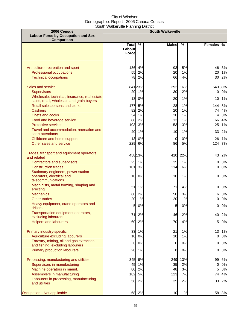| 2006 Census                                                                               | <b>South Walkerville</b> |          |                |          |                      |               |
|-------------------------------------------------------------------------------------------|--------------------------|----------|----------------|----------|----------------------|---------------|
| <b>Labour Force by Occupation and Sex</b><br>Comparison                                   |                          |          |                |          |                      |               |
|                                                                                           | Total                    | %        | <b>Males</b>   | %        | <b>Females</b>       | $\frac{9}{6}$ |
|                                                                                           | Labour<br><b>Force</b>   |          |                |          |                      |               |
|                                                                                           |                          |          |                |          |                      |               |
|                                                                                           |                          |          |                |          |                      |               |
| Art, culture, recreation and sport                                                        | 136                      | 4%       | 93             | 5%       | 46                   | 3%            |
| Professional occupations                                                                  | 55                       | 2%       | 20             | 1%       |                      | 20 1%         |
| <b>Technical occupations</b>                                                              | 78                       | 2%       | 66             | 4%       | 30 <sup>°</sup>      | 2%            |
| Sales and service                                                                         |                          | 84123%   | 292            | 16%      |                      | 54330%        |
| <b>Supervisors</b>                                                                        | 20                       | 1%       | 30             | 2%       | $\mathbf{0}$         | 0%            |
| Wholesale, technical, insurance, real estate<br>sales, retail, wholesale and grain buyers | 13                       | 0%       | 20             | 1%       | 10 <sup>1</sup>      | 1%            |
| Retail salespersons and clerks                                                            | 177                      | 5%       | 28             | 1%       | 144                  | 8%            |
| <b>Cashiers</b>                                                                           | 82                       | 2%       | 20             | 1%       | 74                   | 4%            |
| Chefs and cooks                                                                           | 54                       | 1%       | 20             | 1%       | 4                    | 0%            |
| Food and beverage service                                                                 | 88                       | 2%       | 13             | 1%       | 66                   | 4%            |
| <b>Protective services</b>                                                                | 103                      | 3%       | 53             | 3%       | 25                   | 1%            |
| Travel and accommodation, recreation and<br>sport attendants                              | 40                       | 1%       | 10             | 1%       | 33                   | 2%            |
| Childcare and home support                                                                | 13                       | 0%       | $\overline{0}$ | 0%       | 26                   | 1%            |
| Other sales and service                                                                   | 229                      | 6%       | 86             | 5%       | 124                  | 7%            |
| Trades, transport and equipment operators                                                 |                          | 458 13%  |                | 410 22%  | 43                   | 2%            |
| and related                                                                               |                          |          |                |          |                      |               |
| <b>Contractors and supervisors</b><br><b>Construction trades</b>                          | 25<br>101                | 1%<br>3% | 25<br>114      | 1%<br>6% | $\overline{0}$<br>01 | 0%<br>0%      |
| Stationary engineers, power station                                                       |                          |          |                |          |                      |               |
| operators, electrical and                                                                 | 10                       | 0%       | 10             | 1%       | 0l                   | 0%            |
| telecommunications                                                                        |                          |          |                |          |                      |               |
| Machinists, metal forming, shaping and                                                    | 51                       | 1%       | 71             | 4%       | 0l                   | 0%            |
| erecting                                                                                  |                          |          |                |          |                      |               |
| <b>Mechanics</b><br>Other trades                                                          | 60<br>20                 | 2%<br>1% | 50<br>20       | 3%<br>1% | 6<br>$\overline{0}$  | 0%<br>$0\%$   |
| Heavy equipment, crane operators and                                                      |                          |          |                |          |                      |               |
| drillers                                                                                  | 5                        | 0%       | 5              | 0%       | 0l                   | $0\%$         |
| Transportation equipment operators,<br>excluding labourers                                | 71                       | 2%       | 46             | 2%       | 40                   | 2%            |
| <b>Helpers and labourers</b>                                                              | 60                       | 2%       | 70             | 4%       | 5                    | 0%            |
| Primary industry-specific                                                                 | 33                       | 1%       | 21             | 1%       | 13                   | 1%            |
| Agriculture excluding labourers                                                           | 10                       | 0%       | 10             | 1%       | $\mathbf{0}$         | 0%            |
| Forestry, mining, oil and gas extraction,<br>and fishing, excluding labourers             | 0                        | 0%       | 0              | 0%       | $\overline{O}$       | $0\%$         |
| <b>Primary production labourers</b>                                                       | 28                       | 1%       | 8              | 0%       | 0                    | 0%            |
| Processing, manufacturing and utilities                                                   | 345                      | 9%       |                | 13%      | 99                   |               |
| Supervisors in manufacturing                                                              | 45                       | 1%       | 249<br>35      | 2%       | $\overline{0}$       | 6%<br>0%      |
| Machine operators in manuf.                                                               | 80                       | 2%       | 48             | 3%       | 5                    | 0%            |
| Assemblers in manufacturing                                                               | 182                      | 5%       | 123            | 7%       | 74                   | 4%            |
| Labourers in processing, manufacturing                                                    | 58                       | 2%       | 35             | 2%       | 33                   | 2%            |
| and utilities                                                                             |                          |          |                |          |                      |               |
| Occupation - Not applicable                                                               | 68                       | 2%       | 10             | 1%       | 58                   | 3%            |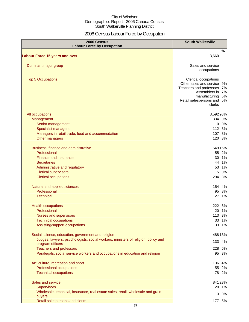# 2006 Census Labour Force by Occupation

| 2006 Census<br><b>Labour Force by Occupation</b>                                  | <b>South Walkerville</b>                 |          |
|-----------------------------------------------------------------------------------|------------------------------------------|----------|
| <b>Labour Force 15 years and over</b>                                             | 3,660                                    | %        |
|                                                                                   |                                          |          |
| Dominant major group                                                              | Sales and service                        |          |
|                                                                                   | occupations                              |          |
| <b>Top 5 Occupations</b>                                                          | Clerical occupations                     |          |
|                                                                                   | Other sales and service                  | 9%       |
|                                                                                   | Teachers and professors<br>Assemblers in | 7%<br>7% |
|                                                                                   | manufacturing                            | 5%       |
|                                                                                   | Retail salespersons and                  | 5%       |
|                                                                                   | clerks                                   |          |
| All occupations                                                                   | 3,592 98%                                |          |
| Management                                                                        | 334 9%                                   |          |
| Senior management                                                                 | $\overline{0}$                           | 0%       |
| <b>Specialist managers</b>                                                        | 112 3%                                   |          |
| Managers in retail trade, food and accommodation                                  | 107                                      | 3%       |
| Other managers                                                                    | 120 3%                                   |          |
| Business, finance and administrative                                              | 549 15%                                  |          |
| Professional                                                                      |                                          | 55 2%    |
| Finance and insurance                                                             |                                          | 30 1%    |
| <b>Secretaries</b>                                                                |                                          | 44 1%    |
| Administrative and regulatory                                                     | 53                                       | 1%       |
| <b>Clerical supervisors</b><br><b>Clerical occupations</b>                        | 15<br>294                                | 0%<br>8% |
|                                                                                   |                                          |          |
| Natural and applied sciences                                                      | 154 4%                                   |          |
| Professional                                                                      | 95                                       | 3%       |
| <b>Technical</b>                                                                  | 27                                       | 1%       |
| <b>Health occupations</b>                                                         | 222 6%                                   |          |
| Professional                                                                      |                                          | 20 1%    |
| Nurses and supervisors                                                            | 113                                      | 3%       |
| <b>Technical occupations</b>                                                      | 33                                       | 1%       |
| Assisting/support occupations                                                     |                                          | 33 1%    |
| Social science, education, government and religion                                | 488 13%                                  |          |
| Judges, lawyers, psychologists, social workers, ministers of religion, policy and | 133                                      | 4%       |
| program officers<br><b>Teachers and professors</b>                                | 228                                      | 6%       |
| Paralegals, social service workers and occupations in education and religion      | 95                                       | 3%       |
|                                                                                   |                                          |          |
| Art, culture, recreation and sport                                                | 136 4%                                   |          |
| Professional occupations                                                          |                                          | 55 2%    |
| <b>Technical occupations</b>                                                      |                                          | 78 2%    |
| Sales and service                                                                 | 841 23%                                  |          |
| <b>Supervisors</b>                                                                |                                          | 20 1%    |
| Wholesale, technical, insurance, real estate sales, retail, wholesale and grain   |                                          | 13 0%    |
| buyers                                                                            |                                          |          |
| Retail salespersons and clerks                                                    | 177 5%                                   |          |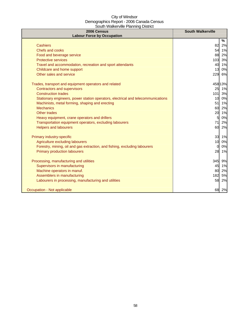| 2006 Census<br><b>Labour Force by Occupation</b>                                 | <b>South Walkerville</b> |
|----------------------------------------------------------------------------------|--------------------------|
|                                                                                  | %                        |
| <b>Cashiers</b>                                                                  | 82<br>2%                 |
| Chefs and cooks                                                                  | 54 1%                    |
| Food and beverage service                                                        | 88<br>2%                 |
| <b>Protective services</b>                                                       | 3%<br>103                |
| Travel and accommodation, recreation and sport attendants                        | 40 1%                    |
| Childcare and home support                                                       | 0%<br>13                 |
| Other sales and service                                                          | 6%<br>229                |
| Trades, transport and equipment operators and related                            | 458 13%                  |
| <b>Contractors and supervisors</b>                                               | 25<br>1%                 |
| <b>Construction trades</b>                                                       | 101<br>3%                |
| Stationary engineers, power station operators, electrical and telecommunications | 10 0%                    |
| Machinists, metal forming, shaping and erecting                                  | 51 1%                    |
| <b>Mechanics</b>                                                                 | 60<br>2%                 |
| Other trades                                                                     | 20<br>1%                 |
| Heavy equipment, crane operators and drillers                                    | 0%<br>$5 \blacksquare$   |
| Transportation equipment operators, excluding labourers                          | 71I<br>2%                |
| <b>Helpers and labourers</b>                                                     | 60<br>2%                 |
| Primary industry-specific                                                        | 33 1%                    |
| Agriculture excluding labourers                                                  | 10 <sup>1</sup><br>0%    |
| Forestry, mining, oil and gas extraction, and fishing, excluding labourers       | 0%<br>$\Omega$           |
| <b>Primary production labourers</b>                                              | 28<br>1%                 |
| Processing, manufacturing and utilities                                          | 345<br>9%                |
| Supervisors in manufacturing                                                     | 45 1%                    |
| Machine operators in manuf.                                                      | 80<br>2%                 |
| Assemblers in manufacturing                                                      | 182<br>5%                |
| Labourers in processing, manufacturing and utilities                             | 58<br>2%                 |
| Occupation - Not applicable                                                      | 68<br>2%                 |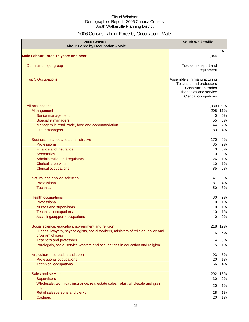# 2006 Census Labour Force by Occupation - Male

| 2006 Census<br><b>Labour Force by Occupation - Male</b>                           | <b>South Walkerville</b>                                                                                                         |            |
|-----------------------------------------------------------------------------------|----------------------------------------------------------------------------------------------------------------------------------|------------|
| <b>Male Labour Force 15 years and over</b>                                        | 1,844                                                                                                                            | %          |
|                                                                                   |                                                                                                                                  |            |
| Dominant major group                                                              | Trades, transport and<br>equipment                                                                                               |            |
| <b>Top 5 Occupations</b>                                                          | Assemblers in manufacturing<br>Teachers and professors<br>Construction trades<br>Other sales and service<br>Clerical occupations |            |
| All occupations                                                                   |                                                                                                                                  | 1,839 100% |
| Management                                                                        | 205                                                                                                                              | 11%        |
| Senior management                                                                 | $\overline{0}$                                                                                                                   | 0%         |
| <b>Specialist managers</b>                                                        | 55                                                                                                                               | 3%         |
| Managers in retail trade, food and accommodation                                  | 44                                                                                                                               | 2%         |
| Other managers                                                                    | 83                                                                                                                               | 4%         |
| Business, finance and administrative                                              | 170                                                                                                                              | 9%         |
| Professional                                                                      | 35                                                                                                                               | 2%         |
| Finance and insurance                                                             | $\overline{0}$                                                                                                                   | 0%         |
| <b>Secretaries</b>                                                                | $\overline{0}$                                                                                                                   | 0%         |
| Administrative and regulatory                                                     | 26                                                                                                                               | 1%         |
| <b>Clerical supervisors</b>                                                       | 10                                                                                                                               | 1%         |
| <b>Clerical occupations</b>                                                       | 85                                                                                                                               | 5%         |
| Natural and applied sciences                                                      | 141                                                                                                                              | 8%         |
| Professional                                                                      | 81                                                                                                                               | 4%         |
| <b>Technical</b>                                                                  | 50                                                                                                                               | 3%         |
| <b>Health occupations</b>                                                         | 30                                                                                                                               | 2%         |
| Professional                                                                      | 10                                                                                                                               | 1%         |
| <b>Nurses and supervisors</b>                                                     | 10                                                                                                                               | 1%         |
| <b>Technical occupations</b>                                                      | 10                                                                                                                               | 1%         |
| Assisting/support occupations                                                     | $\overline{0}$                                                                                                                   | 0%         |
| Social science, education, government and religion                                | 218                                                                                                                              | 12%        |
| Judges, lawyers, psychologists, social workers, ministers of religion, policy and | 76                                                                                                                               | 4%         |
| program officers<br><b>Teachers and professors</b>                                | 114                                                                                                                              | 6%         |
| Paralegals, social service workers and occupations in education and religion      | 15                                                                                                                               | 1%         |
| Art, culture, recreation and sport                                                | 93                                                                                                                               | 5%         |
| Professional occupations                                                          | 20                                                                                                                               | 1%         |
| <b>Technical occupations</b>                                                      | 66                                                                                                                               | 4%         |
| Sales and service                                                                 | 292                                                                                                                              | 16%        |
| Supervisors                                                                       | 30                                                                                                                               | 2%         |
| Wholesale, technical, insurance, real estate sales, retail, wholesale and grain   | 20                                                                                                                               | 1%         |
| buyers<br>Retail salespersons and clerks                                          | 28                                                                                                                               | 1%         |
| <b>Cashiers</b>                                                                   | 20                                                                                                                               | 1%         |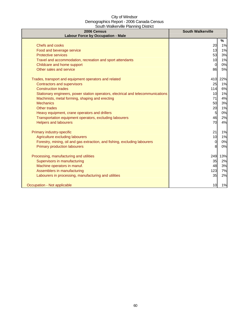| 2006 Census<br><b>Labour Force by Occupation - Male</b>                          | <b>South Walkerville</b> |      |
|----------------------------------------------------------------------------------|--------------------------|------|
|                                                                                  |                          | $\%$ |
| Chefs and cooks                                                                  | 20                       | 1%   |
| Food and beverage service                                                        | 13                       | 1%   |
| <b>Protective services</b>                                                       | 53                       | 3%   |
| Travel and accommodation, recreation and sport attendants                        | 10                       | 1%   |
| Childcare and home support                                                       | $\overline{0}$           | 0%   |
| Other sales and service                                                          | 86                       | 5%   |
| Trades, transport and equipment operators and related                            | 410                      | 22%  |
| <b>Contractors and supervisors</b>                                               | 25                       | 1%   |
| <b>Construction trades</b>                                                       | 114                      | 6%   |
| Stationary engineers, power station operators, electrical and telecommunications | 10                       | 1%   |
| Machinists, metal forming, shaping and erecting                                  | 71                       | 4%   |
| <b>Mechanics</b>                                                                 | 50                       | 3%   |
| <b>Other trades</b>                                                              | 20                       | 1%   |
| Heavy equipment, crane operators and drillers                                    | $5\overline{a}$          | 0%   |
| Transportation equipment operators, excluding labourers                          | 46                       | 2%   |
| <b>Helpers and labourers</b>                                                     | 70                       | 4%   |
| Primary industry-specific                                                        | 21                       | 1%   |
| Agriculture excluding labourers                                                  | 10                       | 1%   |
| Forestry, mining, oil and gas extraction, and fishing, excluding labourers       | 0                        | 0%   |
| <b>Primary production labourers</b>                                              | 8                        | 0%   |
| Processing, manufacturing and utilities                                          | 249                      | 13%  |
| Supervisors in manufacturing                                                     | 35                       | 2%   |
| Machine operators in manuf.                                                      | 48                       | 3%   |
| Assemblers in manufacturing                                                      | 123                      | 7%   |
| Labourers in processing, manufacturing and utilities                             | 35                       | 2%   |
| Occupation - Not applicable                                                      | 10                       | 1%   |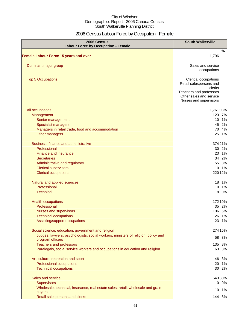# 2006 Census Labour Force by Occupation - Female

| 2006 Census<br><b>Labour Force by Occupation - Female</b>                                                                                       | <b>South Walkerville</b>                                                                                        |
|-------------------------------------------------------------------------------------------------------------------------------------------------|-----------------------------------------------------------------------------------------------------------------|
| <b>Female Labour Force 15 years and over</b>                                                                                                    | %<br>1,796                                                                                                      |
|                                                                                                                                                 |                                                                                                                 |
| Dominant major group                                                                                                                            | Sales and service<br>occupations                                                                                |
| <b>Top 5 Occupations</b>                                                                                                                        | Clerical occupations<br>Retail salespersons and<br>clerks<br>Teachers and professors<br>Other sales and service |
|                                                                                                                                                 | Nurses and supervisors                                                                                          |
| All occupations<br>Management<br>Senior management<br>Specialist managers<br>Managers in retail trade, food and accommodation<br>Other managers | 1,76198%<br>123 7%<br>10 1%<br>2%<br>45<br>70<br>4%<br>25<br>1%                                                 |
| Business, finance and administrative<br>Professional<br><b>Finance and insurance</b>                                                            | 37421%<br>30 2%<br>23 1%                                                                                        |
| <b>Secretaries</b>                                                                                                                              | 34 2%                                                                                                           |
| Administrative and regulatory                                                                                                                   | 55<br>3%                                                                                                        |
| <b>Clerical supervisors</b><br><b>Clerical occupations</b>                                                                                      | 1%<br>10<br>220 12%                                                                                             |
| Natural and applied sciences                                                                                                                    | 18 1%                                                                                                           |
| Professional<br><b>Technical</b>                                                                                                                | 10 1%<br>0%<br>8                                                                                                |
| <b>Health occupations</b>                                                                                                                       | 172 10%                                                                                                         |
| Professional                                                                                                                                    | 35 2%                                                                                                           |
| Nurses and supervisors                                                                                                                          | 106 6%                                                                                                          |
| <b>Technical occupations</b><br>Assisting/support occupations                                                                                   | 26 1%<br>23 1%                                                                                                  |
| Social science, education, government and religion                                                                                              | 274 15%                                                                                                         |
| Judges, lawyers, psychologists, social workers, ministers of religion, policy and<br>program officers                                           | 58<br>3%                                                                                                        |
| <b>Teachers and professors</b>                                                                                                                  | 8%<br>135                                                                                                       |
| Paralegals, social service workers and occupations in education and religion                                                                    | 63<br>3%                                                                                                        |
| Art, culture, recreation and sport<br>Professional occupations<br><b>Technical occupations</b>                                                  | 3%<br>46<br>20<br>1%<br>30<br>2%                                                                                |
| Sales and service                                                                                                                               | 543 30%                                                                                                         |
| <b>Supervisors</b>                                                                                                                              | 0%<br>01                                                                                                        |
| Wholesale, technical, insurance, real estate sales, retail, wholesale and grain<br>buyers                                                       | 10 1%                                                                                                           |
| Retail salespersons and clerks                                                                                                                  | 144 8%                                                                                                          |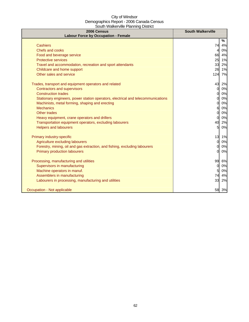| 2006 Census<br><b>Labour Force by Occupation - Female</b>                        | <b>South Walkerville</b> |    |
|----------------------------------------------------------------------------------|--------------------------|----|
|                                                                                  | %                        |    |
| <b>Cashiers</b>                                                                  | 74                       | 4% |
| Chefs and cooks                                                                  | $\overline{4}$           | 0% |
| Food and beverage service                                                        | 66                       | 4% |
| <b>Protective services</b>                                                       | 25                       | 1% |
| Travel and accommodation, recreation and sport attendants                        | 33                       | 2% |
| Childcare and home support                                                       | 26                       | 1% |
| Other sales and service                                                          | 124                      | 7% |
| Trades, transport and equipment operators and related                            | 43                       | 2% |
| <b>Contractors and supervisors</b>                                               | $\mathbf{0}$             | 0% |
| <b>Construction trades</b>                                                       | 0                        | 0% |
| Stationary engineers, power station operators, electrical and telecommunications | 01                       | 0% |
| Machinists, metal forming, shaping and erecting                                  | O                        | 0% |
| <b>Mechanics</b>                                                                 | 61                       | 0% |
| Other trades                                                                     | 0                        | 0% |
| Heavy equipment, crane operators and drillers                                    | 01                       | 0% |
| Transportation equipment operators, excluding labourers                          | 40                       | 2% |
| <b>Helpers and labourers</b>                                                     | $5 \blacksquare$         | 0% |
| Primary industry-specific                                                        | 13                       | 1% |
| Agriculture excluding labourers                                                  | $\Omega$                 | 0% |
| Forestry, mining, oil and gas extraction, and fishing, excluding labourers       | 0                        | 0% |
| <b>Primary production labourers</b>                                              | <sub>O</sub>             | 0% |
| Processing, manufacturing and utilities                                          | 99                       | 6% |
| Supervisors in manufacturing                                                     | $\mathbf{0}$             | 0% |
| Machine operators in manuf.                                                      | 5                        | 0% |
| Assemblers in manufacturing                                                      | 74                       | 4% |
| Labourers in processing, manufacturing and utilities                             | 33                       | 2% |
| Occupation - Not applicable                                                      | 58                       | 3% |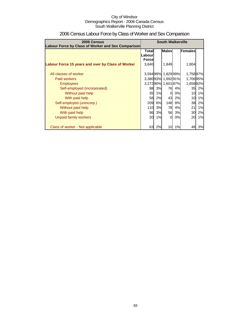| 2006 Census<br>Labour Force by Class of Worker and Sex Comparison | <b>South Walkerville</b>                                   |    |                     |    |                 |    |
|-------------------------------------------------------------------|------------------------------------------------------------|----|---------------------|----|-----------------|----|
|                                                                   | <b>Males</b><br>Females<br>Total<br>Labour<br><b>Force</b> |    |                     |    |                 |    |
| Labour Force 15 years and over by Class of Worker                 | 3,640                                                      |    | 1,849               |    | 1,804           |    |
| All classes of worker                                             |                                                            |    | 3,594 99% 1,829 99% |    | 1,75897%        |    |
| Paid workers                                                      |                                                            |    | 3,38093% 1,69291%   |    | 1,706 95%       |    |
| <b>Employees</b>                                                  |                                                            |    | 3,27290% 1,60187%   |    | 1,658 92%       |    |
| Self-employed (incorporated)                                      | 98                                                         | 3% | 76                  | 4% | 35              | 2% |
| Without paid help                                                 | 35                                                         | 1% | $\Omega$            | 0% | 10 <sup>1</sup> | 1% |
| With paid help                                                    | 58                                                         | 2% | 43                  | 2% | 10 <sup>1</sup> | 1% |
| Self-employed (unincorp.)                                         | 209                                                        | 6% | 148I                | 8% | 38              | 2% |
| Without paid help                                                 | 110                                                        | 3% | 78                  | 4% | 21              | 1% |
| With paid help                                                    | 96                                                         | 3% | 56                  | 3% | 30              | 2% |
| Unpaid family workers                                             | 20                                                         | 1% | $\Omega$            | 0% | 20              | 1% |
| Class of worker - Not applicable                                  | 63                                                         | 2% | 10                  | 1% | 48              | 3% |

# 2006 Census Labour Force by Class of Worker and Sex Comparison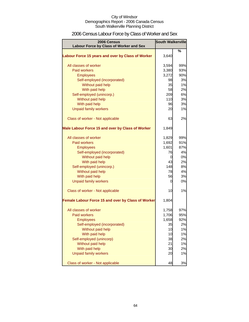| 2006 Census                                        | <b>South Walkerville</b> |     |
|----------------------------------------------------|--------------------------|-----|
| Labour Force by Class of Worker and Sex            |                          |     |
|                                                    |                          | %   |
| Labour Force 15 years and over by Class of Worker  | 3,640                    |     |
| All classes of worker                              | 3,594                    | 99% |
| <b>Paid workers</b>                                | 3,380                    | 93% |
| <b>Employees</b>                                   | 3,272                    | 90% |
| Self-employed (incorporated)                       | 98                       | 3%  |
| Without paid help                                  | 35                       | 1%  |
| With paid help                                     | 58                       | 2%  |
| Self-employed (unincorp.)                          | 209                      | 6%  |
| Without paid help                                  | 110                      | 3%  |
| With paid help                                     | 96                       | 3%  |
| <b>Unpaid family workers</b>                       | 20                       | 1%  |
|                                                    |                          |     |
| Class of worker - Not applicable                   | 63                       | 2%  |
| Male Labour Force 15 and over by Class of Worker   | 1,849                    |     |
|                                                    |                          |     |
| All classes of worker                              | 1,829                    | 99% |
| Paid workers                                       | 1,692                    | 91% |
| <b>Employees</b>                                   | 1,601                    | 87% |
| Self-employed (incorporated)                       | 76                       | 4%  |
| Without paid help                                  | 0                        | 0%  |
| With paid help                                     | 43                       | 2%  |
| Self-employed (unincorp.)                          | 148                      | 8%  |
| Without paid help                                  | 78                       | 4%  |
| With paid help                                     | 56                       | 3%  |
| <b>Unpaid family workers</b>                       | 0                        | 0%  |
| Class of worker - Not applicable                   | 10                       | 1%  |
| Female Labour Force 15 and over by Class of Worker | 1,804                    |     |
| All classes of worker                              | 1,758                    | 97% |
| <b>Paid workers</b>                                | 1,706                    | 95% |
| <b>Employees</b>                                   | 1,658                    | 92% |
| Self-employed (incorporated)                       | 35                       | 2%  |
| Without paid help                                  | 10                       | 1%  |
| With paid help                                     | 10                       | 1%  |
| Self-employed (unincorp)                           | 38                       | 2%  |
| Without paid help                                  | 21                       | 1%  |
| With paid help                                     | 30                       | 2%  |
| <b>Unpaid family workers</b>                       | 20                       | 1%  |
| Class of worker - Not applicable                   | 48                       | 3%  |

## 2006 Census Labour Force by Class of Worker and Sex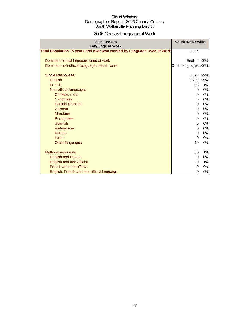# 2006 Census Language at Work

| 2006 Census<br><b>Language at Work</b>                                 | <b>South Walkerville</b> |     |
|------------------------------------------------------------------------|--------------------------|-----|
| Total Population 15 years and over who worked by Language Used at Work | 3,854                    |     |
| Dominant official language used at work                                | English 99%              |     |
| Dominant non-official language used at work                            | Other languages 100%     |     |
| <b>Single Responses</b>                                                | 3,826                    | 99% |
| English                                                                | 3,799                    | 99% |
| French                                                                 | 28                       | 1%  |
| Non-official languages                                                 | $\overline{O}$           | 0%  |
| Chinese, n.o.s.                                                        | $\mathbf{0}$             | 0%  |
| Cantonese                                                              | $\overline{0}$           | 0%  |
| Panjabi (Punjabi)                                                      | 0                        | 0%  |
| German                                                                 | $\overline{0}$           | 0%  |
| <b>Mandarin</b>                                                        | $\overline{0}$           | 0%  |
| Portuguese                                                             | 0                        | 0%  |
| Spanish                                                                | $\overline{0}$           | 0%  |
| Vietnamese                                                             | $\overline{0}$           | 0%  |
| Korean                                                                 | 0                        | 0%  |
| Italian                                                                | <sub>0</sub>             | 0%  |
| Other languages                                                        | 10                       | 0%  |
| <b>Multiple responses</b>                                              | 30                       | 1%  |
| <b>English and French</b>                                              | 0                        | 0%  |
| English and non-official                                               | 30                       | 1%  |
| French and non-official                                                | $\overline{0}$           | 0%  |
| English, French and non-official language                              | 0                        | 0%  |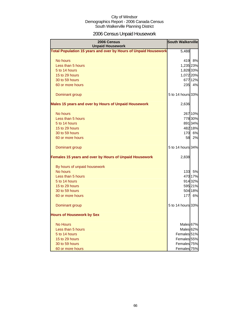# 2006 Census Unpaid Housework

| 2006 Census<br><b>Unpaid Housework</b>                                 | <b>South Walkerville</b> |         |
|------------------------------------------------------------------------|--------------------------|---------|
| <b>Total Population 15 years and over by Hours of Unpaid Housework</b> | 5,488                    |         |
| No hours                                                               | 419 8%                   |         |
| Less than 5 hours                                                      | 1,235 23%                |         |
| 5 to 14 hours                                                          | 1,828 33%                |         |
| 15 to 29 hours                                                         | 1,072 20%                |         |
| 30 to 59 hours                                                         | 677 12%                  |         |
| 60 or more hours                                                       | 235                      | 4%      |
|                                                                        |                          |         |
| Dominant group                                                         | 5 to 14 hours 33%        |         |
| Males 15 years and over by Hours of Unpaid Housework                   | 2,636                    |         |
| No hours                                                               | 267 10%                  |         |
| Less than 5 hours                                                      | 778 30%                  |         |
| 5 to 14 hours                                                          | 891 34%                  |         |
| 15 to 29 hours                                                         | 482 18%                  |         |
| 30 to 59 hours                                                         | 170 6%                   |         |
| 60 or more hours                                                       | 58                       | 2%      |
| Dominant group                                                         | 5 to 14 hours 34%        |         |
| Females 15 years and over by Hours of Unpaid Housework                 | 2,838                    |         |
| By hours of unpaid housework                                           |                          |         |
| No hours                                                               |                          | 133 5%  |
| Less than 5 hours                                                      | 470 17%                  |         |
| 5 to 14 hours                                                          | 914 32%                  |         |
| 15 to 29 hours                                                         | 595 21%                  |         |
| 30 to 59 hours                                                         |                          | 504 18% |
| 60 or more hours                                                       | 177                      | 6%      |
| Dominant group                                                         | 5 to 14 hours 33%        |         |
| <b>Hours of Housework by Sex</b>                                       |                          |         |
| <b>No Hours</b>                                                        | Males 67%                |         |
| Less than 5 hours                                                      | Males <sup>62%</sup>     |         |
| 5 to 14 hours                                                          | Females <sup>51%</sup>   |         |
| 15 to 29 hours                                                         | Females 55%              |         |
| 30 to 59 hours                                                         | Females 75%              |         |
| 60 or more hours                                                       | Females 75%              |         |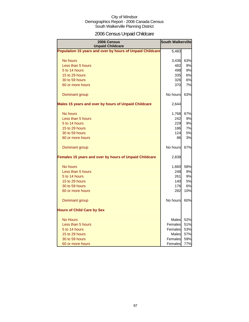# 2006 Census Unpaid Childcare

| <b>2006 Census</b><br><b>Unpaid Childcare</b>                 | <b>South Walkerville</b> |           |  |  |
|---------------------------------------------------------------|--------------------------|-----------|--|--|
| Population 15 years and over by hours of Unpaid Childcare     | 5,483                    |           |  |  |
| No hours                                                      | 3,436                    | 63%       |  |  |
| Less than 5 hours                                             | 482                      | 9%        |  |  |
| 5 to 14 hours                                                 | 498                      | 9%        |  |  |
| 15 to 29 hours                                                | 335                      | 6%        |  |  |
| 30 to 59 hours                                                | 326                      | 6%        |  |  |
| 60 or more hours                                              | 370                      | 7%        |  |  |
| Dominant group                                                | No hours                 | 63%       |  |  |
| Males 15 years and over by hours of Unpaid Childcare          | 2,644                    |           |  |  |
| No hours                                                      | 1,768                    | 67%       |  |  |
| Less than 5 hours                                             | 242                      | 9%        |  |  |
| 5 to 14 hours                                                 | 229                      | 9%        |  |  |
| 15 to 29 hours                                                | 186                      | 7%        |  |  |
| 30 to 59 hours                                                | 124                      | <b>5%</b> |  |  |
| 60 or more hours                                              | 86                       | 3%        |  |  |
| Dominant group                                                | No hours                 | 67%       |  |  |
| <b>Females 15 years and over by hours of Unpaid Childcare</b> | 2,838                    |           |  |  |
| No hours                                                      | 1,660                    | 58%       |  |  |
| Less than 5 hours                                             | 248                      | 9%        |  |  |
| 5 to 14 hours                                                 | 261                      | 9%        |  |  |
| 15 to 29 hours                                                | 140                      | 5%        |  |  |
| 30 to 59 hours                                                | 176                      | 6%        |  |  |
| 60 or more hours                                              | 282                      | 10%       |  |  |
| Dominant group                                                | No hours                 | 60%       |  |  |
| <b>Hours of Child Care by Sex</b>                             |                          |           |  |  |
| <b>No Hours</b>                                               | Males                    | 52%       |  |  |
| Less than 5 hours                                             | Females                  | 51%       |  |  |
| 5 to 14 hours                                                 | Females                  | 53%       |  |  |
| 15 to 29 hours                                                | <b>Males</b>             | 57%       |  |  |
| 30 to 59 hours                                                | Females                  | 59%       |  |  |
| 60 or more hours                                              | Females                  | 77%       |  |  |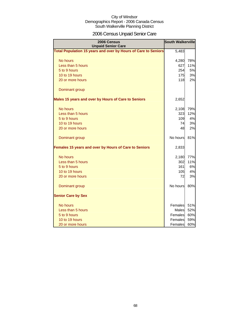# 2006 Census Unpaid Senior Care

| 2006 Census<br><b>Unpaid Senior Care</b>                       | <b>South Walkerville</b> |     |  |  |
|----------------------------------------------------------------|--------------------------|-----|--|--|
| Total Population 15 years and over by Hours of Care to Seniors | 5,483                    |     |  |  |
| No hours                                                       | 4,280                    | 78% |  |  |
| Less than 5 hours                                              | 627                      | 11% |  |  |
| 5 to 9 hours                                                   | 254                      | 5%  |  |  |
| 10 to 19 hours                                                 | <b>175</b>               | 3%  |  |  |
| 20 or more hours                                               | 118                      | 2%  |  |  |
| Dominant group                                                 |                          |     |  |  |
| Males 15 years and over by Hours of Care to Seniors            | 2,652                    |     |  |  |
| No hours                                                       | 2,108                    | 79% |  |  |
| Less than 5 hours                                              | 323                      | 12% |  |  |
| 5 to 9 hours                                                   | 109                      | 4%  |  |  |
| 10 to 19 hours                                                 | 74                       | 3%  |  |  |
| 20 or more hours                                               | 48                       | 2%  |  |  |
| Dominant group                                                 | No hours                 | 81% |  |  |
| Females 15 years and over by Hours of Care to Seniors          | 2,833                    |     |  |  |
| No hours                                                       | 2,180                    | 77% |  |  |
| Less than 5 hours                                              | 302                      | 11% |  |  |
| 5 to 9 hours                                                   | 161                      | 6%  |  |  |
| 10 to 19 hours                                                 | 105                      | 4%  |  |  |
| 20 or more hours                                               | 72                       | 3%  |  |  |
| Dominant group                                                 | No hours                 | 80% |  |  |
| <b>Senior Care by Sex</b>                                      |                          |     |  |  |
| No hours                                                       | Females                  | 51% |  |  |
| Less than 5 hours                                              | Males                    | 52% |  |  |
| 5 to 9 hours                                                   | Females                  | 60% |  |  |
| 10 to 19 hours                                                 | Females                  | 59% |  |  |
| 20 or more hours                                               | Females                  | 60% |  |  |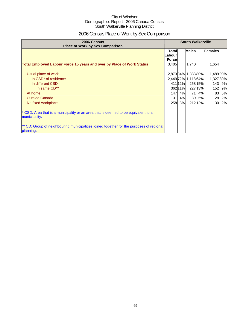# 2006 Census Place of Work by Sex Comparison

| 2006 Census<br><b>Place of Work by Sex Comparison</b>                                                 | <b>South Walkerville</b>          |         |                     |           |          |           |
|-------------------------------------------------------------------------------------------------------|-----------------------------------|---------|---------------------|-----------|----------|-----------|
|                                                                                                       | Total<br>Labourl<br><b>Forcel</b> |         | <b>Males</b>        |           | Females  |           |
| <b>Total Employed Labour Force 15 years and over by Place of Work Status</b>                          | 3,405                             |         | 1,740               |           | 1,654    |           |
| Usual place of work                                                                                   |                                   |         | 2,87384% 1,38380%   |           | 1,48990% |           |
| In CSD <sup>*</sup> of residence                                                                      |                                   |         | 2,449 72% 1,118 64% |           | 1,32780% |           |
| In different CSD                                                                                      |                                   | 411 12% |                     | 258 15%   |          | 143 9%    |
| In same CD**                                                                                          |                                   | 36211%  |                     | 22713%    | 152      | 9%        |
| At home                                                                                               | 147                               | 4%      | 71                  | 4%        | 83       | <b>5%</b> |
| <b>Outside Canada</b>                                                                                 | $131$                             | 4%      | 89                  | <b>5%</b> | 28       | 2%        |
| No fixed workplace                                                                                    | 258                               | 8%      |                     | 21212%    | 30       | 2%        |
| * CSD: Area that is a municipality or an area that is deemed to be equivalent to a<br>municipality.   |                                   |         |                     |           |          |           |
| ** CD: Group of neighbouring municipalities joined together for the purposes of regional<br>planning. |                                   |         |                     |           |          |           |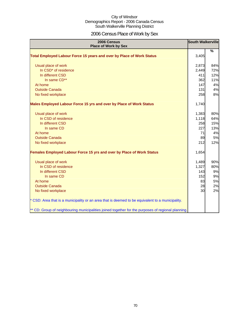# 2006 Census Place of Work by Sex

| 2006 Census<br><b>Place of Work by Sex</b>                                                         | <b>South Walkerville</b> |               |
|----------------------------------------------------------------------------------------------------|--------------------------|---------------|
| Total Employed Labour Force 15 years and over by Place of Work Status                              | 3,405                    | $\frac{9}{6}$ |
|                                                                                                    |                          |               |
| Usual place of work                                                                                | 2,873                    | 84%           |
| In CSD <sup>*</sup> of residence                                                                   | 2,449                    | 72%           |
| In different CSD                                                                                   | 411                      | 12%           |
| In same CD**                                                                                       | 362                      | 11%           |
| At home                                                                                            | 147                      | 4%            |
| <b>Outside Canada</b>                                                                              | 131                      | 4%            |
| No fixed workplace                                                                                 | 258                      | 8%            |
| Males Employed Labour Force 15 yrs and over by Place of Work Status                                | 1,740                    |               |
| Usual place of work                                                                                | 1,383                    | 80%           |
| In CSD of residence                                                                                | 1,118                    | 64%           |
| In different CSD                                                                                   | 258                      | 15%           |
| In same CD                                                                                         | 227                      | 13%           |
| At home                                                                                            | 71                       | 4%            |
| <b>Outside Canada</b>                                                                              | 89                       | 5%            |
| No fixed workplace                                                                                 | 212                      | 12%           |
| <b>Females Employed Labour Force 15 yrs and over by Place of Work Status</b>                       | 1,654                    |               |
| Usual place of work                                                                                | 1,489                    | 90%           |
| In CSD of residence                                                                                | 1,327                    | 80%           |
| In different CSD                                                                                   | 143                      | 9%            |
| In same CD                                                                                         | 152                      | 9%            |
| At home                                                                                            | 83                       | 5%            |
| <b>Outside Canada</b>                                                                              | 28                       | 2%            |
| No fixed workplace                                                                                 | 30                       | 2%            |
| * CSD: Area that is a municipality or an area that is deemed to be equivalent to a municipality.   |                          |               |
| ** CD: Group of neighbouring municipalities joined together for the purposes of regional planning. |                          |               |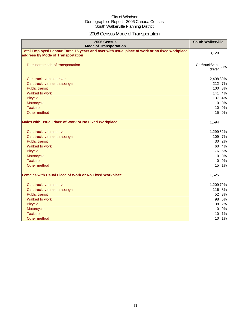# 2006 Census Mode of Transportation

| 2006 Census<br><b>Mode of Transportation</b>                                                                                      | <b>South Walkerville</b>    |
|-----------------------------------------------------------------------------------------------------------------------------------|-----------------------------|
| Total Employed Labour Force 15 years and over with usual place of work or no fixed workplace<br>address by Mode of Transportation | 3,129                       |
| Dominant mode of transportation                                                                                                   | Car/truck/van-80%<br>driver |
| Car, truck, van as driver                                                                                                         | 2,498 80%                   |
| Car, truck, van as passenger                                                                                                      | 212<br>7%                   |
| <b>Public transit</b>                                                                                                             | 100 3%                      |
| Walked to work                                                                                                                    | 141<br>4%                   |
| <b>Bicycle</b>                                                                                                                    | 137<br>4%                   |
| Motorcycle                                                                                                                        | 0%<br>$\overline{0}$        |
| <b>Taxicab</b>                                                                                                                    | 10<br>0%                    |
| Other method                                                                                                                      | 15<br>0%                    |
| <b>Males with Usual Place of Work or No Fixed Workplace</b>                                                                       | 1,594                       |
| Car, truck, van as driver                                                                                                         | 1,29982%                    |
| Car, truck, van as passenger                                                                                                      | 109 7%                      |
| <b>Public transit</b>                                                                                                             | 30 2%                       |
| Walked to work                                                                                                                    | 60<br>4%                    |
| <b>Bicycle</b>                                                                                                                    | 76<br>5%                    |
| Motorcycle                                                                                                                        | $\overline{0}$<br>0%        |
| <b>Taxicab</b>                                                                                                                    | 0%<br>$\overline{0}$        |
| Other method                                                                                                                      | 15<br>1%                    |
| <b>Females with Usual Place of Work or No Fixed Workplace</b>                                                                     | 1,525                       |
| Car, truck, van as driver                                                                                                         | 1,209 79%                   |
| Car, truck, van as passenger                                                                                                      | 116 8%                      |
| <b>Public transit</b>                                                                                                             | 52 3%                       |
| Walked to work                                                                                                                    | 98 6%                       |
| <b>Bicycle</b>                                                                                                                    | 38<br>2%                    |
| Motorcycle                                                                                                                        | $\mathbf 0$<br>0%           |
| <b>Taxicab</b>                                                                                                                    | 10 1%                       |
| Other method                                                                                                                      | 10<br>1%                    |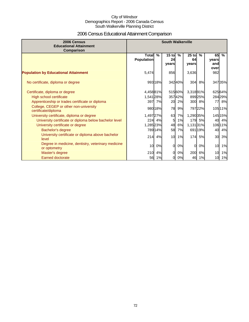# 2006 Census Educational Attainment Comparison

| 2006 Census<br><b>Educational Attainment</b><br>Comparison         | <b>South Walkerville</b>          |         |                        |               |                        |               |                            |               |
|--------------------------------------------------------------------|-----------------------------------|---------|------------------------|---------------|------------------------|---------------|----------------------------|---------------|
|                                                                    | <b>Total</b><br><b>Population</b> | $\%$    | $15$ to<br>24<br>vears | $\frac{9}{6}$ | $25$ to<br>64<br>years | $\frac{9}{6}$ | 65<br>vears<br>and<br>over | $\frac{9}{6}$ |
| <b>Population by Educational Attainment</b>                        | 5,474                             |         | 856                    |               | 3,636                  |               | 982                        |               |
| No certificate, diploma or degree                                  |                                   | 99318%  |                        | 34240%        | 304                    | 8%            |                            | 34735%        |
| Certificate, diploma or degree                                     | 4,45881%                          |         |                        | 51560%        | 3,31891%               |               |                            | 625 64%       |
| High school certificate                                            | 1,541 28%                         |         |                        | 35742%        |                        | 89925%        |                            | 284 29%       |
| Apprenticeship or trades certificate or diploma                    |                                   | 397 7%  | 20                     | 2%            |                        | 300 8%        | 77                         | 8%            |
| College, CEGEP or other non-university<br>certificate/diploma      |                                   | 980 18% | 78                     | 9%            |                        | 79722%        |                            | 105 11%       |
| University certificate, diploma or degree                          | 1,497 27%                         |         | 63                     | 7%            | 1,290 35%              |               |                            | 145 15%       |
| University certificate or diploma below bachelor level             | 224                               | 4%      | 5                      | 1%            |                        | 179 5%        | 40                         | 4%            |
| University certificate or degree                                   | 1,285 23%                         |         | 48                     | 6%            | 1,131 31%              |               |                            | 106 11%       |
| Bachelor's degree                                                  |                                   | 78914%  | 58                     | 7%            |                        | 69119%        | 40                         | 4%            |
| University certificate or diploma above bachelor<br>level          | 214                               | 4%      | 10                     | 1%            | 174                    | 5%            | 30                         | 3%            |
| Degree in medicine, dentistry, veterinary medicine<br>or optometry | 10 <sup>1</sup>                   | 0%      | $\Omega$               | 0%            | $\Omega$               | 0%            | 10                         | 1%            |
| Master's degree                                                    | 210                               | 4%      | 0                      | 0%            | 200                    | 6%            | 10                         | 1%            |
| <b>Earned doctorate</b>                                            | 56                                | 1%      | 0                      | 0%            | 46                     | 1%            | 10                         | 1%            |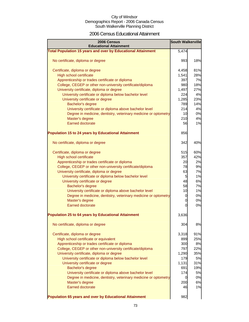### 2006 Census Educational Attainment

| 2006 Census<br><b>Educational Attainment</b>                        | <b>South Walkerville</b> |     |
|---------------------------------------------------------------------|--------------------------|-----|
| <b>Total Population 15 years and over by Educational Attainment</b> | 5,474                    |     |
| No certificate, diploma or degree                                   | 993                      | 18% |
| Certificate, diploma or degree                                      | 4,458                    | 81% |
| <b>High school certificate</b>                                      | 1,541                    | 28% |
| Apprenticeship or trades certificate or diploma                     | 397                      | 7%  |
| College, CEGEP or other non-university certificate/diploma          | 980                      | 18% |
| University certificate, diploma or degree                           | 1,497                    | 27% |
| University certificate or diploma below bachelor level              | 224                      | 4%  |
| University certificate or degree                                    | 1,285                    | 23% |
| Bachelor's degree                                                   | 789                      | 14% |
| University certificate or diploma above bachelor level              | 214                      | 4%  |
| Degree in medicine, dentistry, veterinary medicine or optometry     | 10                       | 0%  |
| Master's degree                                                     | 210                      | 4%  |
| <b>Earned doctorate</b>                                             | 56                       | 1%  |
| <b>Population 15 to 24 years by Educational Attainment</b>          | 856                      |     |
| No certificate, diploma or degree                                   | 342                      | 40% |
| Certificate, diploma or degree                                      | 515                      | 60% |
| <b>High school certificate</b>                                      | 357                      | 42% |
| Apprenticeship or trades certificate or diploma                     | 20                       | 2%  |
| College, CEGEP or other non-university certificate/diploma          | 78                       | 9%  |
| University certificate, diploma or degree                           | 63                       | 7%  |
| University certificate or diploma below bachelor level              | 5                        | 1%  |
| University certificate or degree                                    | 48                       | 6%  |
| Bachelor's degree                                                   | 58                       | 7%  |
| University certificate or diploma above bachelor level              | 10                       | 1%  |
| Degree in medicine, dentistry, veterinary medicine or optometry     | 0                        | 0%  |
| Master's degree                                                     | $\overline{0}$           | 0%  |
| Earned doctorate                                                    | 0                        | 0%  |
| Population 25 to 64 years by Educational Attainment                 | 3,636                    |     |
| No certificate, diploma or degree                                   | 304                      | 8%  |
| Certificate, diploma or degree                                      | 3,318                    | 91% |
| High school certificate or equivalent                               | 899                      | 25% |
| Apprenticeship or trades certificate or diploma                     | 300                      | 8%  |
| College, CEGEP or other non-university certificate/diploma          | 797                      | 22% |
| University certificate, diploma or degree                           | 1,290                    | 35% |
| University certificate or diploma below bachelor level              | 179                      | 5%  |
| University certificate or degree                                    | 1,131                    | 31% |
| Bachelor's degree                                                   | 691                      | 19% |
| University certificate or diploma above bachelor level              | 174                      | 5%  |
| Degree in medicine, dentistry, veterinary medicine or optometry     | $\overline{0}$           | 0%  |
| Master's degree                                                     | 200                      | 6%  |
| <b>Earned doctorate</b>                                             | 46                       | 1%  |
| Population 65 years and over by Educational Attainment              | 982                      |     |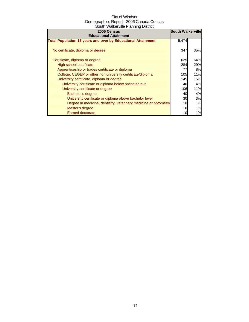| 2006 Census                                                         | <b>South Walkerville</b> |     |
|---------------------------------------------------------------------|--------------------------|-----|
| <b>Educational Attainment</b>                                       |                          |     |
| <b>Total Population 15 years and over by Educational Attainment</b> | 5,474                    |     |
| No certificate, diploma or degree                                   | 347                      | 35% |
| Certificate, diploma or degree                                      | 625                      | 64% |
| High school certificate                                             | 284                      | 29% |
| Apprenticeship or trades certificate or diploma                     | 77                       | 8%  |
| College, CEGEP or other non-university certificate/diploma          | 105                      | 11% |
| University certificate, diploma or degree                           | 145                      | 15% |
| University certificate or diploma below bachelor level              | 40                       | 4%  |
| University certificate or degree                                    | 106                      | 11% |
| Bachelor's degree                                                   | 40                       | 4%  |
| University certificate or diploma above bachelor level              | 30                       | 3%  |
| Degree in medicine, dentistry, veterinary medicine or optometry     | 10                       | 1%  |
| Master's degree                                                     | 10                       | 1%  |
| <b>Earned doctorate</b>                                             | 10                       | 1%  |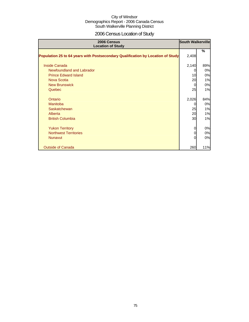# 2006 Census Location of Study

| 2006 Census<br><b>Location of Study</b>                                         | <b>South Walkerville</b> |     |
|---------------------------------------------------------------------------------|--------------------------|-----|
| Population 25 to 64 years with Postsecondary Qualification by Location of Study | 2,408                    | %   |
| <b>Inside Canada</b>                                                            | 2,140                    | 89% |
| Newfoundland and Labrador                                                       |                          | 0%  |
| <b>Prince Edward Island</b>                                                     | 10                       | 0%  |
| Nova Scotia                                                                     | 20                       | 1%  |
| <b>New Brunswick</b>                                                            |                          | 0%  |
| Quebec                                                                          | 25                       | 1%  |
| Ontario                                                                         | 2,026                    | 84% |
| Manitoba                                                                        |                          | 0%  |
| Saskatchewan                                                                    | 25                       | 1%  |
| Alberta                                                                         | 20                       | 1%  |
| <b>British Columbia</b>                                                         | 30                       | 1%  |
| <b>Yukon Territory</b>                                                          |                          | 0%  |
| <b>Northwest Territories</b>                                                    |                          | 0%  |
| <b>Nunavut</b>                                                                  |                          | 0%  |
| <b>Outside of Canada</b>                                                        | 260                      | 11% |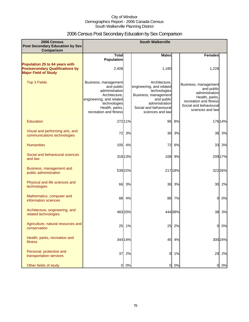# 2006 Census Post Secondary Education by Sex Comparison

| 2006 Census<br>Post Secondary Education by Sex<br><b>Comparison</b>                                     |                                                                                                                                                               |         | <b>South Walkerville</b>                                                                                                                                        |         |                                                                                                                                                |         |
|---------------------------------------------------------------------------------------------------------|---------------------------------------------------------------------------------------------------------------------------------------------------------------|---------|-----------------------------------------------------------------------------------------------------------------------------------------------------------------|---------|------------------------------------------------------------------------------------------------------------------------------------------------|---------|
|                                                                                                         | <b>Total</b><br><b>Population</b>                                                                                                                             |         | <b>Males</b>                                                                                                                                                    |         | <b>Females</b>                                                                                                                                 |         |
| Population 25 to 64 years with<br><b>Postsecondary Qualifications by</b><br><b>Major Field of Study</b> | 2,408                                                                                                                                                         |         | 1,180                                                                                                                                                           |         | 1,228                                                                                                                                          |         |
| <b>Top 3 Fields</b>                                                                                     | Business, management<br>and public<br>administration<br>Architecture,<br>engineering, and related<br>technologies<br>Health, parks,<br>recreation and fitness |         | Architecture.<br>engineering, and related<br>technologies<br>Business, management<br>and public<br>administration<br>Social and behavioural<br>sciences and law |         | Business, management<br>and public<br>administration<br>Health, parks,<br>recreation and fitness<br>Social and behavioural<br>sciences and law |         |
| <b>Education</b>                                                                                        |                                                                                                                                                               | 272 11% | 96                                                                                                                                                              | 8%      |                                                                                                                                                | 176 14% |
| Visual and performing arts, and<br>communications technologies                                          | 72                                                                                                                                                            | 3%      | 36                                                                                                                                                              | 3%      | 36                                                                                                                                             | 3%      |
| <b>Humanities</b>                                                                                       | 105                                                                                                                                                           | 4%      | 72                                                                                                                                                              | 6%      | 33                                                                                                                                             | 3%      |
| Social and behavioural sciences<br>and law                                                              |                                                                                                                                                               | 318 13% |                                                                                                                                                                 | 108 9%  |                                                                                                                                                | 209 17% |
| Business, management and<br>public administration                                                       |                                                                                                                                                               | 539 22% |                                                                                                                                                                 | 217 18% |                                                                                                                                                | 322 26% |
| Physical and life sciences and<br>technologies                                                          | 66                                                                                                                                                            | 3%      | 36                                                                                                                                                              | 3%      | 30                                                                                                                                             | 2%      |
| Mathematics, computer and<br>information sciences                                                       | 88                                                                                                                                                            | 4%      | 88                                                                                                                                                              | 7%      | $\Omega$                                                                                                                                       | 0%      |
| Architecture, engineering, and<br>related technologies                                                  |                                                                                                                                                               | 483 20% |                                                                                                                                                                 | 444 38% | 38                                                                                                                                             | 3%      |
| Agriculture, natural resources and<br>conservation                                                      | 25                                                                                                                                                            | 1%      | 25                                                                                                                                                              | 2%      | 0                                                                                                                                              | 0%      |
| Health, parks, recreation and<br>fitness                                                                |                                                                                                                                                               | 344 14% | 45                                                                                                                                                              | 4%      |                                                                                                                                                | 300 24% |
| Personal, protective and<br>transportation services                                                     | 37                                                                                                                                                            | 2%      | 8                                                                                                                                                               | 1%      | 29                                                                                                                                             | 2%      |
| Other fields of study                                                                                   | 0                                                                                                                                                             | 0%      | $\overline{O}$                                                                                                                                                  | 0%      | 0                                                                                                                                              | 0%      |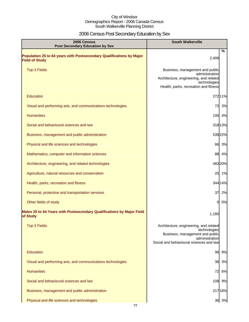# 2006 Census Post Secondary Education by Sex

| 2006 Census<br><b>Post Secondary Education by Sex</b>                                         | <b>South Walkerville</b>                                                                                                                               |
|-----------------------------------------------------------------------------------------------|--------------------------------------------------------------------------------------------------------------------------------------------------------|
| Population 25 to 64 years with Postsecondary Qualifications by Major<br><b>Field of Study</b> | %<br>2,408                                                                                                                                             |
| <b>Top 3 Fields</b>                                                                           | Business, management and public<br>administration<br>Architecture, engineering, and related<br>technologies<br>Health, parks, recreation and fitness   |
| <b>Education</b>                                                                              | 27211%                                                                                                                                                 |
| Visual and performing arts, and communications technologies                                   | 72<br>3%                                                                                                                                               |
| <b>Humanities</b>                                                                             | 105 4%                                                                                                                                                 |
| Social and behavioural sciences and law                                                       | 318 13%                                                                                                                                                |
| Business, management and public administration                                                | 53922%                                                                                                                                                 |
| Physical and life sciences and technologies                                                   | 66 3%                                                                                                                                                  |
| Mathematics, computer and information sciences                                                | 88 4%                                                                                                                                                  |
| Architecture, engineering, and related technologies                                           | 48320%                                                                                                                                                 |
| Agriculture, natural resources and conservation                                               | 25 1%                                                                                                                                                  |
| Health, parks, recreation and fitness                                                         | 344 14%                                                                                                                                                |
| Personal, protective and transportation services                                              | 37 2%                                                                                                                                                  |
| Other fields of study                                                                         | 0%<br>0                                                                                                                                                |
| Males 25 to 64 Years with Postsecondary Qualifications by Major Field<br>of Study             | 1,180                                                                                                                                                  |
| <b>Top 3 Fields</b>                                                                           | Architecture, engineering, and related<br>technologies<br>Business, management and public<br>administration<br>Social and behavioural sciences and law |
| Education                                                                                     | 8%<br>96                                                                                                                                               |
| Visual and performing arts, and communications technologies                                   | 36 3%                                                                                                                                                  |
| <b>Humanities</b>                                                                             | 6%<br>72                                                                                                                                               |
| Social and behavioural sciences and law                                                       | 108 9%                                                                                                                                                 |
| Business, management and public administration                                                | 21718%                                                                                                                                                 |
| Physical and life sciences and technologies                                                   | 36 3%                                                                                                                                                  |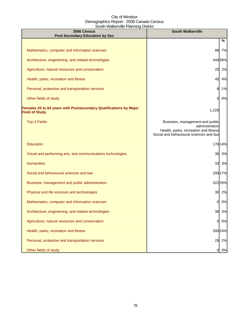| 2006 Census<br><b>Post Secondary Education by Sex</b>                                      | <b>South Walkerville</b>                                                                                                              |
|--------------------------------------------------------------------------------------------|---------------------------------------------------------------------------------------------------------------------------------------|
|                                                                                            | %                                                                                                                                     |
| Mathematics, computer and information sciences                                             | 88<br>7%                                                                                                                              |
| Architecture, engineering, and related technologies                                        | 444 38%                                                                                                                               |
| Agriculture, natural resources and conservation                                            | 25<br>2%                                                                                                                              |
| Health, parks, recreation and fitness                                                      | 45<br>4%                                                                                                                              |
| Personal, protective and transportation services                                           | 8<br>1%                                                                                                                               |
| Other fields of study                                                                      | 0%<br>$\Omega$                                                                                                                        |
| Females 25 to 64 years with Postsecondary Qualifications by Major<br><b>Field of Study</b> | 1,228                                                                                                                                 |
| <b>Top 3 Fields</b>                                                                        | Business, management and public<br>administration<br>Health, parks, recreation and fitness<br>Social and behavioural sciences and law |
| Education                                                                                  | 17614%                                                                                                                                |
| Visual and performing arts, and communications technologies                                | 36 3%                                                                                                                                 |
| <b>Humanities</b>                                                                          | 33<br>3%                                                                                                                              |
| Social and behavioural sciences and law                                                    | 209 17%                                                                                                                               |
| Business, management and public administration                                             | 322 26%                                                                                                                               |
| Physical and life sciences and technologies                                                | 30 2%                                                                                                                                 |
| Mathematics, computer and information sciences                                             | $\Omega$<br>0%                                                                                                                        |
| Architecture, engineering, and related technologies                                        | 38<br>3%                                                                                                                              |
| Agriculture, natural resources and conservation                                            | 0%<br>0                                                                                                                               |
| Health, parks, recreation and fitness                                                      | 300 24%                                                                                                                               |
| Personal, protective and transportation services                                           | 2%<br>29                                                                                                                              |
| Other fields of study                                                                      | 0%<br>0                                                                                                                               |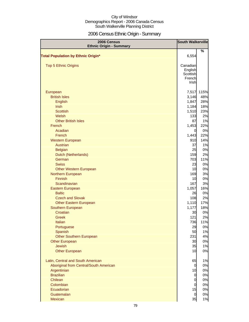# 2006 Census Ethnic Origin - Summary

| 2006 Census                                        | <b>South Walkerville</b> |           |
|----------------------------------------------------|--------------------------|-----------|
| <b>Ethnic Origin - Summary</b>                     |                          |           |
| <b>Total Population by Ethnic Origin*</b>          | 6,554                    | %         |
|                                                    |                          |           |
| <b>Top 5 Ethnic Origins</b>                        | Canadian                 |           |
|                                                    | English                  |           |
|                                                    | Scottish                 |           |
|                                                    | French                   |           |
|                                                    | Irish                    |           |
| European                                           | 7,517                    | 115%      |
| <b>British Isles</b>                               | 3,146                    | 48%       |
| English                                            | 1,847                    | 28%       |
| <b>Irish</b>                                       | 1,184                    | 18%       |
| <b>Scottish</b>                                    | 1,510                    | 23%       |
| <b>Welsh</b>                                       | 133                      | 2%        |
| <b>Other British Isles</b>                         | 87                       | 1%        |
| French                                             | 1,453                    | 22%       |
| Acadian                                            | 0                        | 0%        |
| <b>French</b>                                      | 1,443                    | 22%       |
| <b>Western European</b>                            | 910                      | 14%       |
| Austrian                                           | 37                       | 1%        |
| <b>Belgian</b>                                     | 25                       | 0%        |
| Dutch (Netherlands)                                | 159                      | 2%        |
| German                                             | 703                      | 11%       |
| <b>Swiss</b>                                       | 23                       | 0%        |
| <b>Other Western European</b>                      | 10                       | 0%        |
| Northern European                                  | 169                      | 3%        |
| <b>Finnish</b>                                     | 10                       | 0%        |
| Scandinavian                                       | 167                      | 3%        |
| Eastern European                                   | 1,057                    | 16%       |
| <b>Baltic</b>                                      | 26                       | 0%        |
| <b>Czech and Slovak</b>                            | 108                      | 2%<br>17% |
| <b>Other Eastern European</b><br>Southern European | 1,110<br>1,177           | 18%       |
| Croatian                                           | 30                       | 0%        |
| <b>Greek</b>                                       | 121                      | 2%        |
| Italian                                            | 736                      | 11%       |
| Portuguese                                         | 29                       | 0%        |
| Spanish                                            | 50                       | 1%        |
| <b>Other Southern European</b>                     | 231                      | 4%        |
| <b>Other European</b>                              | 30                       | 0%        |
| <b>Jewish</b>                                      | 35                       | 1%        |
| <b>Other European</b>                              | 10                       | 0%        |
| Latin, Central and South American                  | 65                       | 1%        |
| Aboriginal from Central/South American             | $\overline{0}$           | 0%        |
| Argentinian                                        | 10                       | 0%        |
| <b>Brazilian</b>                                   | $\overline{0}$           | 0%        |
| Chilean                                            | $\overline{0}$           | 0%        |
| Colombian                                          | $\overline{0}$           | 0%        |
| Ecuadorian                                         | 15                       | 0%        |
| Guatemalan                                         | $\overline{0}$           | 0%        |
| <b>Mexican</b>                                     | 35                       | 1%        |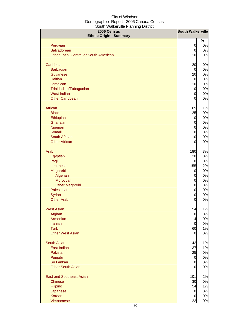| 2006 Census                            | <b>South Walkerville</b>      |          |
|----------------------------------------|-------------------------------|----------|
| <b>Ethnic Origin - Summary</b>         |                               |          |
|                                        |                               | %        |
| Peruvian<br>Salvadorean                | $\overline{O}$<br>$\mathbf 0$ | 0%<br>0% |
|                                        |                               |          |
| Other Latin, Central or South American | 10                            | 0%       |
| Caribbean                              | 20                            | 0%       |
| <b>Barbadian</b>                       | $\overline{0}$                | 0%       |
| Guyanese                               | 20                            | 0%       |
| <b>Haitian</b>                         | $\overline{0}$                | 0%       |
| Jamaican                               | 10                            | 0%       |
| Trinidadian/Tobagonian                 | $\overline{0}$                | 0%       |
| <b>West Indian</b>                     | $\mathbf 0$                   | 0%       |
| <b>Other Caribbean</b>                 | $\overline{0}$                | 0%       |
| African                                | 65                            | 1%       |
| <b>Black</b>                           | 25                            | $0\%$    |
| Ethiopian                              | $\mathbf 0$                   | $0\%$    |
| Ghanaian                               | $\overline{O}$                | 0%       |
| Nigerian                               | $\mathbf 0$                   | 0%       |
| Somali                                 | $\mathbf 0$                   | 0%       |
| South African                          | 10                            | 0%       |
| <b>Other African</b>                   | 0                             | 0%       |
| Arab                                   | 180                           | 3%       |
| Egyptian                               | 20                            | 0%       |
| Iraqi                                  | $\mathbf 0$                   | 0%       |
| Lebanese                               | 155                           | 2%       |
| Maghrebi                               | $\overline{0}$                | 0%       |
| Algerian                               | $\overline{0}$                | 0%       |
| Moroccan                               | $\mathbf 0$                   | 0%       |
| <b>Other Maghrebi</b>                  | $\mathbf 0$                   | 0%       |
| Palestinian                            | $\mathbf 0$                   | 0%       |
| Syrian                                 | $\mathbf 0$                   | 0%       |
| <b>Other Arab</b>                      | $\overline{0}$                | 0%       |
| <b>West Asian</b>                      | 54                            | 1%       |
| Afghan                                 | $\mathbf 0$                   | 0%       |
| Armenian                               | $\overline{4}$                | 0%       |
| Iranian                                | $\mathbf 0$                   | 0%       |
| <b>Turk</b>                            | 60                            | 1%       |
| <b>Other West Asian</b>                | $\overline{0}$                | 0%       |
| <b>South Asian</b>                     | 42                            | 1%       |
| East Indian                            | 37                            | 1%       |
| Pakistani                              | 25                            | 0%       |
| Punjabi                                | $\mathbf 0$                   | 0%       |
| Sri Lankan                             | $\mathbf 0$                   | $0\%$    |
| <b>Other South Asian</b>               | $\overline{0}$                | $0\%$    |
| <b>East and Southeast Asian</b>        | 101                           | 2%       |
| <b>Chinese</b>                         | 30                            | $0\%$    |
| Filipino                               | 54                            | 1%       |
| Japanese                               | $\overline{0}$                | $0\%$    |
| Korean                                 | $\overline{0}$                | $0\%$    |
| Vietnamese                             | 22                            | 0%       |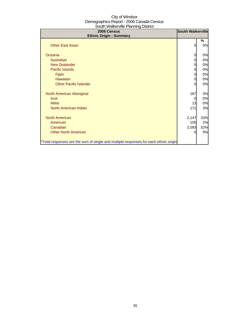| 2006 Census<br><b>Ethnic Origin - Summary</b>                                        | <b>South Walkerville</b> |     |
|--------------------------------------------------------------------------------------|--------------------------|-----|
|                                                                                      |                          | %   |
| <b>Other East Asian</b>                                                              | 5                        | 0%  |
| Oceania                                                                              |                          | 0%  |
| Australian                                                                           |                          | 0%  |
| New Zealander                                                                        | 0                        | 0%  |
| <b>Pacific Islands</b>                                                               | 0                        | 0%  |
| Fijian                                                                               | 0                        | 0%  |
| Hawaiian                                                                             | 0                        | 0%  |
| <b>Other Pacific Islander</b>                                                        | 0                        | 0%  |
| North American Aboriginal                                                            | 167                      | 3%  |
| <b>Inuit</b>                                                                         | 0                        | 0%  |
| <b>Métis</b>                                                                         | 13                       | 0%  |
| North American Indian                                                                | 171                      | 3%  |
| <b>North American</b>                                                                | 2,147                    | 33% |
| American                                                                             | 100                      | 2%  |
| Canadian                                                                             | 2,093                    | 32% |
| <b>Other North American</b>                                                          |                          | 0%  |
| *Total responses are the sum of single and multiple responses for each ethnic origin |                          |     |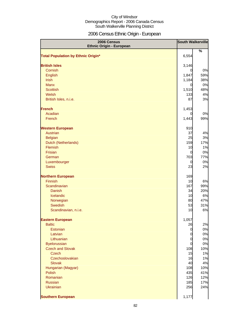# 2006 Census Ethnic Origin - European

| 2006 Census<br><b>Ethnic Origin - European</b> | <b>South Walkerville</b>   |            |
|------------------------------------------------|----------------------------|------------|
|                                                |                            | %          |
| <b>Total Population by Ethnic Origin*</b>      | 6,554                      |            |
| <b>British Isles</b>                           | 3,146                      |            |
| Cornish                                        | 0                          | 0%         |
| English                                        | 1,847                      | 59%        |
| Irish                                          | 1,184                      | 38%        |
| <b>Manx</b>                                    | $\overline{0}$             | 0%         |
| <b>Scottish</b>                                | 1,510                      | 48%        |
| Welsh                                          | 133                        | 4%         |
| British Isles, n.i.e.                          | 87                         | 3%         |
| <b>French</b>                                  | 1,453                      |            |
| Acadian                                        | 0                          | 0%         |
| French                                         | 1,443                      | 99%        |
| <b>Western European</b>                        | 910                        |            |
| Austrian                                       | 37                         | 4%         |
| <b>Belgian</b>                                 | 25                         | 3%         |
| Dutch (Netherlands)                            | 159                        | 17%        |
| Flemish                                        | 10                         | 1%         |
| Frisian                                        | $\overline{0}$             | 0%         |
| German                                         | 703                        | 77%        |
| Luxembourger<br><b>Swiss</b>                   | 0<br>23                    | 0%<br>2%   |
|                                                |                            |            |
| <b>Northern European</b>                       | 169                        |            |
| Finnish                                        | 10                         | 6%         |
| Scandinavian                                   | 167                        | 99%        |
| <b>Danish</b>                                  | 34                         | 20%        |
| Icelandic                                      | 10                         | 6%         |
| Norwegian<br><b>Swedish</b>                    | 80<br>53                   | 47%<br>31% |
| Scandinavian, n.i.e.                           | 10                         | 6%         |
|                                                |                            |            |
| <b>Eastern European</b>                        | 1,057                      |            |
| <b>Baltic</b>                                  | 26                         | 2%         |
| Estonian                                       | $\mathbf 0$                | 0%         |
| Latvian<br>Lithuanian                          | $\overline{0}$             | 0%         |
| <b>Byelorussian</b>                            | $\mathbf 0$<br>$\mathbf 0$ | 0%<br>0%   |
| <b>Czech and Slovak</b>                        | 108                        | 10%        |
| <b>Czech</b>                                   | 15                         | 1%         |
| Czechoslovakian                                | 16                         | 1%         |
| <b>Slovak</b>                                  | 40                         | 4%         |
| Hungarian (Magyar)                             | 108                        | 10%        |
| Polish                                         | 435                        | 41%        |
| Romanian                                       | 126                        | 12%        |
| <b>Russian</b>                                 | 185                        | 17%        |
| <b>Ukrainian</b>                               | 256                        | 24%        |
| <b>Southern European</b>                       | 1,177                      |            |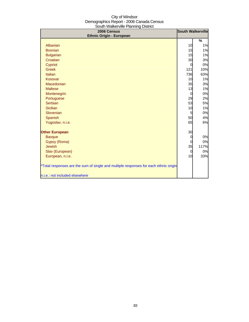| $300$ and $\overline{1}$ and $\overline{2}$ and $\overline{1}$ and $\overline{1}$ and $\overline{1}$ and $\overline{1}$<br>2006 Census<br><b>Ethnic Origin - European</b> | <b>South Walkerville</b> |      |
|---------------------------------------------------------------------------------------------------------------------------------------------------------------------------|--------------------------|------|
|                                                                                                                                                                           |                          | %    |
| Albanian                                                                                                                                                                  | 10                       | 1%   |
| <b>Bosnian</b>                                                                                                                                                            | 15                       | 1%   |
| <b>Bulgarian</b>                                                                                                                                                          | 15                       | 1%   |
| Croatian                                                                                                                                                                  | 30                       | 3%   |
| Cypriot                                                                                                                                                                   | $\overline{0}$           | 0%   |
| <b>Greek</b>                                                                                                                                                              | 121                      | 10%  |
| Italian                                                                                                                                                                   | 736                      | 63%  |
| Kosovar                                                                                                                                                                   | 10                       | 1%   |
| Macedonian                                                                                                                                                                | 35                       | 3%   |
| <b>Maltese</b>                                                                                                                                                            | 13                       | 1%   |
| Montenegrin                                                                                                                                                               | $\overline{0}$           | 0%   |
| Portuguese                                                                                                                                                                | 29                       | 2%   |
| Serbian                                                                                                                                                                   | 53                       | 5%   |
| <b>Sicilian</b>                                                                                                                                                           | 10                       | 1%   |
| Slovenian                                                                                                                                                                 | 5                        | 0%   |
| Spanish                                                                                                                                                                   | 50                       | 4%   |
| Yugoslav, n.i.e.                                                                                                                                                          | 65                       | 6%   |
| <b>Other European</b>                                                                                                                                                     | 30                       |      |
| <b>Basque</b>                                                                                                                                                             | $\overline{0}$           | 0%   |
| Gypsy (Roma)                                                                                                                                                              | 0                        | 0%   |
| <b>Jewish</b>                                                                                                                                                             | 35                       | 117% |
| Slav (European)                                                                                                                                                           | $\overline{0}$           | 0%   |
| European, n.i.e.                                                                                                                                                          | 10                       | 33%  |
| *Total responses are the sum of single and multiple responses for each ethnic origin                                                                                      |                          |      |
| n.i.e.: not included elsewhere                                                                                                                                            |                          |      |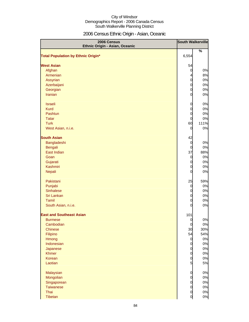# 2006 Census Ethnic Origin - Asian, Oceanic

| 2006 Census<br>Ethnic Origin - Asian, Oceanic | <b>South Walkerville</b> |          |
|-----------------------------------------------|--------------------------|----------|
|                                               |                          | %        |
| <b>Total Population by Ethnic Origin*</b>     | 6,554                    |          |
|                                               |                          |          |
| <b>West Asian</b>                             | 54                       |          |
| Afghan                                        | $\overline{0}$           | 0%       |
| Armenian                                      | $\overline{4}$           | 8%       |
| Assyrian                                      | $\overline{O}$           | 0%       |
| Azerbaijani                                   | $\mathbf 0$              | 0%<br>0% |
| Georgian<br>Iranian                           | $\mathbf 0$              |          |
|                                               | $\overline{0}$           | 0%       |
| <b>Israeli</b>                                | 0                        | 0%       |
| <b>Kurd</b>                                   | $\mathbf 0$              | $0\%$    |
| Pashtun                                       | $\mathbf 0$              | 0%       |
| <b>Tatar</b>                                  | $\mathbf 0$              | 0%       |
| <b>Turk</b>                                   | 60                       | 111%     |
| West Asian, n.i.e.                            | 0                        | 0%       |
| <b>South Asian</b>                            |                          |          |
| Bangladeshi                                   | 42<br>$\mathbf 0$        | 0%       |
| Bengali                                       | $\mathbf 0$              | 0%       |
| East Indian                                   | 37                       | 88%      |
| Goan                                          | $\mathbf 0$              | 0%       |
| Gujarati                                      | 0                        | 0%       |
| Kashmiri                                      | $\mathbf 0$              | 0%       |
| Nepali                                        | 0                        | 0%       |
|                                               |                          |          |
| Pakistani                                     | 25                       | 59%      |
| Punjabi                                       | $\mathbf 0$              | 0%       |
| <b>Sinhalese</b><br>Sri Lankan                | $\mathbf 0$              | 0%       |
| Tamil                                         | $\mathbf 0$<br>0         | 0%<br>0% |
| South Asian, n.i.e.                           | 0                        | 0%       |
|                                               |                          |          |
| <b>East and Southeast Asian</b>               | 101                      |          |
| <b>Burmese</b>                                | $\overline{0}$           | 0%       |
| Cambodian                                     | $\mathbf 0$              | $0\%$    |
| <b>Chinese</b>                                | 30                       | 30%      |
| Filipino                                      | 54                       | 54%      |
| Hmong                                         | $\overline{0}$           | 0%       |
| Indonesian                                    | $\overline{0}$           | 0%       |
| Japanese                                      | $\mathbf 0$              | 0%       |
| <b>Khmer</b>                                  | $\mathbf 0$              | 0%       |
| Korean                                        | $\mathbf 0$              | $0\%$    |
| Laotian                                       | $5\overline{a}$          | 5%       |
| Malaysian                                     | $\mathbf 0$              | 0%       |
| Mongolian                                     | $\mathbf 0$              | 0%       |
| Singaporean                                   | $\mathbf 0$              | 0%       |
| <b>Taiwanese</b>                              | $\mathbf 0$              | 0%       |
| Thai                                          | $\mathbf 0$              | 0%       |
| Tibetan                                       | $\overline{0}$           | 0%       |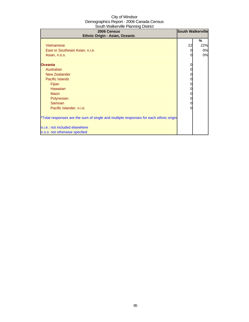| 2006 Census<br>Ethnic Origin - Asian, Oceanic                                        | <b>South Walkerville</b> |     |
|--------------------------------------------------------------------------------------|--------------------------|-----|
|                                                                                      |                          | %   |
| Vietnamese                                                                           | 22                       | 22% |
| East or Southeast Asian, n.i.e.                                                      | 0                        | 0%  |
| Asian, n.o.s.                                                                        | 0                        | 0%  |
|                                                                                      |                          |     |
| <b>Oceania</b>                                                                       | 0                        |     |
| Australian                                                                           | 0                        |     |
| <b>New Zealander</b>                                                                 | 0                        |     |
| Pacific Islands                                                                      | 0                        |     |
| Fijian                                                                               | 0                        |     |
| <b>Hawaiian</b>                                                                      | 0                        |     |
| Maori                                                                                | 0                        |     |
| Polynesian                                                                           | 0                        |     |
| Samoan                                                                               | 0                        |     |
| Pacific Islander, n.i.e.                                                             |                          |     |
| *Total responses are the sum of single and multiple responses for each ethnic origin |                          |     |
| n.i.e.: not included elsewhere                                                       |                          |     |
| n.o.s: not otherwise specfied                                                        |                          |     |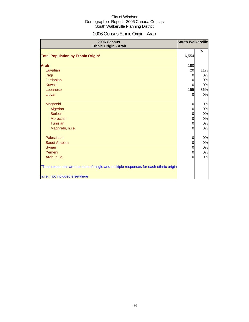# 2006 Census Ethnic Origin - Arab

| 2006 Census<br>Ethnic Origin - Arab                                                  | <b>South Walkerville</b> |     |
|--------------------------------------------------------------------------------------|--------------------------|-----|
|                                                                                      |                          | %   |
| <b>Total Population by Ethnic Origin*</b>                                            | 6,554                    |     |
| <b>Arab</b>                                                                          | 180                      |     |
| Egyptian                                                                             | 20                       | 11% |
| Iraqi                                                                                |                          | 0%  |
| Jordanian                                                                            |                          | 0%  |
| Kuwaiti                                                                              | 0                        | 0%  |
| Lebanese                                                                             | 155                      | 86% |
| Libyan                                                                               | 0                        | 0%  |
| Maghrebi                                                                             | 0                        | 0%  |
| Algerian                                                                             | 0                        | 0%  |
| <b>Berber</b>                                                                        | 0                        | 0%  |
| Moroccan                                                                             | 0                        | 0%  |
| Tunisian                                                                             | 0                        | 0%  |
| Maghrebi, n.i.e.                                                                     | $\Omega$                 | 0%  |
| Palestinian                                                                          | 0                        | 0%  |
| Saudi Arabian                                                                        | 0                        | 0%  |
| Syrian                                                                               | 0                        | 0%  |
| Yemeni                                                                               | 0                        | 0%  |
| Arab, n.i.e.                                                                         | $\Omega$                 | 0%  |
| *Total responses are the sum of single and multiple responses for each ethnic origin |                          |     |
| n.i.e.: not included elsewhere                                                       |                          |     |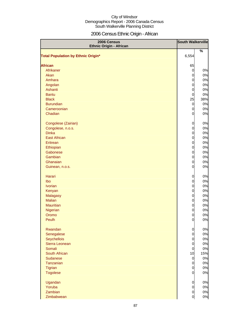# 2006 Census Ethnic Origin - African

| 2006 Census<br><b>Ethnic Origin - African</b> | <b>South Walkerville</b> |     |
|-----------------------------------------------|--------------------------|-----|
|                                               |                          | %   |
| <b>Total Population by Ethnic Origin*</b>     | 6,554                    |     |
| <b>African</b>                                | 65                       |     |
| Afrikaner                                     | $\mathbf 0$              | 0%  |
| Akan                                          | 0                        | 0%  |
| Amhara                                        | 0                        | 0%  |
| Angolan                                       | 0                        | 0%  |
| Ashanti                                       | $\overline{0}$           | 0%  |
| <b>Bantu</b>                                  | $\overline{0}$           | 0%  |
| <b>Black</b>                                  | 25                       | 38% |
| <b>Burundian</b>                              |                          | 0%  |
| Cameroonian                                   | $\overline{0}$           | 0%  |
| Chadian                                       | 0<br>0                   | 0%  |
|                                               |                          |     |
| Congolese (Zairian)                           | 0                        | 0%  |
| Congolese, n.o.s.                             | 0                        | 0%  |
| <b>Dinka</b>                                  | 0                        | 0%  |
| <b>East African</b>                           | 0                        | 0%  |
| Eritrean                                      | $\overline{0}$           | 0%  |
| Ethiopian                                     | $\overline{0}$           | 0%  |
| Gabonese                                      | $\overline{0}$           | 0%  |
| Gambian                                       | $\overline{0}$           | 0%  |
| Ghanaian                                      | 0                        | 0%  |
| Guinean, n.o.s.                               | $\overline{0}$           | 0%  |
| Harari                                        | 0                        | 0%  |
| Ibo                                           | 0                        | 0%  |
| <b>Ivorian</b>                                | $\overline{0}$           | 0%  |
| Kenyan                                        | $\overline{0}$           | 0%  |
| <b>Malagasy</b>                               | $\overline{0}$           | 0%  |
| <b>Malian</b>                                 | $\overline{0}$           | 0%  |
| <b>Mauritian</b>                              | $\overline{0}$           | 0%  |
| Nigerian                                      | $\overline{0}$           | 0%  |
| Oromo                                         | $\overline{0}$           | 0%  |
| Peulh                                         | $\overline{0}$           | 0%  |
| Rwandan                                       | $\overline{0}$           | 0%  |
| Senegalese                                    | $\overline{0}$           | 0%  |
| Seychellois                                   | $\overline{0}$           | 0%  |
| Sierra Leonean                                | $\overline{0}$           | 0%  |
| Somali                                        | $\overline{0}$           | 0%  |
| South African                                 | 10                       | 15% |
| <b>Sudanese</b>                               | $\overline{0}$           | 0%  |
| Tanzanian                                     | $\overline{0}$           | 0%  |
| <b>Tigrian</b>                                | $\overline{0}$           | 0%  |
| <b>Togolese</b>                               | $\overline{0}$           | 0%  |
| Ugandan                                       | $\overline{0}$           | 0%  |
| Yoruba                                        | $\overline{0}$           | 0%  |
| Zambian                                       | $\overline{0}$           | 0%  |
| Zimbabwean                                    | $\mathbf 0$              | 0%  |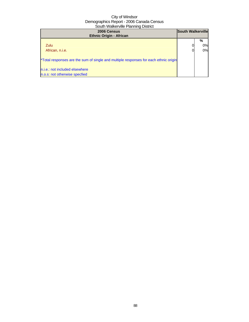| 2006 Census<br><b>Ethnic Origin - African</b>                                        | <b>South Walkerville</b> |               |
|--------------------------------------------------------------------------------------|--------------------------|---------------|
| <b>Zulu</b><br>African, n.i.e.                                                       |                          | %<br>0%<br>0% |
| *Total responses are the sum of single and multiple responses for each ethnic origin |                          |               |
| n.i.e.: not included elsewhere                                                       |                          |               |
| n.o.s: not otherwise specfied                                                        |                          |               |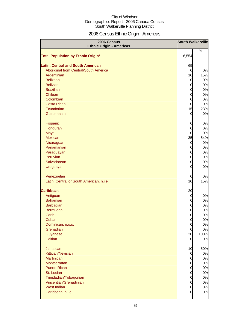# 2006 Census Ethnic Origin - Americas

| 2006 Census<br><b>Ethnic Origin - Americas</b> |                | <b>South Walkerville</b> |
|------------------------------------------------|----------------|--------------------------|
|                                                |                | %                        |
| <b>Total Population by Ethnic Origin*</b>      | 6,554          |                          |
|                                                |                |                          |
| <b>Latin, Central and South American</b>       | 65             |                          |
| Aboriginal from Central/South America          | $\overline{0}$ | 0%                       |
| Argentinian                                    | 10             | 15%                      |
| <b>Belizean</b>                                | $\overline{0}$ | 0%                       |
| <b>Bolivian</b>                                | 0              | 0%                       |
| <b>Brazilian</b>                               | 0              | 0%                       |
| Chilean<br>Colombian                           | 0              | 0%<br>0%                 |
| <b>Costa Rican</b>                             | 0<br>0         | 0%                       |
| Ecuadorian                                     | 15             | 23%                      |
| Guatemalan                                     | 0              | 0%                       |
|                                                |                |                          |
| Hispanic                                       | 0              | 0%                       |
| Honduran                                       | 0              | 0%                       |
| Maya                                           | 0              | 0%                       |
| <b>Mexican</b>                                 | 35             | 54%                      |
| Nicaraguan                                     | $\overline{0}$ | 0%                       |
| Panamanian                                     | 0              | 0%                       |
| Paraguayan                                     | $\mathbf 0$    | 0%                       |
| Peruvian                                       | $\mathbf 0$    | 0%                       |
| Salvadorean                                    | 0              | 0%                       |
| Uruguayan                                      | 0              | 0%                       |
| Venezuelan                                     | 0              | 0%                       |
| Latin, Central or South American, n.i.e.       | 10             | 15%                      |
|                                                |                |                          |
| <b>Caribbean</b>                               | 20             |                          |
| Antiguan                                       | 0              | 0%                       |
| <b>Bahamian</b>                                | 0              | 0%                       |
| <b>Barbadian</b>                               | 0              | 0%                       |
| <b>Bermudan</b>                                | $\overline{0}$ | 0%                       |
| Carib                                          | 0              | 0%                       |
| Cuban                                          | $\overline{0}$ | 0%                       |
| Dominican, n.o.s.                              | $\overline{0}$ | $0\%$                    |
| Grenadian                                      | $\overline{0}$ | 0%                       |
| Guyanese                                       | 20             | 100%                     |
| <b>Haitian</b>                                 | 0              | 0%                       |
| Jamaican                                       | 10             | 50%                      |
| Kittitian/Nevisian                             | $\overline{0}$ | 0%                       |
| <b>Martinican</b>                              | 0              | 0%                       |
| Montserratan                                   | 0              | 0%                       |
| <b>Puerto Rican</b>                            | 0              | 0%                       |
| St. Lucian                                     | 0              | 0%                       |
| Trinidadian/Tobagonian                         | 0              | 0%                       |
| Vincentian/Grenadinian                         | 0              | 0%                       |
| <b>West Indian</b>                             | 0              | 0%                       |
| Caribbean, n.i.e.                              | 0              | 0%                       |
|                                                |                |                          |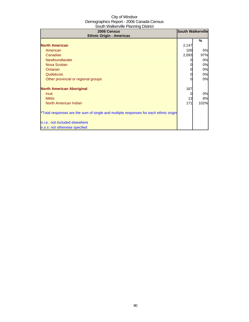| 2006 Census<br><b>Ethnic Origin - Americas</b>                                       | <b>South Walkerville</b> |      |
|--------------------------------------------------------------------------------------|--------------------------|------|
|                                                                                      |                          | %    |
| <b>North American</b>                                                                | 2,147                    |      |
| American                                                                             | 100                      | 5%   |
| Canadian                                                                             | 2,093                    | 97%  |
| Newfoundlander                                                                       |                          | 0%   |
| Nova Scotian                                                                         |                          | 0%   |
| <b>Ontarian</b>                                                                      | 0                        | 0%   |
| Québécois                                                                            |                          | 0%   |
| Other provincial or regional groups                                                  |                          | 0%   |
| <b>North American Aboriginal</b>                                                     | 167                      |      |
| Inuit                                                                                |                          | 0%   |
| <b>Métis</b>                                                                         | 13                       | 8%   |
| North American Indian                                                                | 171                      | 102% |
| *Total responses are the sum of single and multiple responses for each ethnic origin |                          |      |
| n.i.e.: not included elsewhere                                                       |                          |      |
| n.o.s: not otherwise specfied                                                        |                          |      |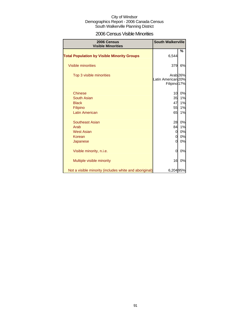| 2006 Census Visible Minorities |  |  |
|--------------------------------|--|--|
|--------------------------------|--|--|

| 2006 Census<br><b>Visible Minorities</b>               | <b>South Walkerville</b>                                  |    |
|--------------------------------------------------------|-----------------------------------------------------------|----|
| <b>Total Population by Visible Minority Groups</b>     | 6,544                                                     | %  |
| <b>Visible minorities</b>                              | 379                                                       | 6% |
| Top 3 visible minorities                               | Arab <sub>26%</sub><br>Latin American 20%<br>Filipino 17% |    |
| <b>Chinese</b>                                         | 10                                                        | 0% |
| South Asian                                            | 35                                                        | 1% |
| <b>Black</b>                                           | 47                                                        | 1% |
| Filipino                                               | 55                                                        | 1% |
| <b>Latin American</b>                                  | 65                                                        | 1% |
| <b>Southeast Asian</b>                                 | 28                                                        | 0% |
| Arab                                                   | 84                                                        | 1% |
| <b>West Asian</b>                                      | 0                                                         | 0% |
| Korean                                                 | 0                                                         | 0% |
| Japanese                                               | <sub>0</sub>                                              | 0% |
| Visible minority, n.i.e.                               | 0                                                         | 0% |
| Multiple visible minority                              | 16                                                        | 0% |
| Not a visible minority (includes white and aboriginal) | 6,20495%                                                  |    |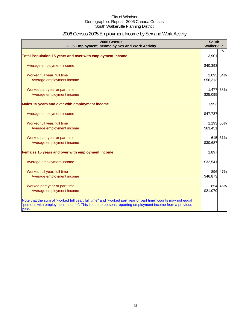# 2006 Census 2005 Employment Income by Sex and Work Activity

| 2006 Census<br>2005 Employment Income by Sex and Work Activity                                                                                                                                                               | <b>South</b><br><b>Walkerville</b> |               |
|------------------------------------------------------------------------------------------------------------------------------------------------------------------------------------------------------------------------------|------------------------------------|---------------|
|                                                                                                                                                                                                                              |                                    | $\frac{0}{0}$ |
| Total Population 15 years and over with employment income                                                                                                                                                                    | 3,901                              |               |
| Average employment income                                                                                                                                                                                                    | \$40,393                           |               |
| Worked full year, full time                                                                                                                                                                                                  | 2,095 54%                          |               |
| Average employment income                                                                                                                                                                                                    | \$56,313                           |               |
| Worked part year or part time                                                                                                                                                                                                | 1,477 38%                          |               |
| Average employment income                                                                                                                                                                                                    | \$25,095                           |               |
| Males 15 years and over with employment income                                                                                                                                                                               | 1,993                              |               |
| Average employment income                                                                                                                                                                                                    | \$47,737                           |               |
| Worked full year, full time                                                                                                                                                                                                  | 1,193 60%                          |               |
| Average employment income                                                                                                                                                                                                    | \$63,451                           |               |
| Worked part year or part time                                                                                                                                                                                                |                                    | 615 31%       |
| Average employment income                                                                                                                                                                                                    | \$30,687                           |               |
| Females 15 years and over with employment income                                                                                                                                                                             | 1,897                              |               |
| Average employment income                                                                                                                                                                                                    | \$32,541                           |               |
| Worked full year, full time                                                                                                                                                                                                  |                                    | 896 47%       |
| Average employment income                                                                                                                                                                                                    | \$46,873                           |               |
| Worked part year or part time                                                                                                                                                                                                |                                    | 854 45%       |
| Average employment income                                                                                                                                                                                                    | \$21,070                           |               |
| Note that the sum of "worked full year, full time" and "worked part year or part time" counts may not equal<br>"persons with employment income". This is due to persons reporting employment income from a previous<br>year. |                                    |               |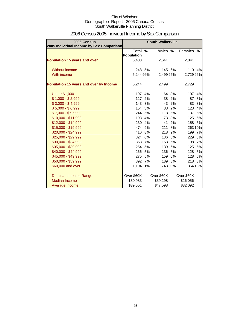| 2006 Census<br>2005 Individual Income by Sex Comparison | <b>South Walkerville</b>   |               |              |               |                |         |
|---------------------------------------------------------|----------------------------|---------------|--------------|---------------|----------------|---------|
|                                                         | Total<br><b>Population</b> | $\frac{9}{6}$ | <b>Males</b> | $\frac{9}{6}$ | <b>Females</b> | %       |
| <b>Population 15 years and over</b>                     | 5,483                      |               | 2,641        |               | 2,841          |         |
| Without income                                          |                            | 248 5%        |              | 145 6%        | 110            | 4%      |
| With income                                             | 5,244 96%                  |               | 2,499 95%    |               | 2,729 96%      |         |
| Population 15 years and over by Income                  | 5,244                      |               | 2,499        |               | 2,729          |         |
| <b>Under \$1,000</b>                                    | 197                        | 4%            | 64           | 3%            | 107            | 4%      |
| $$1,000 - $2,999$                                       | 127                        | 2%            | 38           | 2%            | 87             | 3%      |
| $$3,000 - $4,999$                                       | 143                        | 3%            | 43           | 2%            | 83             | 3%      |
| $$5,000 - $6,999$                                       | <b>154</b>                 | 3%            | 38           | 2%            | 123            | 4%      |
| $$7,000 - $9,999$                                       | 244                        | 5%            | 118          | 5%            | 137            | 5%      |
| \$10,000 - \$11,999                                     | 198                        | 4%            | 73           | 3%            | 125            | 5%      |
| \$12,000 - \$14,999                                     | 230                        | 4%            | 41           | 2%            | 158            | 6%      |
| \$15,000 - \$19,999                                     | 474                        | 9%            | 211          | 8%            |                | 263 10% |
| \$20,000 - \$24,999                                     | 416                        | 8%            | 218          | 9%            | 199            | 7%      |
| \$25,000 - \$29,999                                     | 324                        | 6%            | 136          | 5%            | 229            | 8%      |
| \$30,000 - \$34,999                                     | 358                        | 7%            | 153          | 6%            | 198            | 7%      |
| \$35,000 - \$39,999                                     | 254                        | 5%            | 139          | 6%            | 125            | 5%      |
| \$40,000 - \$44,999                                     | 266                        | 5%            | 136          | 5%            | 128            | 5%      |
| \$45,000 - \$49,999                                     | 275                        | 5%            | 159          | 6%            | 128            | 5%      |
| \$50,000 - \$59,999                                     | 392                        | 7%            |              | 189 8%        | 218            | 8%      |
| \$60,000 and over                                       | 1,10421%                   |               |              | 74830%        |                | 354 13% |
| Dominant Income Range                                   | Over \$60K                 |               | Over \$60K   |               | Over \$60K     |         |
| <b>Median Income</b>                                    | \$30,983                   |               | \$39,298     |               | \$26,056       |         |
| Average Income                                          | \$39,551                   |               | \$47,598     |               | \$32,092       |         |

# 2006 Census 2005 Individual Income by Sex Comparison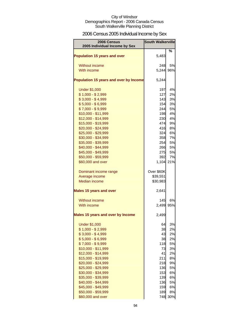# 2006 Census 2005 Individual Income by Sex

| 2006 Census<br>2005 Individual Income by Sex | <b>South Walkerville</b> |           |
|----------------------------------------------|--------------------------|-----------|
|                                              |                          | %         |
| <b>Population 15 years and over</b>          | 5,483                    |           |
| Without income                               | 248                      | 5%        |
| With income                                  | 5,244                    | 96%       |
|                                              |                          |           |
| Population 15 years and over by Income       | 5,244                    |           |
| <b>Under \$1,000</b>                         | 197                      | 4%        |
| $$1,000 - $2,999$                            | 127                      | 2%        |
| $$3,000 - $4,999$                            | 143                      | 3%        |
| $$5,000 - $6,999$                            | <b>154</b>               | 3%        |
| $$7,000 - $9,999$                            | 244                      | 5%        |
| \$10,000 - \$11,999                          | 198                      | 4%        |
| \$12,000 - \$14,999                          | 230                      | 4%        |
| \$15,000 - \$19,999                          | 474                      | 9%        |
| \$20,000 - \$24,999                          | 416                      | 8%        |
| \$25,000 - \$29,999                          | 324                      | 6%        |
| \$30,000 - \$34,999                          | 358                      | 7%        |
| \$35,000 - \$39,999                          | 254                      | 5%        |
| \$40,000 - \$44,999                          | 266                      | 5%        |
| \$45,000 - \$49,999                          | 275                      | 5%        |
| \$50,000 - \$59,999                          | 392                      | 7%<br>21% |
| \$60,000 and over                            | 1,104                    |           |
| Dominant income range                        | Over \$60K               |           |
| Average income                               | \$39,551                 |           |
| <b>Median income</b>                         | \$30,983                 |           |
| <b>Males 15 years and over</b>               | 2,641                    |           |
| Without income                               | 145                      | 6%        |
| With income                                  | 2,499                    | 95%       |
| Males 15 years and over by Income            | 2,499                    |           |
|                                              |                          |           |
| <b>Under \$1,000</b>                         | 64                       | 3%        |
| $$1,000 - $2,999$                            | 38                       | 2%        |
| $$3,000 - $4,999$                            | 43                       | 2%        |
| $$5,000 - $6,999$                            | 38                       | 2%        |
| $$7,000 - $9,999$                            | 118                      | 5%        |
| \$10,000 - \$11,999                          | 73                       | 3%        |
| \$12,000 - \$14,999                          | 41                       | 2%        |
| \$15,000 - \$19,999<br>\$20,000 - \$24,999   | 211<br>218               | 8%<br>9%  |
| \$25,000 - \$29,999                          | 136                      | 5%        |
| \$30,000 - \$34,999                          | 153                      | 6%        |
| \$35,000 - \$39,999                          | 139                      | 6%        |
| \$40,000 - \$44,999                          | 136                      | 5%        |
| \$45,000 - \$49,999                          | 159                      | 6%        |
| \$50,000 - \$59,999                          | 189                      | 8%        |
|                                              |                          |           |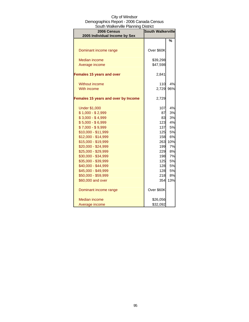| .<br>2006 Census                    | <b>South Walkerville</b> |               |  |
|-------------------------------------|--------------------------|---------------|--|
| 2005 Individual Income by Sex       |                          |               |  |
|                                     |                          | $\frac{9}{6}$ |  |
| Dominant income range               | Over \$60K               |               |  |
|                                     |                          |               |  |
| Median income                       | \$39,298                 |               |  |
| Average income                      | \$47,598                 |               |  |
| <b>Females 15 years and over</b>    | 2,841                    |               |  |
| <b>Without income</b>               | 110                      | 4%            |  |
| With income                         | 2,729                    | 96%           |  |
| Females 15 years and over by Income | 2,729                    |               |  |
| <b>Under \$1,000</b>                | 107                      | 4%            |  |
| $$1,000 - $2,999$                   | 87                       | 3%            |  |
| $$3,000 - $4,999$                   | 83                       | 3%            |  |
| $$5,000 - $6,999$                   | 123                      | 4%            |  |
| $$7,000 - $9,999$                   | 137                      | <b>5%</b>     |  |
| \$10,000 - \$11,999                 | 125                      | <b>5%</b>     |  |
| \$12,000 - \$14,999                 | 158                      | 6%            |  |
| \$15,000 - \$19,999                 | 263                      | 10%           |  |
| \$20,000 - \$24,999                 | 199                      | 7%            |  |
| \$25,000 - \$29,999                 | 229                      | 8%            |  |
| \$30,000 - \$34,999                 | 198                      | 7%            |  |
| \$35,000 - \$39,999                 | 125                      | <b>5%</b>     |  |
| \$40,000 - \$44,999                 | 128                      | 5%            |  |
| \$45,000 - \$49,999                 | 128                      | 5%            |  |
| \$50,000 - \$59,999                 | 218                      | 8%            |  |
| \$60,000 and over                   | 354                      | 13%           |  |
| Dominant income range               | Over \$60K               |               |  |
| Median income                       | \$26,056                 |               |  |
| Average income                      | \$32,092                 |               |  |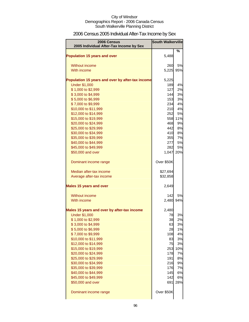# 2006 Census 2005 Individual After-Tax Income by Sex

| 2006 Census<br>2005 Individual After-Tax Income by Sex | <b>South Walkerville</b> |           |
|--------------------------------------------------------|--------------------------|-----------|
|                                                        |                          | %         |
| <b>Population 15 years and over</b>                    | 5,488                    |           |
|                                                        |                          |           |
| <b>Without income</b><br>With income                   | 260                      | 5%<br>95% |
|                                                        | 5,225                    |           |
| Population 15 years and over by after-tax income       | 5,225                    |           |
| <b>Under \$1,000</b>                                   | <b>189</b>               | 4%        |
| \$1,000 to \$2,999                                     | 127                      | 2%        |
| \$3,000 to \$4,999                                     | 144                      | 3%        |
| \$5,000 to \$6,999                                     | 153                      | 3%        |
| \$7,000 to \$9,999<br>\$10,000 to \$11,999             | 234<br>210               | 4%<br>4%  |
| \$12,000 to \$14,999                                   | 252                      | 5%        |
| \$15,000 to \$19,999                                   | 558                      | 11%       |
| \$20,000 to \$24,999                                   | 468                      | 9%        |
| \$25,000 to \$29,999                                   | 442                      | 8%        |
| \$30,000 to \$34,999                                   | 410                      | 8%        |
| \$35,000 to \$39,999                                   | 355                      | 7%        |
| \$40,000 to \$44,999                                   | 277                      | 5%        |
| \$45,000 to \$49,999                                   | 282                      | 5%        |
| \$50,000 and over                                      | 1,047 20%                |           |
| Dominant income range                                  | Over \$50K               |           |
| Median after-tax income                                | \$27,694                 |           |
| Average after-tax income                               | \$32,858                 |           |
| <b>Males 15 years and over</b>                         | 2,649                    |           |
| <b>Without income</b>                                  | 142                      | 5%        |
| With income                                            | 2,480                    | 94%       |
| Males 15 years and over by after-tax income            | 2,480                    |           |
| <b>Under \$1,000</b>                                   | 78                       | 3%        |
| \$1,000 to \$2,999                                     | 38                       | 2%l       |
| \$3,000 to \$4,999                                     | 63                       | 3%        |
| \$5,000 to \$6,999                                     | 28                       | 1%        |
| \$7,000 to \$9,999                                     | 108                      | 4%        |
| \$10,000 to \$11,999                                   | 83                       | 3%        |
| \$12,000 to \$14,999                                   | 75                       | 3%        |
| \$15,000 to \$19,999<br>\$20,000 to \$24,999           | 253<br>178               | 10%<br>7% |
| \$25,000 to \$29,999                                   | 191                      | 8%        |
| \$30,000 to \$34,999                                   | 216                      | 9%        |
| \$35,000 to \$39,999                                   | 176                      | 7%        |
| \$40,000 to \$44,999                                   | 145                      | 6%        |
| \$45,000 to \$49,999                                   | 142                      | 6%        |
| \$50,000 and over                                      | 691                      | 28%       |
| Dominant income range                                  | Over \$50K               |           |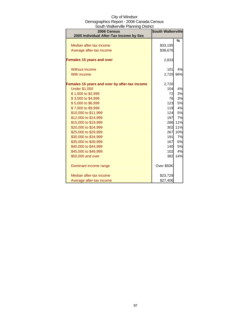| City of Windsor                          |
|------------------------------------------|
| Demographics Report - 2006 Canada Census |
| South Walkerville Planning District      |

| 2006 Census<br>2005 Individual After-Tax Income by Sex | <b>South Walkerville</b> |         |
|--------------------------------------------------------|--------------------------|---------|
|                                                        |                          | %       |
| Median after-tax income                                | \$33,195                 |         |
| Average after-tax income                               | \$38,676                 |         |
| <b>Females 15 years and over</b>                       | 2,833                    |         |
| Without income                                         | 101                      | 4%      |
| With income                                            | 2,720                    | 96%     |
| Females 15 years and over by after-tax income          | 2,720                    |         |
| <b>Under \$1,000</b>                                   | 104                      | 4%      |
| \$1,000 to \$2,999                                     | 72                       | 3%      |
| \$3,000 to \$4,999                                     | 76                       | 3%      |
| \$5,000 to \$6,999                                     | 123                      | 5%      |
| \$7,000 to \$9,999                                     | 119                      | 4%      |
| \$10,000 to \$11,999                                   | 124                      | 5%      |
| \$12,000 to \$14,999                                   | 197                      | 7%      |
| \$15,000 to \$19,999                                   |                          | 286 11% |
| \$20,000 to \$24,999                                   |                          | 302 11% |
| \$25,000 to \$29,999                                   | 267                      | 10%     |
| \$30,000 to \$34,999                                   | 191                      | 7%      |
| \$35,000 to \$39,999                                   | 167                      | 6%      |
| \$40,000 to \$44,999                                   | <b>140</b>               | 5%      |
| \$45,000 to \$49,999                                   | 102                      | 4%      |
| \$50,000 and over                                      | 382                      | 14%     |
| Dominant income range                                  | Over \$50K               |         |
| Median after-tax income                                | \$23,729                 |         |
| Average after-tax income                               | \$27,406                 |         |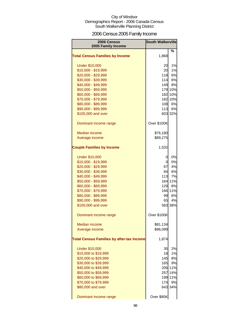# 2006 Census 2005 Family Income

| 2006 Census                                      | <b>South Walkerville</b> |         |
|--------------------------------------------------|--------------------------|---------|
| 2005 Family Income                               |                          |         |
|                                                  |                          | %       |
| <b>Total Census Families by Income</b>           | 1,868                    |         |
| <b>Under \$10,000</b>                            | 20                       | 1%      |
| \$10,000 - \$19,999                              | 20                       | 1%      |
| \$20,000 - \$29,999                              | 118                      | 6%      |
| \$30,000 - \$39,999                              | 114                      | 6%      |
| \$40,000 - \$49,999                              | 149                      | 8%      |
| \$50,000 - \$59,999                              |                          | 179 10% |
| \$60,000 - \$69,999                              |                          | 182 10% |
| \$70,000 - \$79,999                              | 182                      | 10%     |
| \$80,000 - \$89,999                              | 108                      | 6%      |
| \$90,000 - \$99,999                              | 113                      | 6%      |
| \$100,000 and over                               |                          | 603 32% |
| Dominant income range                            | Over \$100K              |         |
| Median income                                    | \$76,180                 |         |
| Average income                                   | \$89,275                 |         |
|                                                  |                          |         |
| <b>Couple Families by Income</b>                 | 1,532                    |         |
| <b>Under \$10,000</b>                            | 0                        | 0%      |
| \$10,000 - \$19,999                              | 01                       | 0%      |
| \$20,000 - \$29,999                              | 67                       | 4%      |
| \$30,000 - \$39,999                              | 84                       | 6%      |
| \$40,000 - \$49,999                              | 113                      | 7%      |
| \$50,000 - \$59,999                              | 164                      | 11%     |
| \$60,000 - \$69,999                              | 129                      | 8%      |
| \$70,000 - \$79,999                              | 166                      | 11%     |
| \$80,000 - \$89,999                              | 99                       | 6%      |
| \$90,000 - \$99,999                              | 65                       | 4%      |
| \$100,000 and over                               |                          | 583 38% |
| Dominant income range                            | Over \$100K              |         |
| <b>Median income</b>                             | \$81,134                 |         |
| Average income                                   | \$96,099                 |         |
| <b>Total Census Families by after-tax Income</b> | 1,874                    |         |
| <b>Under \$10,000</b>                            | 35                       | 2%      |
| \$10,000 to \$19,999                             | 18                       | 1%      |
| \$20,000 to \$29,999                             | 145                      | 8%      |
| \$30,000 to \$39,999                             | 165                      | 9%      |
| \$40,000 to \$49,999                             |                          | 206 11% |
| \$50,000 to \$59,999                             | 257                      | 14%     |
| \$60,000 to \$69,999                             | 199                      | 11%     |
| \$70,000 to \$79,999                             | 174                      | 9%      |
| \$80,000 and over                                |                          | 643 34% |
| Dominant income range                            | Over \$80K               |         |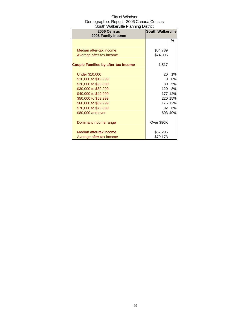| 2006 Census<br>2005 Family Income          | <b>South Walkerville</b> |         |
|--------------------------------------------|--------------------------|---------|
|                                            |                          | %       |
| Median after-tax income                    | \$64,789                 |         |
| Average after-tax income                   | \$74,096                 |         |
|                                            |                          |         |
| <b>Couple Families by after-tax Income</b> | 1,517                    |         |
|                                            |                          |         |
| <b>Under \$10,000</b>                      | 20                       | 1%      |
| \$10,000 to \$19,999                       | Ω                        | 0%      |
| \$20,000 to \$29,999                       | 80                       | 5%      |
| \$30,000 to \$39,999                       | 120                      | 8%      |
| \$40,000 to \$49,999                       | 177                      | 12%     |
| \$50,000 to \$59,999                       |                          | 220 15% |
| \$60,000 to \$69,999                       |                          | 176 12% |
| \$70,000 to \$79,999                       | 92                       | 6%      |
| \$80,000 and over                          | 603                      | 40%     |
| Dominant income range                      | Over \$80K               |         |
| Median after-tax income                    | \$67,206                 |         |
| Average after-tax income                   | \$79,173                 |         |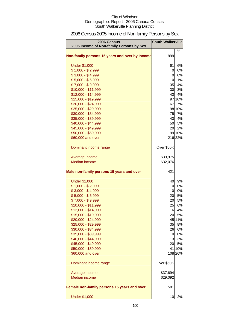# 2006 Census 2005 Income of Non-family Persons by Sex

| 2006 Census<br>2005 Income of Non-family Persons by Sex | <b>South Walkerville</b> |         |
|---------------------------------------------------------|--------------------------|---------|
|                                                         |                          | ℅       |
| Non-family persons 15 years and over by Income          | 999                      |         |
| <b>Under \$1,000</b>                                    | 61                       | 6%      |
| $$1,000 - $2,999$                                       | 0                        | 0%      |
| $$3,000 - $4,999$                                       | 0                        | 0%      |
| $$5,000 - $6,999$                                       | 10                       | 1%      |
| $$7,000 - $9,999$                                       | 35                       | 4%      |
| \$10,000 - \$11,999                                     | 30                       | 3%      |
| \$12,000 - \$14,999                                     | 43                       | 4%      |
| \$15,000 - \$19,999                                     |                          | 97 10%  |
| \$20,000 - \$24,999                                     | 67                       | 7%      |
| \$25,000 - \$29,999                                     |                          | 98 10%  |
| \$30,000 - \$34,999                                     | 75                       | 7%      |
| \$35,000 - \$39,999                                     | 43                       | 4%      |
| \$40,000 - \$44,999                                     | 50                       | 5%      |
| \$45,000 - \$49,999                                     | 20                       | 2%      |
| \$50,000 - \$59,999                                     |                          | 99 10%  |
| \$60,000 and over                                       |                          | 216 22% |
| Dominant income range                                   | Over \$60K               |         |
| Average income                                          | \$39,975                 |         |
| <b>Median income</b>                                    | \$32,076                 |         |
| Male non-family persons 15 years and over               | 421                      |         |
| <b>Under \$1,000</b>                                    | 40                       | 9%      |
| $$1,000 - $2,999$                                       | 0                        | 0%      |
| $$3,000 - $4,999$                                       | $\overline{0}$           | 0%      |
| $$5,000 - $6,999$                                       | 20                       | 5%      |
| $$7,000 - $9,999$                                       | 20                       | 5%      |
| \$10,000 - \$11,999                                     | 25                       | 6%      |
| \$12,000 - \$14,999                                     | 16                       | 4%      |
| \$15,000 - \$19,999                                     | 20                       | 5%      |
| \$20,000 - \$24,999                                     |                          | 45 11%  |
| \$25,000 - \$29,999                                     | 35                       | 8%      |
| \$30,000 - \$34,999                                     | 26                       | 6%      |
| \$35,000 - \$39,999                                     | 0                        | 0%      |
| \$40,000 - \$44,999                                     | 13                       | 3%      |
| \$45,000 - \$49,999                                     | 20                       | 5%      |
| \$50,000 - \$59,999                                     | 41                       | 10%     |
| \$60,000 and over                                       |                          | 108 26% |
| Dominant income range                                   | Over \$60K               |         |
| Average income                                          | \$37,694                 |         |
| Median income                                           | \$29,092                 |         |
| Female non-family persons 15 years and over             | 581                      |         |
| <b>Under \$1,000</b>                                    | 10                       | 2%      |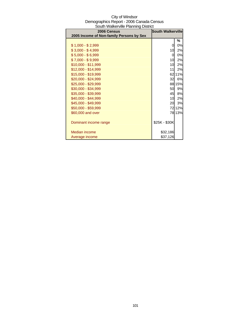| City of Windsor                          |
|------------------------------------------|
| Demographics Report - 2006 Canada Census |
| South Walkerville Planning District      |

| 2006 Census<br>2005 Income of Non-family Persons by Sex | <b>South Walkerville</b> |        |
|---------------------------------------------------------|--------------------------|--------|
|                                                         |                          | %      |
| $$1,000 - $2,999$                                       | 0                        | 0%     |
| $$3,000 - $4,999$                                       | 10                       | 2%     |
| $$5,000 - $6,999$                                       | 0                        | 0%     |
| $$7,000 - $9,999$                                       | 10                       | 2%     |
| \$10,000 - \$11,999                                     | 10 <sup>1</sup>          | 2%     |
| \$12,000 - \$14,999                                     | 11                       | 2%     |
| \$15,000 - \$19,999                                     | 62                       | 11%    |
| \$20,000 - \$24,999                                     | 32                       | 6%     |
| \$25,000 - \$29,999                                     |                          | 88 15% |
| \$30,000 - \$34,999                                     | 50                       | 9%     |
| \$35,000 - \$39,999                                     | 45                       | 8%     |
| \$40,000 - \$44,999                                     | 10                       | 2%     |
| \$45,000 - \$49,999                                     | 20                       | 3%     |
| \$50,000 - \$59,999                                     | 72                       | 12%    |
| \$60,000 and over                                       |                          | 78 13% |
| Dominant income range                                   | \$25K - \$30K            |        |
| Median income                                           | \$32,186                 |        |
| Average income                                          | \$37,126                 |        |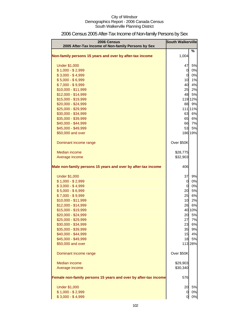| 2006 Census<br>2005 After-Tax Income of Non-family Persons by Sex | <b>South Walkerville</b> |         |
|-------------------------------------------------------------------|--------------------------|---------|
|                                                                   |                          | %       |
| Non-family persons 15 years and over by after-tax income          | 1,004                    |         |
| <b>Under \$1,000</b>                                              | 47                       | 5%      |
| $$1,000 - $2,999$                                                 | $\overline{0}$           | 0%      |
| $$3,000 - $4,999$                                                 | $\overline{0}$           | 0%      |
| $$5,000 - $6,999$                                                 | 10                       | 1%      |
| $$7,000 - $9,999$                                                 | 40                       | 4%      |
| \$10,000 - \$11,999                                               | 25                       | 2%      |
| \$12,000 - \$14,999                                               | 48                       | 5%      |
| \$15,000 - \$19,999                                               |                          | 119 12% |
| \$20,000 - \$24,999                                               | 88                       | 9%      |
| \$25,000 - \$29,999                                               |                          | 111 11% |
| \$30,000 - \$34,999                                               | 63                       | 6%      |
| \$35,000 - \$39,999                                               | 65                       | 6%      |
| \$40,000 - \$44,999                                               | 66                       | 7%      |
| \$45,000 - \$49,999                                               | 53                       | 5%      |
| \$50,000 and over                                                 |                          | 186 19% |
| Dominant income range                                             | Over \$50K               |         |
| <b>Median income</b>                                              | \$28,775                 |         |
| Average income                                                    | \$32,903                 |         |
|                                                                   |                          |         |
| Male non-family persons 15 years and over by after-tax income     | 406                      |         |
| <b>Under \$1,000</b>                                              | 37                       | 9%      |
| $$1,000 - $2,999$                                                 | $\overline{0}$           | 0%      |
| $$3,000 - $4,999$                                                 | $\overline{0}$           | 0%      |
| $$5,000 - $6,999$                                                 | 20                       | 5%      |
| $$7,000 - $9,999$                                                 | 25                       | 6%      |
| \$10,000 - \$11,999                                               | 10                       | 2%      |
| \$12,000 - \$14,999                                               | 26                       | 6%      |
| \$15,000 - \$19,999                                               |                          | 40 10%  |
| \$20,000 - \$24,999                                               | 20                       | 5%      |
| \$25,000 - \$29,999                                               | 27                       | 7%      |
| \$30,000 - \$34,999                                               | 23                       | 6%      |
| \$35,000 - \$39,999                                               | 35                       | 9%      |
| \$40,000 - \$44,999                                               | 15                       | 4%      |
| \$45,000 - \$49,999                                               | 18                       | 5%      |
| \$50,000 and over                                                 |                          | 113 28% |
| Dominant income range                                             | Over \$50K               |         |
| <b>Median income</b>                                              | \$29,903                 |         |
| Average income                                                    | \$30,340                 |         |
| Female non-family persons 15 years and over by after-tax income   | 576                      |         |
| <b>Under \$1,000</b>                                              | 20                       | 5%      |
| $$1,000 - $2,999$                                                 | 0                        | 0%      |
| $$3,000 - $4,999$                                                 | 0                        | 0%      |

# 2006 Census 2005 After-Tax Income of Non-family Persons by Sex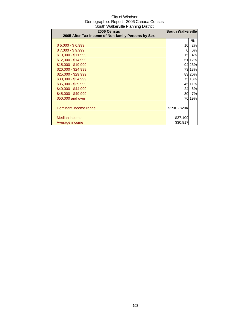| <b>Count Walkerville Lighting Biother</b><br>2006 Census | <b>South Walkerville</b> |        |
|----------------------------------------------------------|--------------------------|--------|
| 2005 After-Tax Income of Non-family Persons by Sex       |                          |        |
|                                                          |                          | ℅      |
| $$5,000 - $6,999$                                        | 10                       | 2%     |
| $$7,000 - $9,999$                                        | 0                        | 0%     |
| \$10,000 - \$11,999                                      | 15                       | 4%     |
| \$12,000 - \$14,999                                      |                          | 51 12% |
| \$15,000 - \$19,999                                      |                          | 94 23% |
| \$20,000 - \$24,999                                      |                          | 73 18% |
| \$25,000 - \$29,999                                      |                          | 83 20% |
| \$30,000 - \$34,999                                      |                          | 75 18% |
| \$35,000 - \$39,999                                      |                          | 45 11% |
| \$40,000 - \$44,999                                      | 24                       | 6%     |
| \$45,000 - \$49,999                                      | 30                       | 7%     |
| \$50,000 and over                                        |                          | 76 19% |
|                                                          |                          |        |
| Dominant income range                                    | $$15K - $20K$            |        |
|                                                          |                          |        |
| <b>Median income</b>                                     | \$27,109                 |        |
| Average income                                           | \$30,817                 |        |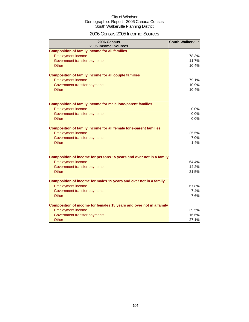### 2006 Census 2005 Income: Sources

| 2006 Census<br>2005 Income: Sources                                 | <b>South Walkerville</b> |
|---------------------------------------------------------------------|--------------------------|
| <b>Composition of family income for all families</b>                |                          |
| <b>Employment income</b>                                            | 78.3%                    |
| Government transfer payments                                        | 11.7%                    |
| Other                                                               | 10.4%                    |
| <b>Composition of family income for all couple families</b>         |                          |
| <b>Employment income</b>                                            | 79.1%                    |
| Government transfer payments                                        | 10.9%                    |
| <b>Other</b>                                                        | 10.4%                    |
| Composition of family income for male lone-parent families          |                          |
| <b>Employment income</b>                                            | 0.0%                     |
| Government transfer payments                                        | 0.0%                     |
| Other                                                               | 0.0%                     |
| Composition of family income for all female lone-parent families    |                          |
| <b>Employment income</b>                                            | 25.5%                    |
| Government transfer payments                                        | 7.0%                     |
| Other                                                               | 1.4%                     |
| Composition of income for persons 15 years and over not in a family |                          |
| <b>Employment income</b>                                            | 64.4%                    |
| Government transfer payments                                        | 14.2%                    |
| Other                                                               | 21.5%                    |
| Composition of income for males 15 years and over not in a family   |                          |
| <b>Employment income</b>                                            | 67.8%                    |
| Government transfer payments                                        | 7.4%                     |
| Other                                                               | 7.6%                     |
| Composition of income for females 15 years and over not in a family |                          |
| <b>Employment income</b>                                            | 39.5%                    |
| Government transfer payments                                        | 16.6%                    |
| Other                                                               | 27.1%                    |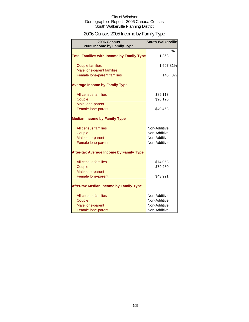# 2006 Census 2005 Income by Family Type

| 2006 Census<br>2005 Income by Family Type                       | <b>South Walkerville</b>     |    |
|-----------------------------------------------------------------|------------------------------|----|
| <b>Total Families with Income by Family Type</b>                | 1,868                        | %  |
| <b>Couple families</b>                                          | 1,507 81%                    |    |
| Male lone-parent families<br><b>Female lone-parent families</b> | 140                          | 8% |
| <b>Average Income by Family Type</b>                            |                              |    |
| All census families                                             | \$89,113                     |    |
| Couple                                                          | \$96,120                     |    |
| Male lone-parent<br>Female lone-parent                          | \$49,468                     |    |
| <b>Median Income by Family Type</b>                             |                              |    |
| All census families                                             | Non-Additive                 |    |
| Couple                                                          | Non-Additive                 |    |
| Male lone-parent<br>Female lone-parent                          | Non-Additive<br>Non-Additive |    |
| <b>After-tax Average Income by Family Type</b>                  |                              |    |
| All census families                                             | \$74,053                     |    |
| Couple                                                          | \$79,280                     |    |
| Male lone-parent<br>Female lone-parent                          | \$43,921                     |    |
| <b>After-tax Median Income by Family Type</b>                   |                              |    |
| All census families                                             | Non-Additive                 |    |
| Couple                                                          | Non-Additive                 |    |
| Male lone-parent                                                | Non-Additive<br>Non-Additive |    |
| Female lone-parent                                              |                              |    |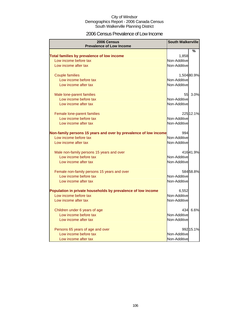### 2006 Census Prevalence of Low Income

| 2006 Census                                                      |              | <b>South Walkerville</b> |  |
|------------------------------------------------------------------|--------------|--------------------------|--|
| <b>Prevalence of Low Income</b>                                  |              |                          |  |
|                                                                  |              | %                        |  |
| Total families by prevalence of low income                       | 1,858        |                          |  |
| Low income before tax                                            | Non-Additive |                          |  |
| Low income after tax                                             | Non-Additive |                          |  |
| <b>Couple families</b>                                           |              | 1,504 80.9%              |  |
| Low income before tax                                            | Non-Additive |                          |  |
| Low income after tax                                             | Non-Additive |                          |  |
| Male lone-parent families                                        | 55           | 3.0%                     |  |
| Low income before tax                                            | Non-Additive |                          |  |
| Low income after tax                                             | Non-Additive |                          |  |
| Female lone-parent families                                      |              | 225 12.1%                |  |
| Low income before tax                                            | Non-Additive |                          |  |
| Low income after tax                                             | Non-Additive |                          |  |
| Non-family persons 15 years and over by prevalence of low income | 994          |                          |  |
| Low income before tax                                            | Non-Additive |                          |  |
| Low income after tax                                             | Non-Additive |                          |  |
| Male non-family persons 15 years and over                        |              | 41641.9%                 |  |
| Low income before tax                                            | Non-Additive |                          |  |
| Low income after tax                                             | Non-Additive |                          |  |
| Female non-family persons 15 years and over                      |              | 58458.8%                 |  |
| Low income before tax                                            | Non-Additive |                          |  |
| Low income after tax                                             | Non-Additive |                          |  |
| Population in private households by prevalence of low income     | 6,552        |                          |  |
| Low income before tax                                            | Non-Additive |                          |  |
| Low income after tax                                             | Non-Additive |                          |  |
| Children under 6 years of age                                    | 434          | 6.6%                     |  |
| Low income before tax                                            | Non-Additive |                          |  |
| Low income after tax                                             | Non-Additive |                          |  |
| Persons 65 years of age and over                                 |              | 992 15.1%                |  |
| Low income before tax                                            | Non-Additive |                          |  |
| Low income after tax                                             | Non-Additive |                          |  |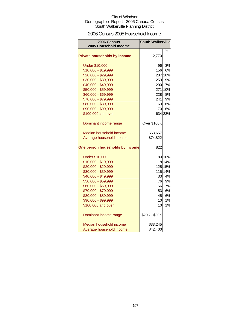### 2006 Census 2005 Household Income

| 2006 Census<br>2005 Household Income | <b>South Walkerville</b> |         |
|--------------------------------------|--------------------------|---------|
|                                      |                          | %       |
| <b>Private households by income</b>  | 2,770                    |         |
| <b>Under \$10,000</b>                | 96                       | 3%      |
| \$10,000 - \$19,999                  | 156                      | 6%      |
| \$20,000 - \$29,999                  |                          | 287 10% |
| \$30,000 - \$39,999                  | 259                      | 9%      |
| \$40,000 - \$49,999                  | 200                      | 7%      |
| \$50,000 - \$59,999                  |                          | 271 10% |
| \$60,000 - \$69,999                  | 228                      | 8%      |
| \$70,000 - \$79,999                  | 241                      | 9%      |
| \$80,000 - \$89,999                  | 163                      | 6%      |
| \$90,000 - \$99,999                  | <b>170</b>               | 6%      |
| \$100,000 and over                   |                          | 634 23% |
| Dominant income range                | Over \$100K              |         |
| Median household income              | \$63,657                 |         |
| Average household income             | \$74,822                 |         |
| One person households by income      | 822                      |         |
| <b>Under \$10,000</b>                |                          | 80 10%  |
| \$10,000 - \$19,999                  |                          | 118 14% |
| \$20,000 - \$29,999                  |                          | 125 15% |
| \$30,000 - \$39,999                  |                          | 115 14% |
| \$40,000 - \$49,999                  | 33                       | 4%      |
| \$50,000 - \$59,999                  | 76                       | 9%      |
| \$60,000 - \$69,999                  | 56                       | 7%      |
| \$70,000 - \$79,999                  | 53                       | 6%      |
| \$80,000 - \$89,999                  | 45                       | 6%      |
| \$90,000 - \$99,999                  | 10                       | 1%      |
| \$100,000 and over                   | 10                       | 1%      |
| Dominant income range                | \$20K - \$30K            |         |
| Median household income              | \$33,245                 |         |
| Average household income             | \$42,400                 |         |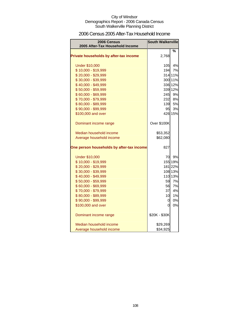### 2006 Census 2005 After-Tax Household Income

| <b>2006 Census</b>                        | <b>South Walkerville</b> |         |
|-------------------------------------------|--------------------------|---------|
| 2005 After-Tax Household Income           |                          |         |
|                                           |                          | %       |
| Private households by after-tax income    | 2,768                    |         |
| <b>Under \$10,000</b>                     | 105                      | 4%      |
| \$10,000 - \$19,999                       | 194                      | 7%      |
| \$20,000 - \$29,999                       |                          | 314 11% |
| \$30,000 - \$39,999                       |                          | 300 11% |
| \$40,000 - \$49,999                       |                          | 336 12% |
| \$50,000 - \$59,999                       |                          | 339 12% |
| \$60,000 - \$69,999                       | 245                      | 9%      |
| \$70,000 - \$79,999                       | 232                      | 8%      |
| \$80,000 - \$89,999                       | 139                      | 5%      |
| \$90,000 - \$99,999                       | 95                       | 3%      |
| \$100,000 and over                        |                          | 426 15% |
|                                           |                          |         |
| Dominant income range                     | Over \$100K              |         |
| Median household income                   | \$53,352                 |         |
| Average household income                  | \$62,080                 |         |
| One person households by after-tax income | 827                      |         |
|                                           |                          |         |
| <b>Under \$10,000</b>                     | 70                       | 9%      |
| \$10,000 - \$19,999                       |                          | 155 19% |
| \$20,000 - \$29,999                       |                          | 181 22% |
| \$30,000 - \$39,999                       |                          | 108 13% |
| \$40,000 - \$49,999                       |                          | 110 13% |
| \$50,000 - \$59,999                       | 59                       | 7%      |
| \$60,000 - \$69,999                       | 56                       | 7%      |
| \$70,000 - \$79,999                       | 37                       | 4%      |
| \$80,000 - \$89,999                       | 10                       | 1%      |
| \$90,000 - \$99,999                       | 0                        | 0%      |
| \$100,000 and over                        | 0                        | 0%      |
| Dominant income range                     | \$20K - \$30K            |         |
| Median household income                   | \$29,269                 |         |
| Average household income                  | \$34,925                 |         |